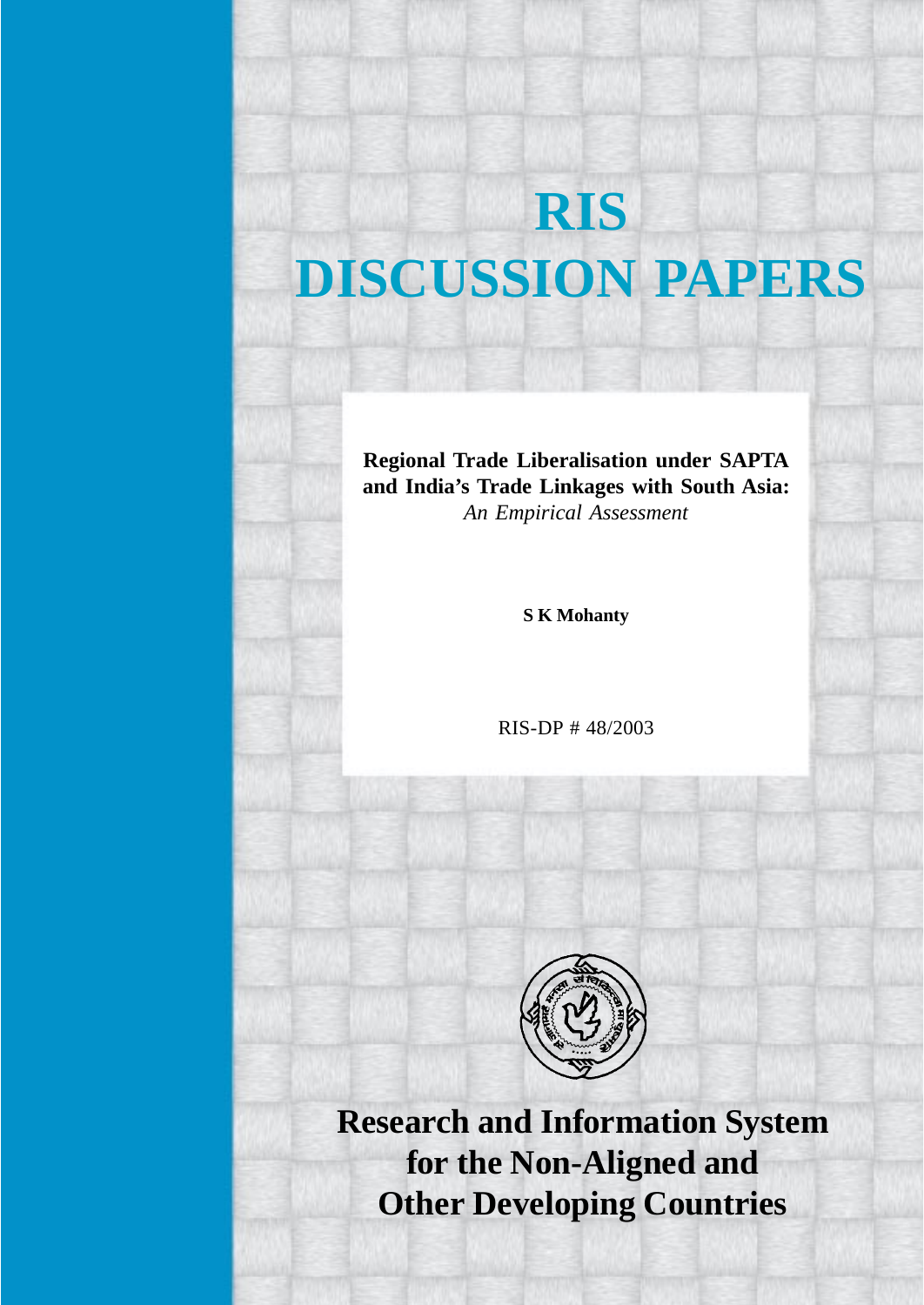# **RIS DISCUSSION PAPERS**

**Regional Trade Liberalisation under SAPTA and India's Trade Linkages with South Asia:** *An Empirical Assessment*

**S K Mohanty**

RIS-DP # 48/2003



**Research and Information System for the Non-Aligned and Other Developing Countries**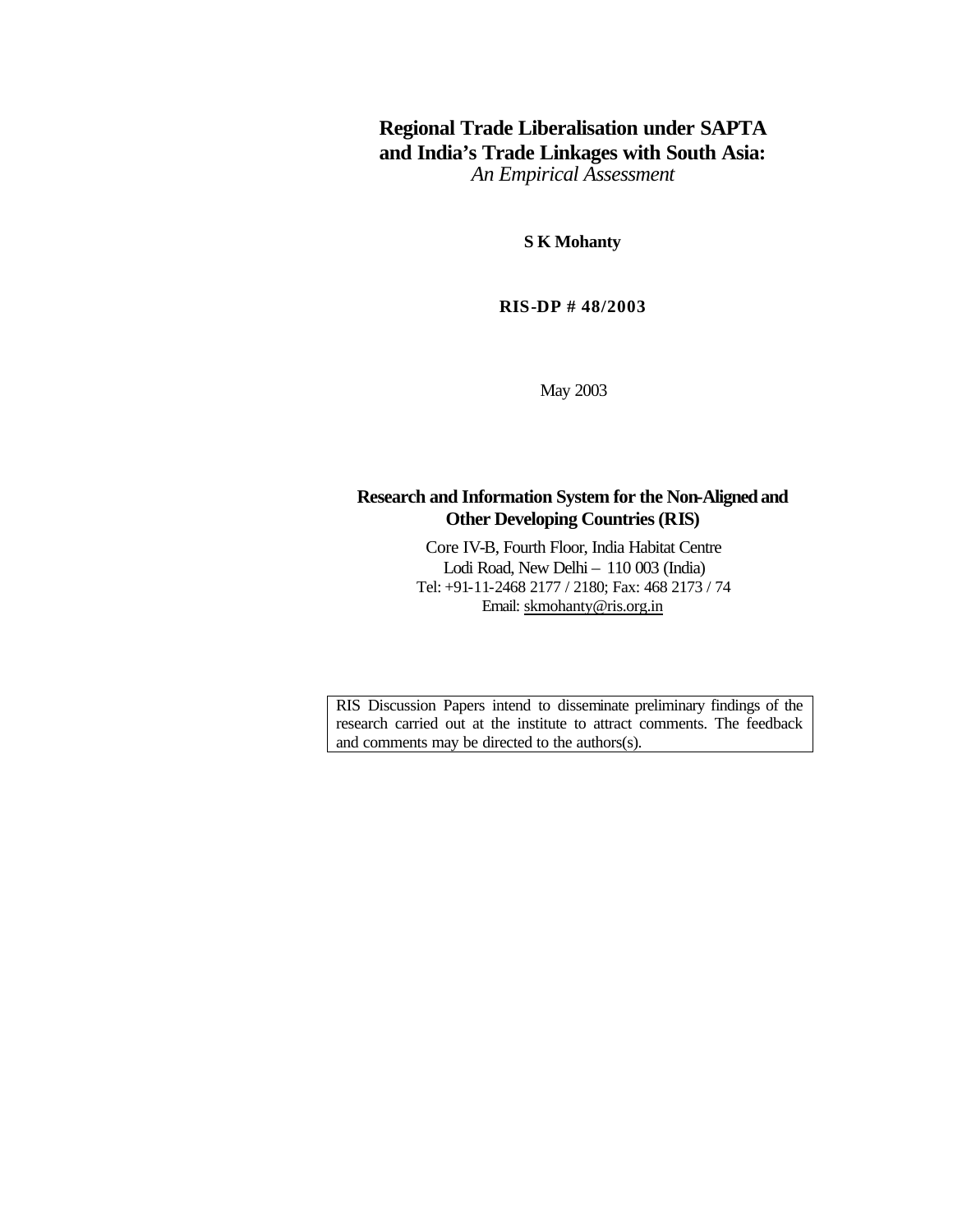## **Regional Trade Liberalisation under SAPTA and India's Trade Linkages with South Asia:** *An Empirical Assessment*

**S K Mohanty**

**RIS-DP # 48/2003**

May 2003

## **Research and Information System for the Non-Aligned and Other Developing Countries (RIS)**

Core IV-B, Fourth Floor, India Habitat Centre Lodi Road, New Delhi – 110 003 (India) Tel: +91-11-2468 2177 / 2180; Fax: 468 2173 / 74 Email: skmohanty@ris.org.in

RIS Discussion Papers intend to disseminate preliminary findings of the research carried out at the institute to attract comments. The feedback and comments may be directed to the authors(s).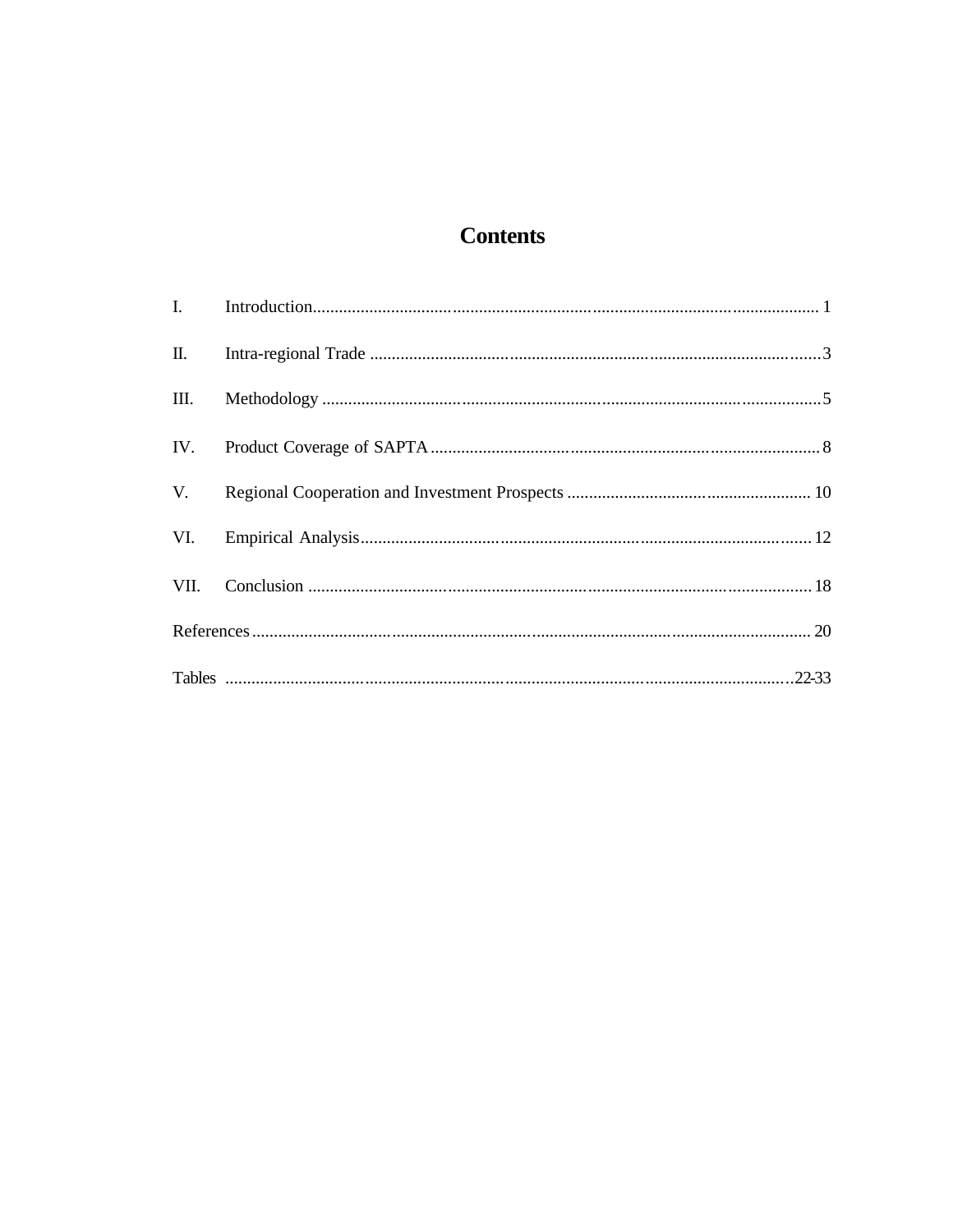# **Contents**

| $\mathbf{II}$ . |  |
|-----------------|--|
| III.            |  |
| IV.             |  |
| V.              |  |
| VI.             |  |
| VII.            |  |
|                 |  |
|                 |  |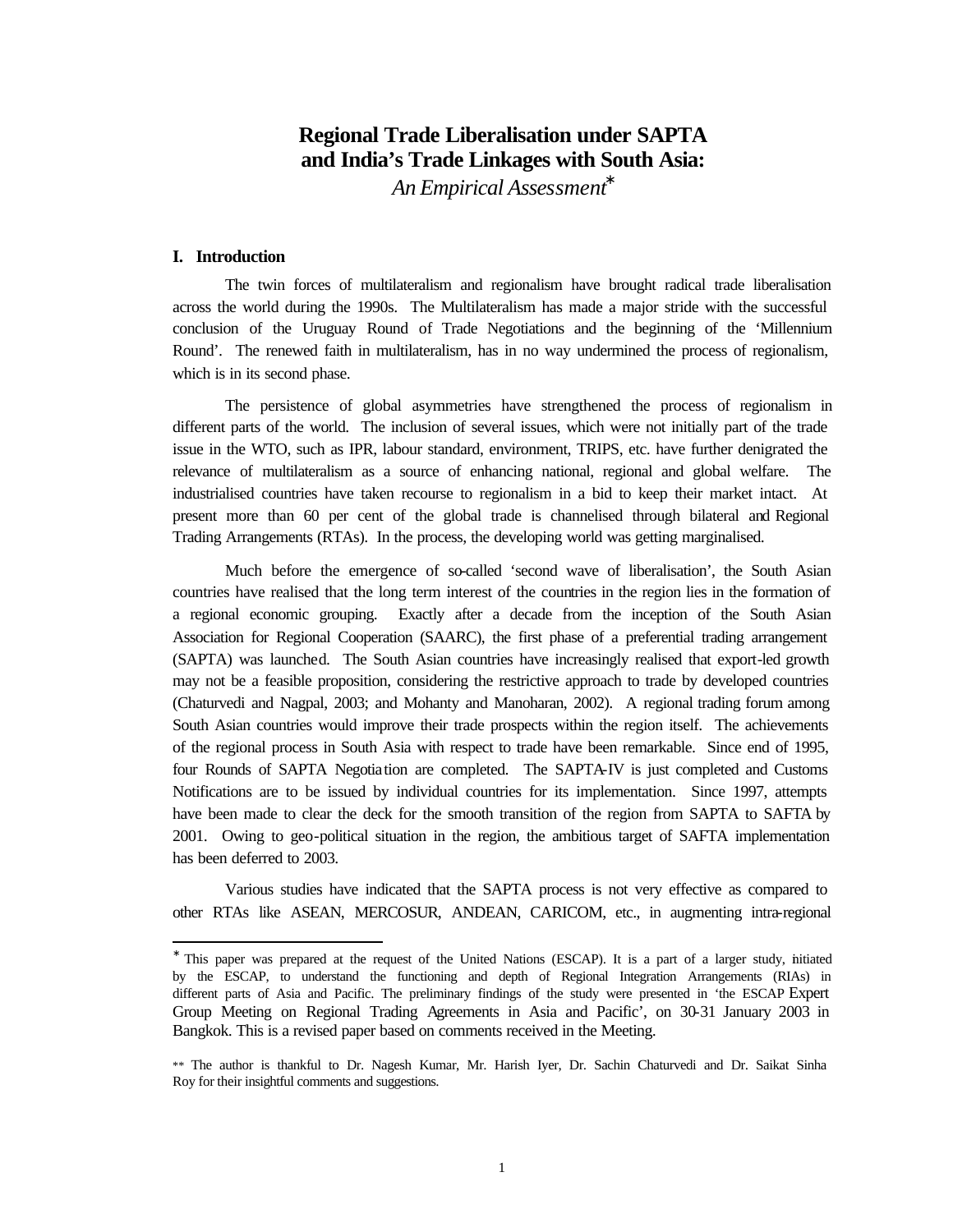## **Regional Trade Liberalisation under SAPTA and India's Trade Linkages with South Asia:**

*An Empirical Assessment\**

## **I. Introduction**

l

The twin forces of multilateralism and regionalism have brought radical trade liberalisation across the world during the 1990s. The Multilateralism has made a major stride with the successful conclusion of the Uruguay Round of Trade Negotiations and the beginning of the 'Millennium Round'. The renewed faith in multilateralism, has in no way undermined the process of regionalism, which is in its second phase.

The persistence of global asymmetries have strengthened the process of regionalism in different parts of the world. The inclusion of several issues, which were not initially part of the trade issue in the WTO, such as IPR, labour standard, environment, TRIPS, etc. have further denigrated the relevance of multilateralism as a source of enhancing national, regional and global welfare. The industrialised countries have taken recourse to regionalism in a bid to keep their market intact. At present more than 60 per cent of the global trade is channelised through bilateral and Regional Trading Arrangements (RTAs). In the process, the developing world was getting marginalised.

Much before the emergence of so-called 'second wave of liberalisation', the South Asian countries have realised that the long term interest of the countries in the region lies in the formation of a regional economic grouping. Exactly after a decade from the inception of the South Asian Association for Regional Cooperation (SAARC), the first phase of a preferential trading arrangement (SAPTA) was launched. The South Asian countries have increasingly realised that export-led growth may not be a feasible proposition, considering the restrictive approach to trade by developed countries (Chaturvedi and Nagpal, 2003; and Mohanty and Manoharan, 2002). A regional trading forum among South Asian countries would improve their trade prospects within the region itself. The achievements of the regional process in South Asia with respect to trade have been remarkable. Since end of 1995, four Rounds of SAPTA Negotiation are completed. The SAPTA-IV is just completed and Customs Notifications are to be issued by individual countries for its implementation. Since 1997, attempts have been made to clear the deck for the smooth transition of the region from SAPTA to SAFTA by 2001. Owing to geo-political situation in the region, the ambitious target of SAFTA implementation has been deferred to 2003.

Various studies have indicated that the SAPTA process is not very effective as compared to other RTAs like ASEAN, MERCOSUR, ANDEAN, CARICOM, etc., in augmenting intra-regional

<sup>∗</sup> This paper was prepared at the request of the United Nations (ESCAP). It is a part of a larger study, initiated by the ESCAP, to understand the functioning and depth of Regional Integration Arrangements (RIAs) in different parts of Asia and Pacific. The preliminary findings of the study were presented in 'the ESCAP Expert Group Meeting on Regional Trading Agreements in Asia and Pacific', on 30-31 January 2003 in Bangkok. This is a revised paper based on comments received in the Meeting.

<sup>\*\*</sup> The author is thankful to Dr. Nagesh Kumar, Mr. Harish Iyer, Dr. Sachin Chaturvedi and Dr. Saikat Sinha Roy for their insightful comments and suggestions.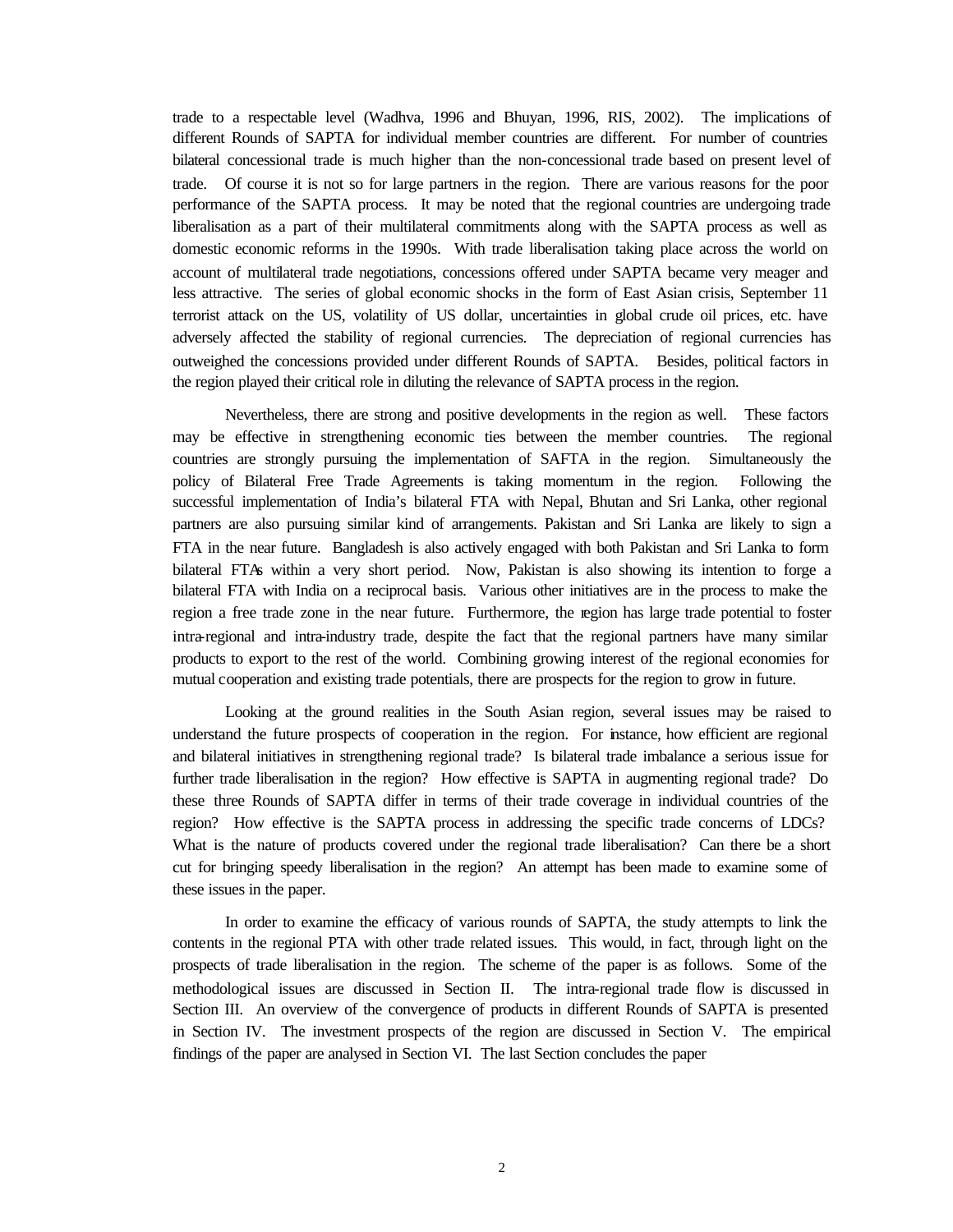trade to a respectable level (Wadhva, 1996 and Bhuyan, 1996, RIS, 2002). The implications of different Rounds of SAPTA for individual member countries are different. For number of countries bilateral concessional trade is much higher than the non-concessional trade based on present level of trade. Of course it is not so for large partners in the region. There are various reasons for the poor performance of the SAPTA process. It may be noted that the regional countries are undergoing trade liberalisation as a part of their multilateral commitments along with the SAPTA process as well as domestic economic reforms in the 1990s. With trade liberalisation taking place across the world on account of multilateral trade negotiations, concessions offered under SAPTA became very meager and less attractive. The series of global economic shocks in the form of East Asian crisis, September 11 terrorist attack on the US, volatility of US dollar, uncertainties in global crude oil prices, etc. have adversely affected the stability of regional currencies. The depreciation of regional currencies has outweighed the concessions provided under different Rounds of SAPTA. Besides, political factors in the region played their critical role in diluting the relevance of SAPTA process in the region.

Nevertheless, there are strong and positive developments in the region as well. These factors may be effective in strengthening economic ties between the member countries. The regional countries are strongly pursuing the implementation of SAFTA in the region. Simultaneously the policy of Bilateral Free Trade Agreements is taking momentum in the region. Following the successful implementation of India's bilateral FTA with Nepal, Bhutan and Sri Lanka, other regional partners are also pursuing similar kind of arrangements. Pakistan and Sri Lanka are likely to sign a FTA in the near future. Bangladesh is also actively engaged with both Pakistan and Sri Lanka to form bilateral FTAs within a very short period. Now, Pakistan is also showing its intention to forge a bilateral FTA with India on a reciprocal basis. Various other initiatives are in the process to make the region a free trade zone in the near future. Furthermore, the region has large trade potential to foster intra-regional and intra-industry trade, despite the fact that the regional partners have many similar products to export to the rest of the world. Combining growing interest of the regional economies for mutual cooperation and existing trade potentials, there are prospects for the region to grow in future.

Looking at the ground realities in the South Asian region, several issues may be raised to understand the future prospects of cooperation in the region. For instance, how efficient are regional and bilateral initiatives in strengthening regional trade? Is bilateral trade imbalance a serious issue for further trade liberalisation in the region? How effective is SAPTA in augmenting regional trade? Do these three Rounds of SAPTA differ in terms of their trade coverage in individual countries of the region? How effective is the SAPTA process in addressing the specific trade concerns of LDCs? What is the nature of products covered under the regional trade liberalisation? Can there be a short cut for bringing speedy liberalisation in the region? An attempt has been made to examine some of these issues in the paper.

In order to examine the efficacy of various rounds of SAPTA, the study attempts to link the contents in the regional PTA with other trade related issues. This would, in fact, through light on the prospects of trade liberalisation in the region. The scheme of the paper is as follows. Some of the methodological issues are discussed in Section II. The intra-regional trade flow is discussed in Section III. An overview of the convergence of products in different Rounds of SAPTA is presented in Section IV. The investment prospects of the region are discussed in Section V. The empirical findings of the paper are analysed in Section VI. The last Section concludes the paper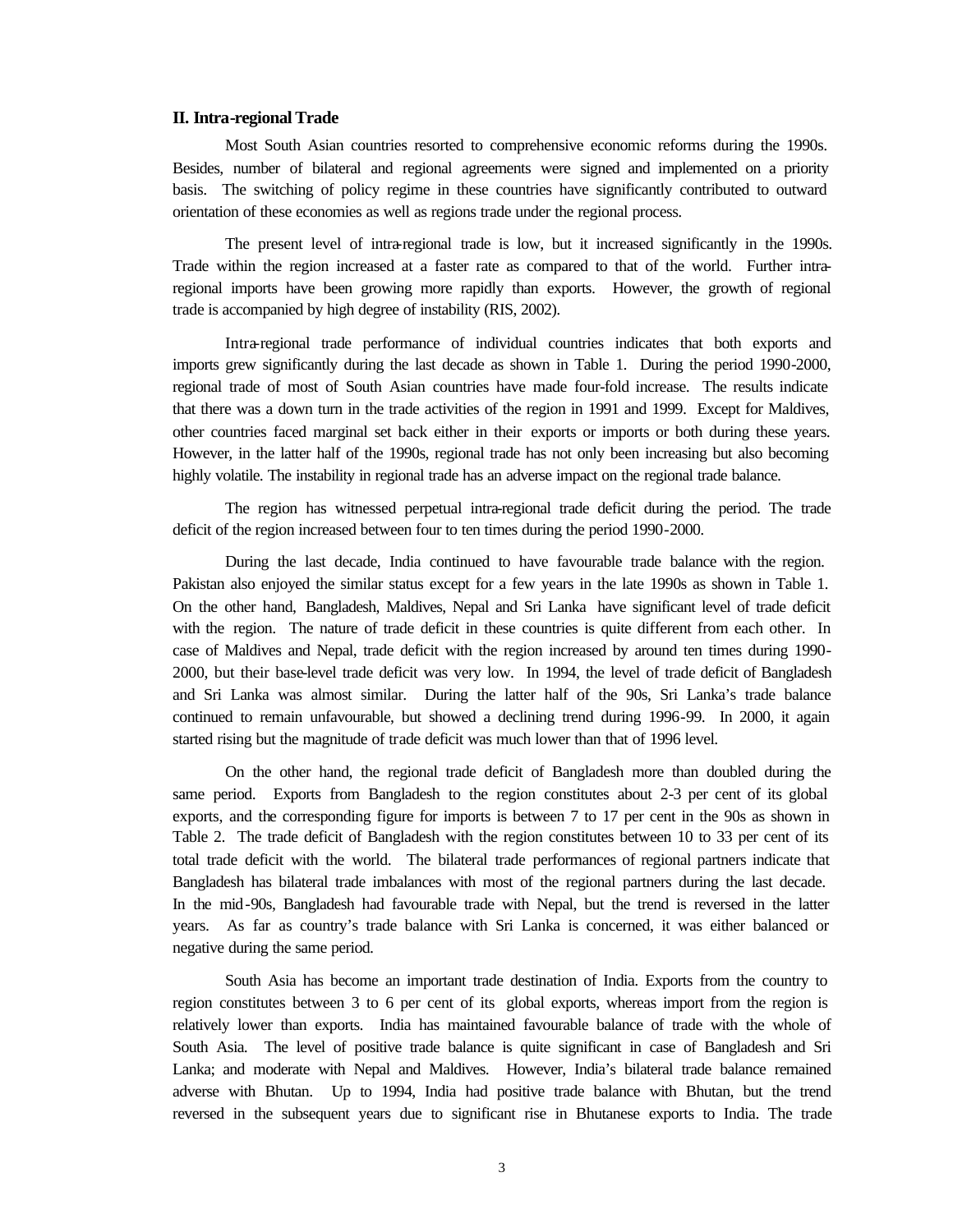#### **II. Intra-regional Trade**

Most South Asian countries resorted to comprehensive economic reforms during the 1990s. Besides, number of bilateral and regional agreements were signed and implemented on a priority basis. The switching of policy regime in these countries have significantly contributed to outward orientation of these economies as well as regions trade under the regional process.

The present level of intra-regional trade is low, but it increased significantly in the 1990s. Trade within the region increased at a faster rate as compared to that of the world. Further intraregional imports have been growing more rapidly than exports. However, the growth of regional trade is accompanied by high degree of instability (RIS, 2002).

Intra-regional trade performance of individual countries indicates that both exports and imports grew significantly during the last decade as shown in Table 1. During the period 1990-2000, regional trade of most of South Asian countries have made four-fold increase. The results indicate that there was a down turn in the trade activities of the region in 1991 and 1999. Except for Maldives, other countries faced marginal set back either in their exports or imports or both during these years. However, in the latter half of the 1990s, regional trade has not only been increasing but also becoming highly volatile. The instability in regional trade has an adverse impact on the regional trade balance.

The region has witnessed perpetual intra-regional trade deficit during the period. The trade deficit of the region increased between four to ten times during the period 1990-2000.

During the last decade, India continued to have favourable trade balance with the region. Pakistan also enjoyed the similar status except for a few years in the late 1990s as shown in Table 1. On the other hand, Bangladesh, Maldives, Nepal and Sri Lanka have significant level of trade deficit with the region. The nature of trade deficit in these countries is quite different from each other. In case of Maldives and Nepal, trade deficit with the region increased by around ten times during 1990- 2000, but their base-level trade deficit was very low. In 1994, the level of trade deficit of Bangladesh and Sri Lanka was almost similar. During the latter half of the 90s, Sri Lanka's trade balance continued to remain unfavourable, but showed a declining trend during 1996-99. In 2000, it again started rising but the magnitude of trade deficit was much lower than that of 1996 level.

On the other hand, the regional trade deficit of Bangladesh more than doubled during the same period. Exports from Bangladesh to the region constitutes about 2-3 per cent of its global exports, and the corresponding figure for imports is between 7 to 17 per cent in the 90s as shown in Table 2. The trade deficit of Bangladesh with the region constitutes between 10 to 33 per cent of its total trade deficit with the world. The bilateral trade performances of regional partners indicate that Bangladesh has bilateral trade imbalances with most of the regional partners during the last decade. In the mid-90s, Bangladesh had favourable trade with Nepal, but the trend is reversed in the latter years. As far as country's trade balance with Sri Lanka is concerned, it was either balanced or negative during the same period.

South Asia has become an important trade destination of India. Exports from the country to region constitutes between 3 to 6 per cent of its global exports, whereas import from the region is relatively lower than exports. India has maintained favourable balance of trade with the whole of South Asia. The level of positive trade balance is quite significant in case of Bangladesh and Sri Lanka; and moderate with Nepal and Maldives. However, India's bilateral trade balance remained adverse with Bhutan. Up to 1994, India had positive trade balance with Bhutan, but the trend reversed in the subsequent years due to significant rise in Bhutanese exports to India. The trade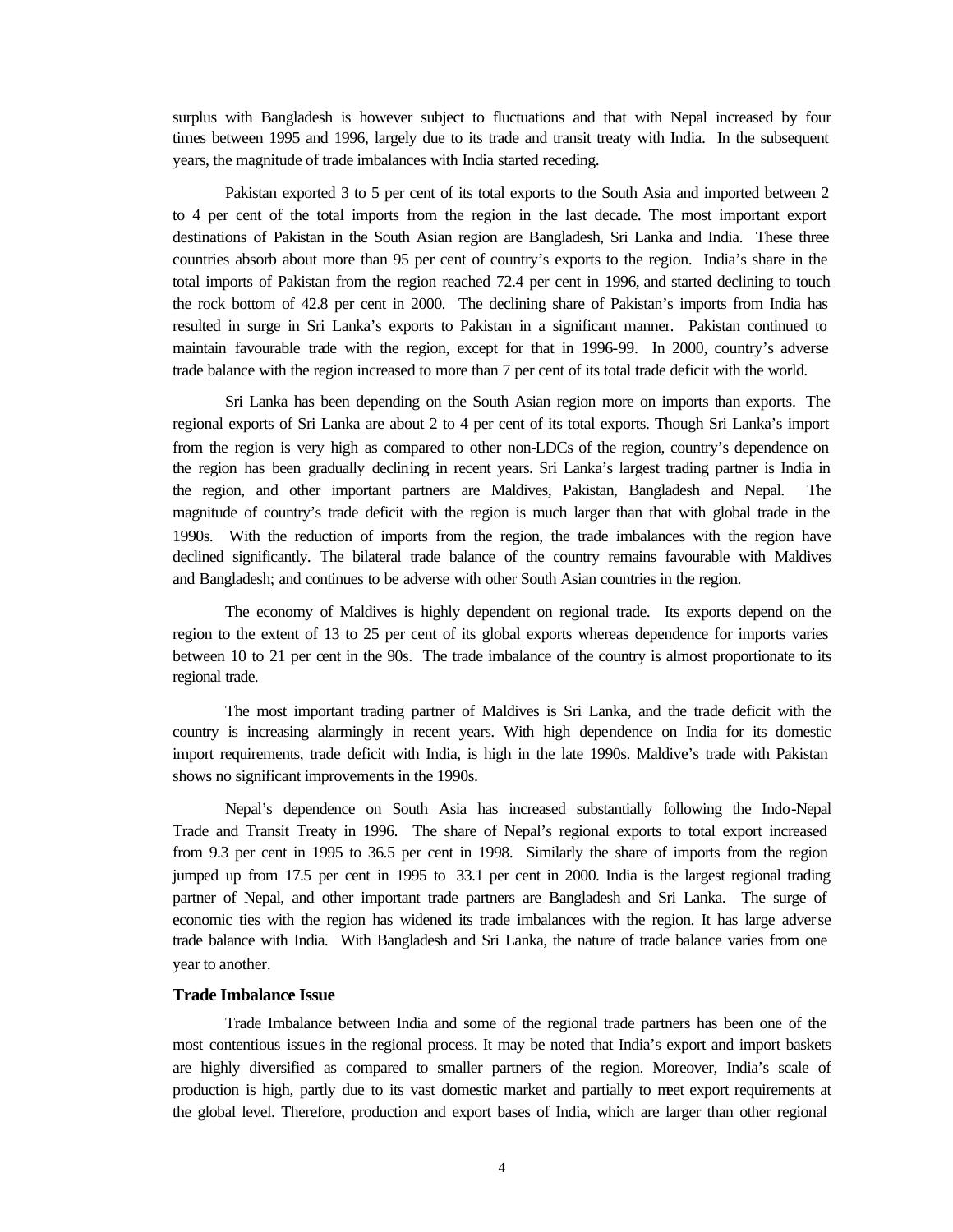surplus with Bangladesh is however subject to fluctuations and that with Nepal increased by four times between 1995 and 1996, largely due to its trade and transit treaty with India. In the subsequent years, the magnitude of trade imbalances with India started receding.

Pakistan exported 3 to 5 per cent of its total exports to the South Asia and imported between 2 to 4 per cent of the total imports from the region in the last decade. The most important export destinations of Pakistan in the South Asian region are Bangladesh, Sri Lanka and India. These three countries absorb about more than 95 per cent of country's exports to the region. India's share in the total imports of Pakistan from the region reached 72.4 per cent in 1996, and started declining to touch the rock bottom of 42.8 per cent in 2000. The declining share of Pakistan's imports from India has resulted in surge in Sri Lanka's exports to Pakistan in a significant manner. Pakistan continued to maintain favourable trade with the region, except for that in 1996-99. In 2000, country's adverse trade balance with the region increased to more than 7 per cent of its total trade deficit with the world.

Sri Lanka has been depending on the South Asian region more on imports than exports. The regional exports of Sri Lanka are about 2 to 4 per cent of its total exports. Though Sri Lanka's import from the region is very high as compared to other non-LDCs of the region, country's dependence on the region has been gradually declining in recent years. Sri Lanka's largest trading partner is India in the region, and other important partners are Maldives, Pakistan, Bangladesh and Nepal. The magnitude of country's trade deficit with the region is much larger than that with global trade in the 1990s. With the reduction of imports from the region, the trade imbalances with the region have declined significantly. The bilateral trade balance of the country remains favourable with Maldives and Bangladesh; and continues to be adverse with other South Asian countries in the region.

The economy of Maldives is highly dependent on regional trade. Its exports depend on the region to the extent of 13 to 25 per cent of its global exports whereas dependence for imports varies between 10 to 21 per cent in the 90s. The trade imbalance of the country is almost proportionate to its regional trade.

The most important trading partner of Maldives is Sri Lanka, and the trade deficit with the country is increasing alarmingly in recent years. With high dependence on India for its domestic import requirements, trade deficit with India, is high in the late 1990s. Maldive's trade with Pakistan shows no significant improvements in the 1990s.

Nepal's dependence on South Asia has increased substantially following the Indo-Nepal Trade and Transit Treaty in 1996. The share of Nepal's regional exports to total export increased from 9.3 per cent in 1995 to 36.5 per cent in 1998. Similarly the share of imports from the region jumped up from 17.5 per cent in 1995 to 33.1 per cent in 2000. India is the largest regional trading partner of Nepal, and other important trade partners are Bangladesh and Sri Lanka. The surge of economic ties with the region has widened its trade imbalances with the region. It has large adverse trade balance with India. With Bangladesh and Sri Lanka, the nature of trade balance varies from one year to another.

#### **Trade Imbalance Issue**

Trade Imbalance between India and some of the regional trade partners has been one of the most contentious issues in the regional process. It may be noted that India's export and import baskets are highly diversified as compared to smaller partners of the region. Moreover, India's scale of production is high, partly due to its vast domestic market and partially to meet export requirements at the global level. Therefore, production and export bases of India, which are larger than other regional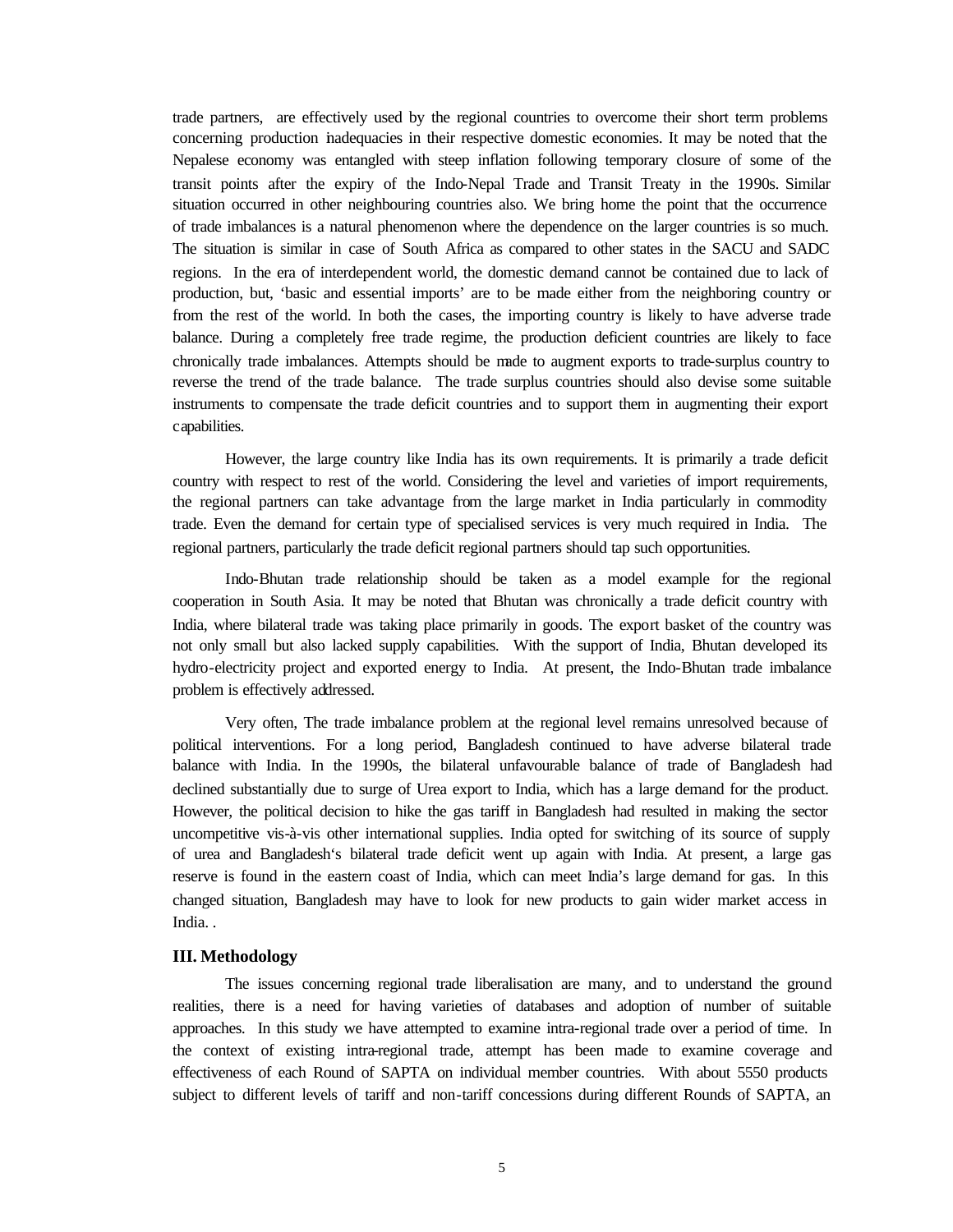trade partners, are effectively used by the regional countries to overcome their short term problems concerning production inadequacies in their respective domestic economies. It may be noted that the Nepalese economy was entangled with steep inflation following temporary closure of some of the transit points after the expiry of the Indo-Nepal Trade and Transit Treaty in the 1990s. Similar situation occurred in other neighbouring countries also. We bring home the point that the occurrence of trade imbalances is a natural phenomenon where the dependence on the larger countries is so much. The situation is similar in case of South Africa as compared to other states in the SACU and SADC regions. In the era of interdependent world, the domestic demand cannot be contained due to lack of production, but, 'basic and essential imports' are to be made either from the neighboring country or from the rest of the world. In both the cases, the importing country is likely to have adverse trade balance. During a completely free trade regime, the production deficient countries are likely to face chronically trade imbalances. Attempts should be made to augment exports to trade-surplus country to reverse the trend of the trade balance. The trade surplus countries should also devise some suitable instruments to compensate the trade deficit countries and to support them in augmenting their export capabilities.

However, the large country like India has its own requirements. It is primarily a trade deficit country with respect to rest of the world. Considering the level and varieties of import requirements, the regional partners can take advantage from the large market in India particularly in commodity trade. Even the demand for certain type of specialised services is very much required in India. The regional partners, particularly the trade deficit regional partners should tap such opportunities.

Indo-Bhutan trade relationship should be taken as a model example for the regional cooperation in South Asia. It may be noted that Bhutan was chronically a trade deficit country with India, where bilateral trade was taking place primarily in goods. The export basket of the country was not only small but also lacked supply capabilities. With the support of India, Bhutan developed its hydro-electricity project and exported energy to India. At present, the Indo-Bhutan trade imbalance problem is effectively addressed.

Very often, The trade imbalance problem at the regional level remains unresolved because of political interventions. For a long period, Bangladesh continued to have adverse bilateral trade balance with India. In the 1990s, the bilateral unfavourable balance of trade of Bangladesh had declined substantially due to surge of Urea export to India, which has a large demand for the product. However, the political decision to hike the gas tariff in Bangladesh had resulted in making the sector uncompetitive vis-à-vis other international supplies. India opted for switching of its source of supply of urea and Bangladesh's bilateral trade deficit went up again with India. At present, a large gas reserve is found in the eastern coast of India, which can meet India's large demand for gas. In this changed situation, Bangladesh may have to look for new products to gain wider market access in India. .

#### **III. Methodology**

The issues concerning regional trade liberalisation are many, and to understand the ground realities, there is a need for having varieties of databases and adoption of number of suitable approaches. In this study we have attempted to examine intra-regional trade over a period of time. In the context of existing intra-regional trade, attempt has been made to examine coverage and effectiveness of each Round of SAPTA on individual member countries. With about 5550 products subject to different levels of tariff and non-tariff concessions during different Rounds of SAPTA, an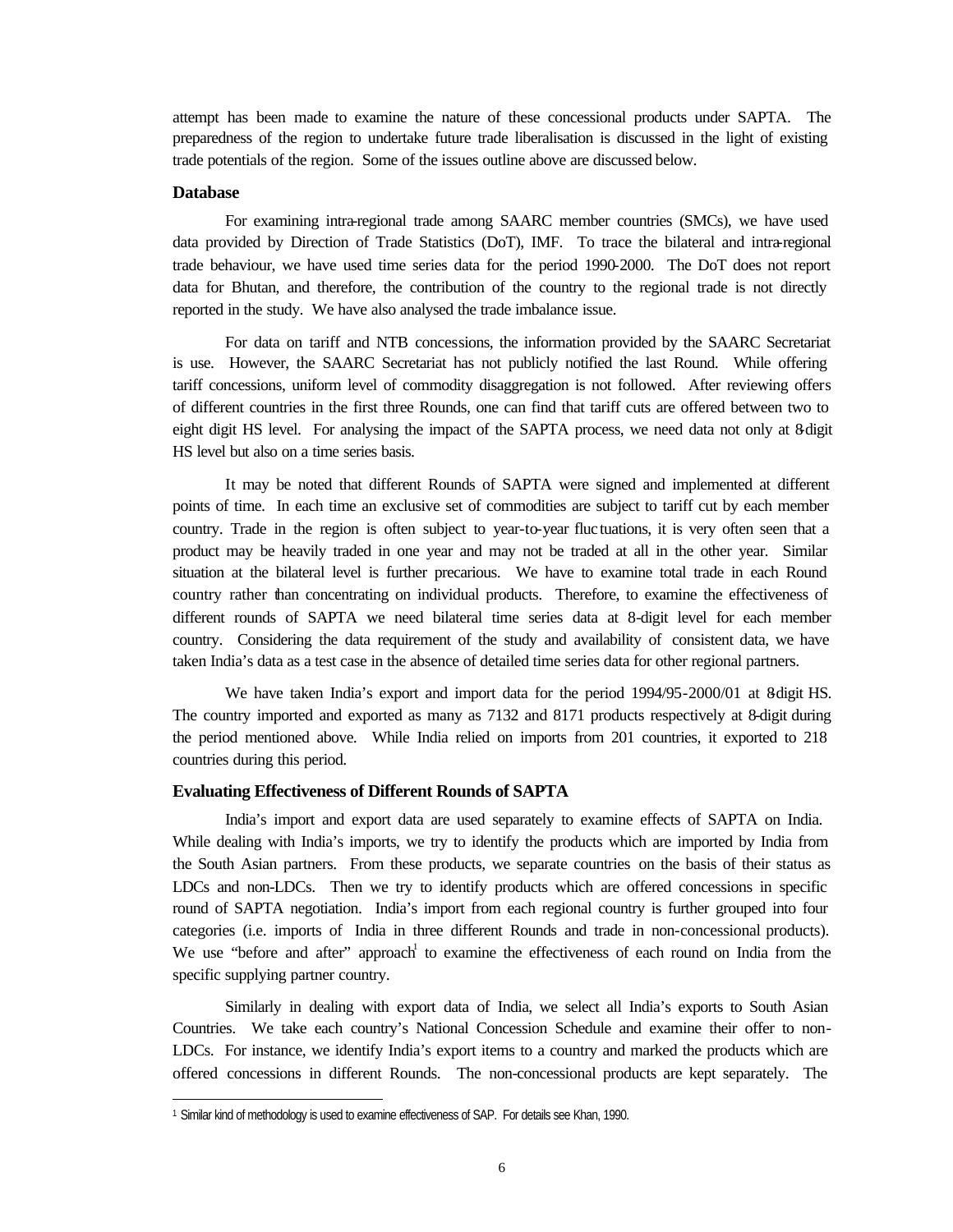attempt has been made to examine the nature of these concessional products under SAPTA. The preparedness of the region to undertake future trade liberalisation is discussed in the light of existing trade potentials of the region. Some of the issues outline above are discussed below.

#### **Database**

l

For examining intra-regional trade among SAARC member countries (SMCs), we have used data provided by Direction of Trade Statistics (DoT), IMF. To trace the bilateral and intra-regional trade behaviour, we have used time series data for the period 1990-2000. The DoT does not report data for Bhutan, and therefore, the contribution of the country to the regional trade is not directly reported in the study. We have also analysed the trade imbalance issue.

For data on tariff and NTB concessions, the information provided by the SAARC Secretariat is use. However, the SAARC Secretariat has not publicly notified the last Round. While offering tariff concessions, uniform level of commodity disaggregation is not followed. After reviewing offers of different countries in the first three Rounds, one can find that tariff cuts are offered between two to eight digit HS level. For analysing the impact of the SAPTA process, we need data not only at 8-digit HS level but also on a time series basis.

It may be noted that different Rounds of SAPTA were signed and implemented at different points of time. In each time an exclusive set of commodities are subject to tariff cut by each member country. Trade in the region is often subject to year-to-year fluctuations, it is very often seen that a product may be heavily traded in one year and may not be traded at all in the other year. Similar situation at the bilateral level is further precarious. We have to examine total trade in each Round country rather than concentrating on individual products. Therefore, to examine the effectiveness of different rounds of SAPTA we need bilateral time series data at 8-digit level for each member country. Considering the data requirement of the study and availability of consistent data, we have taken India's data as a test case in the absence of detailed time series data for other regional partners.

We have taken India's export and import data for the period  $1994/95-2000/01$  at 8-digit HS. The country imported and exported as many as 7132 and 8171 products respectively at 8-digit during the period mentioned above. While India relied on imports from 201 countries, it exported to 218 countries during this period.

#### **Evaluating Effectiveness of Different Rounds of SAPTA**

India's import and export data are used separately to examine effects of SAPTA on India. While dealing with India's imports, we try to identify the products which are imported by India from the South Asian partners. From these products, we separate countries on the basis of their status as LDCs and non-LDCs. Then we try to identify products which are offered concessions in specific round of SAPTA negotiation. India's import from each regional country is further grouped into four categories (i.e. imports of India in three different Rounds and trade in non-concessional products). We use "before and after" approach to examine the effectiveness of each round on India from the specific supplying partner country.

Similarly in dealing with export data of India, we select all India's exports to South Asian Countries. We take each country's National Concession Schedule and examine their offer to non-LDCs. For instance, we identify India's export items to a country and marked the products which are offered concessions in different Rounds. The non-concessional products are kept separately. The

<sup>1</sup> Similar kind of methodology is used to examine effectiveness of SAP. For details see Khan, 1990.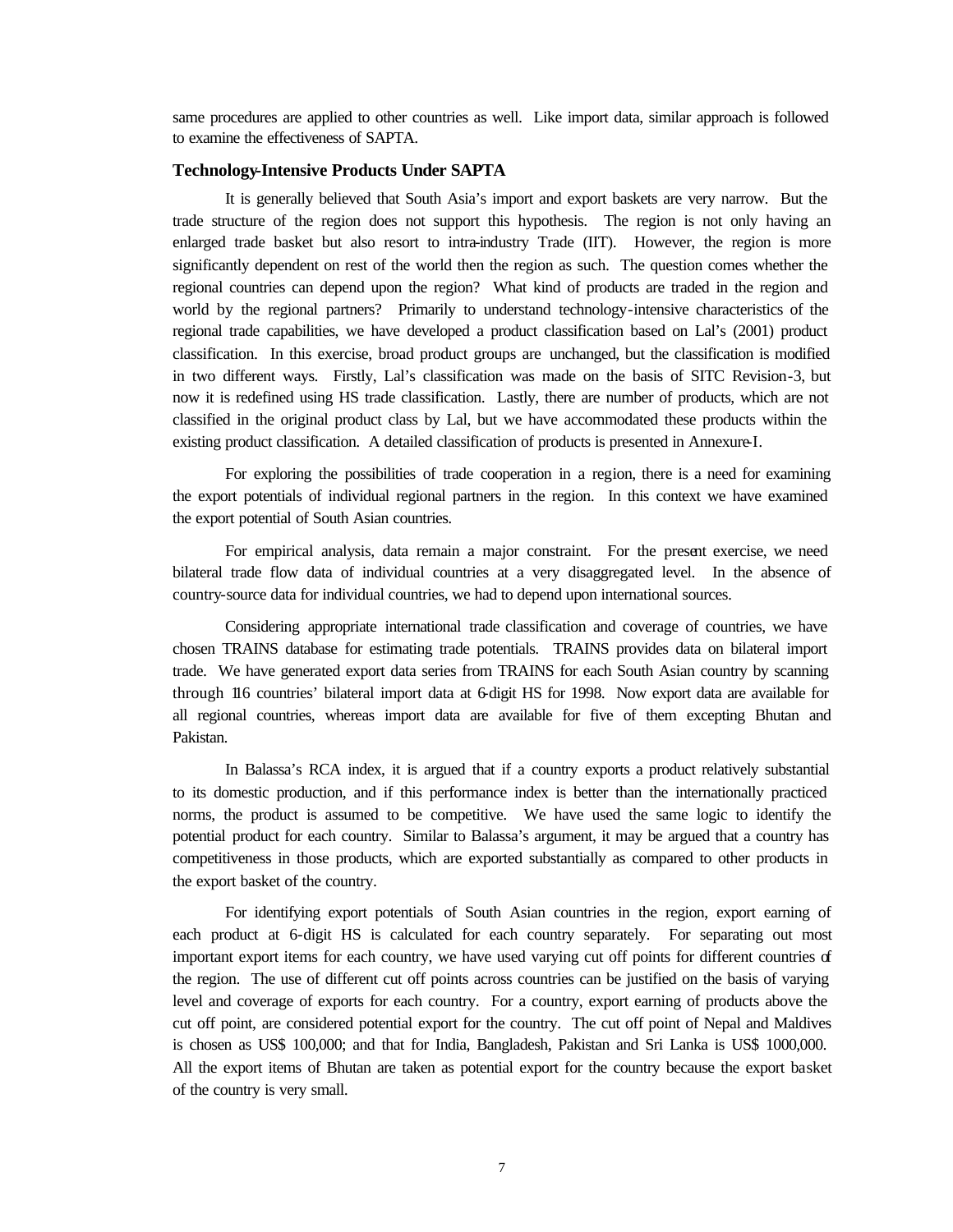same procedures are applied to other countries as well. Like import data, similar approach is followed to examine the effectiveness of SAPTA.

#### **Technology-Intensive Products Under SAPTA**

It is generally believed that South Asia's import and export baskets are very narrow. But the trade structure of the region does not support this hypothesis. The region is not only having an enlarged trade basket but also resort to intra-industry Trade (IIT). However, the region is more significantly dependent on rest of the world then the region as such. The question comes whether the regional countries can depend upon the region? What kind of products are traded in the region and world by the regional partners? Primarily to understand technology-intensive characteristics of the regional trade capabilities, we have developed a product classification based on Lal's (2001) product classification. In this exercise, broad product groups are unchanged, but the classification is modified in two different ways. Firstly, Lal's classification was made on the basis of SITC Revision-3, but now it is redefined using HS trade classification. Lastly, there are number of products, which are not classified in the original product class by Lal, but we have accommodated these products within the existing product classification. A detailed classification of products is presented in Annexure-I.

For exploring the possibilities of trade cooperation in a region, there is a need for examining the export potentials of individual regional partners in the region. In this context we have examined the export potential of South Asian countries.

For empirical analysis, data remain a major constraint. For the present exercise, we need bilateral trade flow data of individual countries at a very disaggregated level. In the absence of country-source data for individual countries, we had to depend upon international sources.

Considering appropriate international trade classification and coverage of countries, we have chosen TRAINS database for estimating trade potentials. TRAINS provides data on bilateral import trade. We have generated export data series from TRAINS for each South Asian country by scanning through 116 countries' bilateral import data at 6-digit HS for 1998. Now export data are available for all regional countries, whereas import data are available for five of them excepting Bhutan and Pakistan.

In Balassa's RCA index, it is argued that if a country exports a product relatively substantial to its domestic production, and if this performance index is better than the internationally practiced norms, the product is assumed to be competitive. We have used the same logic to identify the potential product for each country. Similar to Balassa's argument, it may be argued that a country has competitiveness in those products, which are exported substantially as compared to other products in the export basket of the country.

For identifying export potentials of South Asian countries in the region, export earning of each product at 6-digit HS is calculated for each country separately. For separating out most important export items for each country, we have used varying cut off points for different countries of the region. The use of different cut off points across countries can be justified on the basis of varying level and coverage of exports for each country. For a country, export earning of products above the cut off point, are considered potential export for the country. The cut off point of Nepal and Maldives is chosen as US\$ 100,000; and that for India, Bangladesh, Pakistan and Sri Lanka is US\$ 1000,000. All the export items of Bhutan are taken as potential export for the country because the export basket of the country is very small.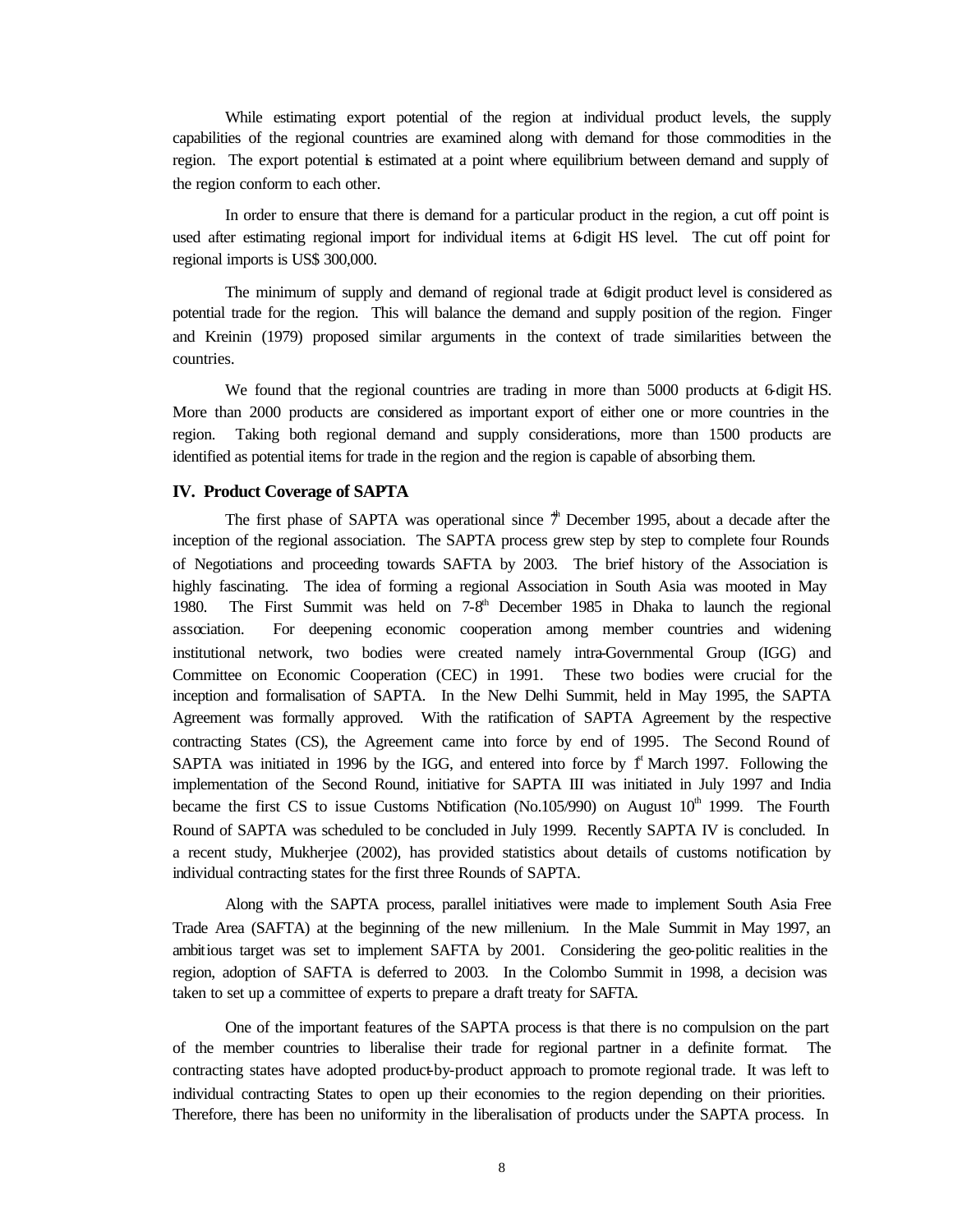While estimating export potential of the region at individual product levels, the supply capabilities of the regional countries are examined along with demand for those commodities in the region. The export potential is estimated at a point where equilibrium between demand and supply of the region conform to each other.

In order to ensure that there is demand for a particular product in the region, a cut off point is used after estimating regional import for individual items at 6-digit HS level. The cut off point for regional imports is US\$ 300,000.

The minimum of supply and demand of regional trade at 6 digit product level is considered as potential trade for the region. This will balance the demand and supply position of the region. Finger and Kreinin (1979) proposed similar arguments in the context of trade similarities between the countries.

We found that the regional countries are trading in more than 5000 products at 6-digit HS. More than 2000 products are considered as important export of either one or more countries in the region. Taking both regional demand and supply considerations, more than 1500 products are identified as potential items for trade in the region and the region is capable of absorbing them.

#### **IV. Product Coverage of SAPTA**

The first phase of SAPTA was operational since  $\ddot{\tau}$  December 1995, about a decade after the inception of the regional association. The SAPTA process grew step by step to complete four Rounds of Negotiations and proceeding towards SAFTA by 2003. The brief history of the Association is highly fascinating. The idea of forming a regional Association in South Asia was mooted in May 1980. The First Summit was held on  $7-8<sup>th</sup>$  December 1985 in Dhaka to launch the regional association. For deepening economic cooperation among member countries and widening institutional network, two bodies were created namely intra-Governmental Group (IGG) and Committee on Economic Cooperation (CEC) in 1991. These two bodies were crucial for the inception and formalisation of SAPTA. In the New Delhi Summit, held in May 1995, the SAPTA Agreement was formally approved. With the ratification of SAPTA Agreement by the respective contracting States (CS), the Agreement came into force by end of 1995. The Second Round of SAPTA was initiated in 1996 by the IGG, and entered into force by  $f<sup>st</sup>$  March 1997. Following the implementation of the Second Round, initiative for SAPTA III was initiated in July 1997 and India became the first CS to issue Customs Notification (No.105/990) on August  $10<sup>th</sup>$  1999. The Fourth Round of SAPTA was scheduled to be concluded in July 1999. Recently SAPTA IV is concluded. In a recent study, Mukherjee (2002), has provided statistics about details of customs notification by individual contracting states for the first three Rounds of SAPTA.

Along with the SAPTA process, parallel initiatives were made to implement South Asia Free Trade Area (SAFTA) at the beginning of the new millenium. In the Male Summit in May 1997, an ambitious target was set to implement SAFTA by 2001. Considering the geo-politic realities in the region, adoption of SAFTA is deferred to 2003. In the Colombo Summit in 1998, a decision was taken to set up a committee of experts to prepare a draft treaty for SAFTA.

One of the important features of the SAPTA process is that there is no compulsion on the part of the member countries to liberalise their trade for regional partner in a definite format. The contracting states have adopted product-by-product approach to promote regional trade. It was left to individual contracting States to open up their economies to the region depending on their priorities. Therefore, there has been no uniformity in the liberalisation of products under the SAPTA process. In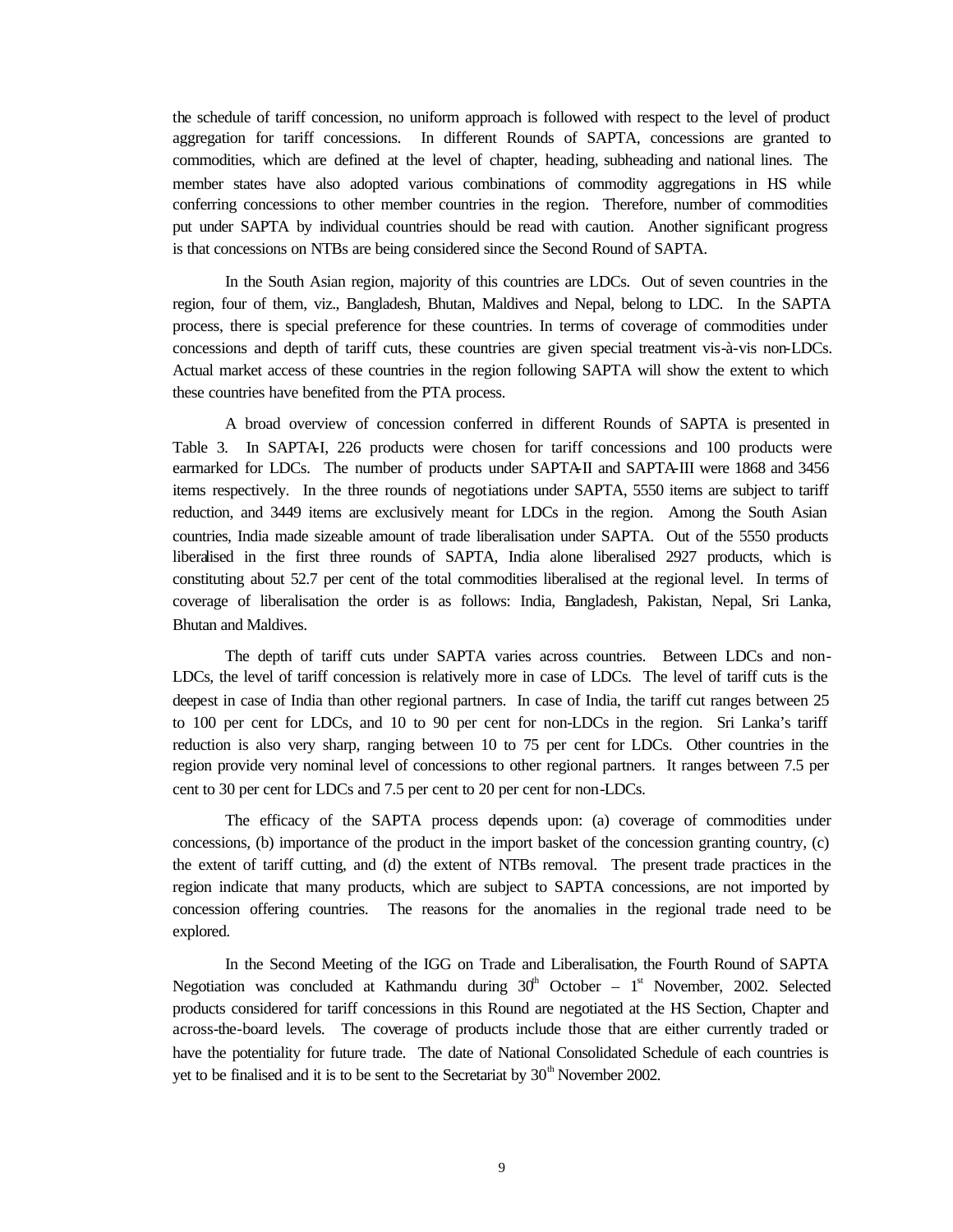the schedule of tariff concession, no uniform approach is followed with respect to the level of product aggregation for tariff concessions. In different Rounds of SAPTA, concessions are granted to commodities, which are defined at the level of chapter, heading, subheading and national lines. The member states have also adopted various combinations of commodity aggregations in HS while conferring concessions to other member countries in the region. Therefore, number of commodities put under SAPTA by individual countries should be read with caution. Another significant progress is that concessions on NTBs are being considered since the Second Round of SAPTA.

In the South Asian region, majority of this countries are LDCs. Out of seven countries in the region, four of them, viz., Bangladesh, Bhutan, Maldives and Nepal, belong to LDC. In the SAPTA process, there is special preference for these countries. In terms of coverage of commodities under concessions and depth of tariff cuts, these countries are given special treatment vis-à-vis non-LDCs. Actual market access of these countries in the region following SAPTA will show the extent to which these countries have benefited from the PTA process.

A broad overview of concession conferred in different Rounds of SAPTA is presented in Table 3. In SAPTA-I, 226 products were chosen for tariff concessions and 100 products were earmarked for LDCs. The number of products under SAPTA-II and SAPTA-III were 1868 and 3456 items respectively. In the three rounds of negotiations under SAPTA, 5550 items are subject to tariff reduction, and 3449 items are exclusively meant for LDCs in the region. Among the South Asian countries, India made sizeable amount of trade liberalisation under SAPTA. Out of the 5550 products liberalised in the first three rounds of SAPTA, India alone liberalised 2927 products, which is constituting about 52.7 per cent of the total commodities liberalised at the regional level. In terms of coverage of liberalisation the order is as follows: India, Bangladesh, Pakistan, Nepal, Sri Lanka, Bhutan and Maldives.

The depth of tariff cuts under SAPTA varies across countries. Between LDCs and non-LDCs, the level of tariff concession is relatively more in case of LDCs. The level of tariff cuts is the deepest in case of India than other regional partners. In case of India, the tariff cut ranges between 25 to 100 per cent for LDCs, and 10 to 90 per cent for non-LDCs in the region. Sri Lanka's tariff reduction is also very sharp, ranging between 10 to 75 per cent for LDCs. Other countries in the region provide very nominal level of concessions to other regional partners. It ranges between 7.5 per cent to 30 per cent for LDCs and 7.5 per cent to 20 per cent for non-LDCs.

The efficacy of the SAPTA process depends upon: (a) coverage of commodities under concessions, (b) importance of the product in the import basket of the concession granting country, (c) the extent of tariff cutting, and (d) the extent of NTBs removal. The present trade practices in the region indicate that many products, which are subject to SAPTA concessions, are not imported by concession offering countries. The reasons for the anomalies in the regional trade need to be explored.

In the Second Meeting of the IGG on Trade and Liberalisation, the Fourth Round of SAPTA Negotiation was concluded at Kathmandu during  $30<sup>th</sup>$  October – 1<sup>st</sup> November, 2002. Selected products considered for tariff concessions in this Round are negotiated at the HS Section, Chapter and across-the-board levels. The coverage of products include those that are either currently traded or have the potentiality for future trade. The date of National Consolidated Schedule of each countries is yet to be finalised and it is to be sent to the Secretariat by  $30<sup>th</sup>$  November 2002.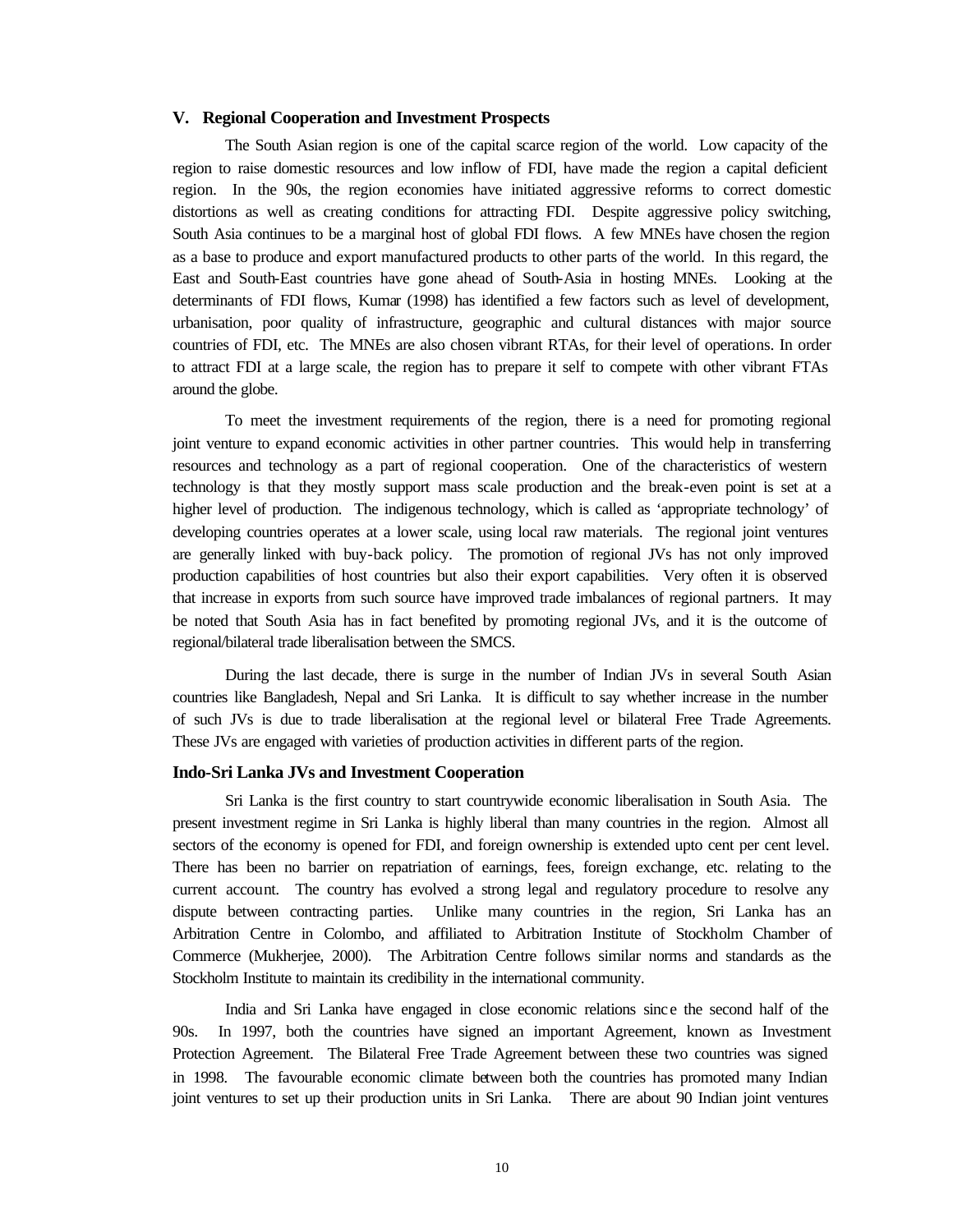#### **V. Regional Cooperation and Investment Prospects**

The South Asian region is one of the capital scarce region of the world. Low capacity of the region to raise domestic resources and low inflow of FDI, have made the region a capital deficient region. In the 90s, the region economies have initiated aggressive reforms to correct domestic distortions as well as creating conditions for attracting FDI. Despite aggressive policy switching, South Asia continues to be a marginal host of global FDI flows. A few MNEs have chosen the region as a base to produce and export manufactured products to other parts of the world. In this regard, the East and South-East countries have gone ahead of South-Asia in hosting MNEs. Looking at the determinants of FDI flows, Kumar (1998) has identified a few factors such as level of development, urbanisation, poor quality of infrastructure, geographic and cultural distances with major source countries of FDI, etc. The MNEs are also chosen vibrant RTAs, for their level of operations. In order to attract FDI at a large scale, the region has to prepare it self to compete with other vibrant FTAs around the globe.

To meet the investment requirements of the region, there is a need for promoting regional joint venture to expand economic activities in other partner countries. This would help in transferring resources and technology as a part of regional cooperation. One of the characteristics of western technology is that they mostly support mass scale production and the break-even point is set at a higher level of production. The indigenous technology, which is called as 'appropriate technology' of developing countries operates at a lower scale, using local raw materials. The regional joint ventures are generally linked with buy-back policy. The promotion of regional JVs has not only improved production capabilities of host countries but also their export capabilities. Very often it is observed that increase in exports from such source have improved trade imbalances of regional partners. It may be noted that South Asia has in fact benefited by promoting regional JVs, and it is the outcome of regional/bilateral trade liberalisation between the SMCS.

During the last decade, there is surge in the number of Indian JVs in several South Asian countries like Bangladesh, Nepal and Sri Lanka. It is difficult to say whether increase in the number of such JVs is due to trade liberalisation at the regional level or bilateral Free Trade Agreements. These JVs are engaged with varieties of production activities in different parts of the region.

#### **Indo-Sri Lanka JVs and Investment Cooperation**

Sri Lanka is the first country to start countrywide economic liberalisation in South Asia. The present investment regime in Sri Lanka is highly liberal than many countries in the region. Almost all sectors of the economy is opened for FDI, and foreign ownership is extended upto cent per cent level. There has been no barrier on repatriation of earnings, fees, foreign exchange, etc. relating to the current account. The country has evolved a strong legal and regulatory procedure to resolve any dispute between contracting parties. Unlike many countries in the region, Sri Lanka has an Arbitration Centre in Colombo, and affiliated to Arbitration Institute of Stockholm Chamber of Commerce (Mukherjee, 2000). The Arbitration Centre follows similar norms and standards as the Stockholm Institute to maintain its credibility in the international community.

India and Sri Lanka have engaged in close economic relations since the second half of the 90s. In 1997, both the countries have signed an important Agreement, known as Investment Protection Agreement. The Bilateral Free Trade Agreement between these two countries was signed in 1998. The favourable economic climate between both the countries has promoted many Indian joint ventures to set up their production units in Sri Lanka. There are about 90 Indian joint ventures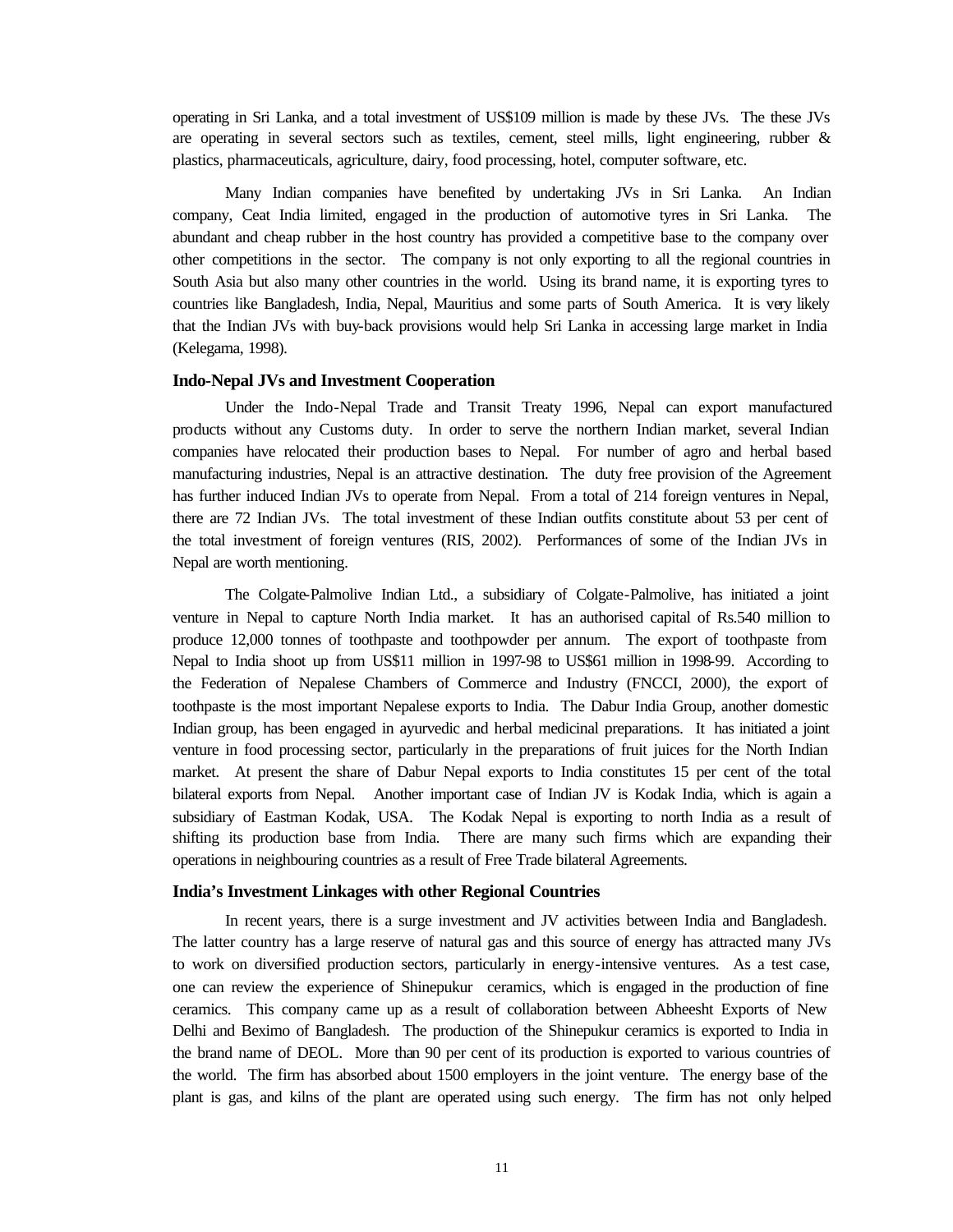operating in Sri Lanka, and a total investment of US\$109 million is made by these JVs. The these JVs are operating in several sectors such as textiles, cement, steel mills, light engineering, rubber & plastics, pharmaceuticals, agriculture, dairy, food processing, hotel, computer software, etc.

Many Indian companies have benefited by undertaking JVs in Sri Lanka. An Indian company, Ceat India limited, engaged in the production of automotive tyres in Sri Lanka. The abundant and cheap rubber in the host country has provided a competitive base to the company over other competitions in the sector. The company is not only exporting to all the regional countries in South Asia but also many other countries in the world. Using its brand name, it is exporting tyres to countries like Bangladesh, India, Nepal, Mauritius and some parts of South America. It is very likely that the Indian JVs with buy-back provisions would help Sri Lanka in accessing large market in India (Kelegama, 1998).

#### **Indo-Nepal JVs and Investment Cooperation**

Under the Indo-Nepal Trade and Transit Treaty 1996, Nepal can export manufactured products without any Customs duty. In order to serve the northern Indian market, several Indian companies have relocated their production bases to Nepal. For number of agro and herbal based manufacturing industries, Nepal is an attractive destination. The duty free provision of the Agreement has further induced Indian JVs to operate from Nepal. From a total of 214 foreign ventures in Nepal, there are 72 Indian JVs. The total investment of these Indian outfits constitute about 53 per cent of the total investment of foreign ventures (RIS, 2002). Performances of some of the Indian JVs in Nepal are worth mentioning.

The Colgate-Palmolive Indian Ltd., a subsidiary of Colgate-Palmolive, has initiated a joint venture in Nepal to capture North India market. It has an authorised capital of Rs.540 million to produce 12,000 tonnes of toothpaste and toothpowder per annum. The export of toothpaste from Nepal to India shoot up from US\$11 million in 1997-98 to US\$61 million in 1998-99. According to the Federation of Nepalese Chambers of Commerce and Industry (FNCCI, 2000), the export of toothpaste is the most important Nepalese exports to India. The Dabur India Group, another domestic Indian group, has been engaged in ayurvedic and herbal medicinal preparations. It has initiated a joint venture in food processing sector, particularly in the preparations of fruit juices for the North Indian market. At present the share of Dabur Nepal exports to India constitutes 15 per cent of the total bilateral exports from Nepal. Another important case of Indian JV is Kodak India, which is again a subsidiary of Eastman Kodak, USA. The Kodak Nepal is exporting to north India as a result of shifting its production base from India. There are many such firms which are expanding their operations in neighbouring countries as a result of Free Trade bilateral Agreements.

#### **India's Investment Linkages with other Regional Countries**

In recent years, there is a surge investment and JV activities between India and Bangladesh. The latter country has a large reserve of natural gas and this source of energy has attracted many JVs to work on diversified production sectors, particularly in energy-intensive ventures. As a test case, one can review the experience of Shinepukur ceramics, which is engaged in the production of fine ceramics. This company came up as a result of collaboration between Abheesht Exports of New Delhi and Beximo of Bangladesh. The production of the Shinepukur ceramics is exported to India in the brand name of DEOL. More than 90 per cent of its production is exported to various countries of the world. The firm has absorbed about 1500 employers in the joint venture. The energy base of the plant is gas, and kilns of the plant are operated using such energy. The firm has not only helped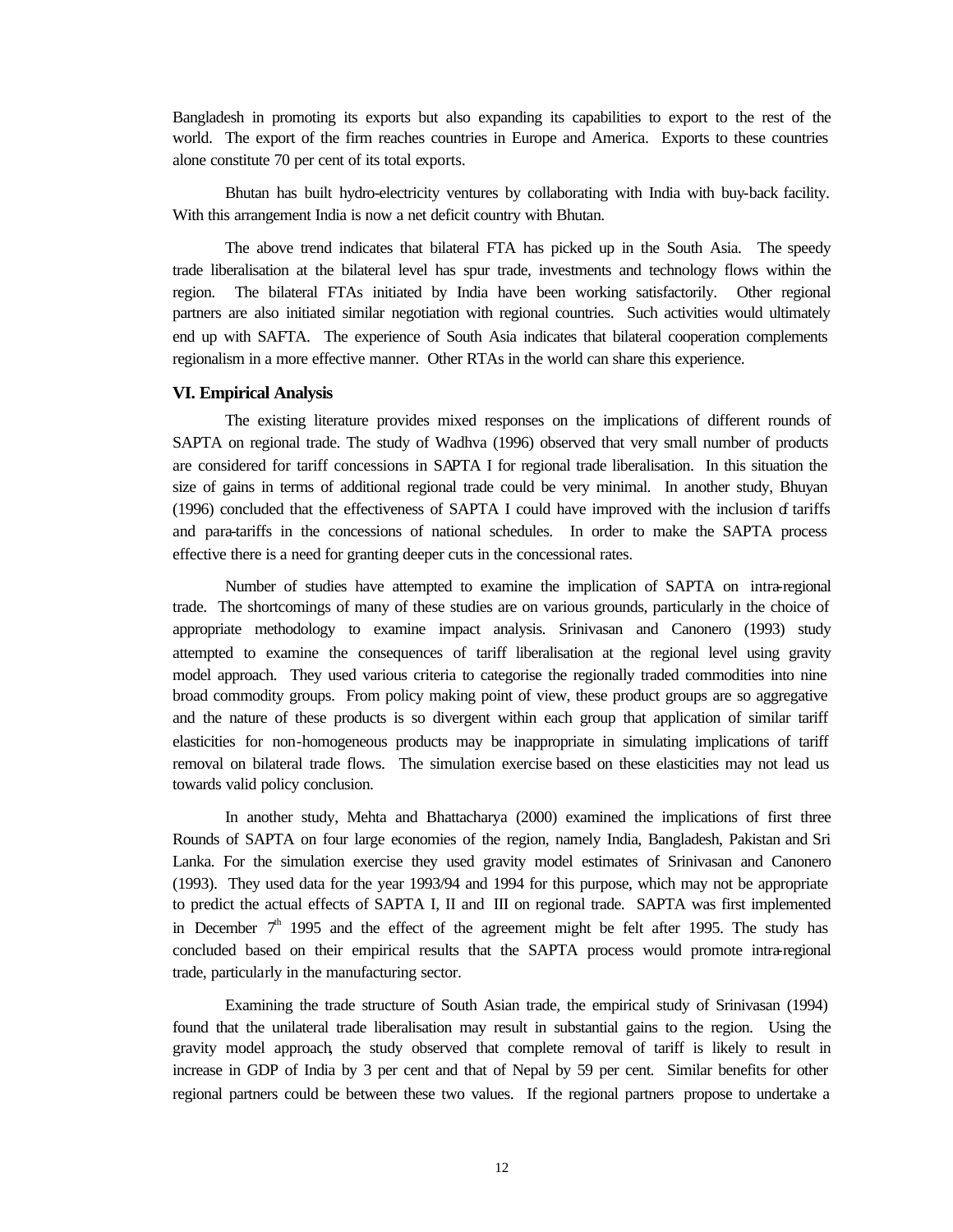Bangladesh in promoting its exports but also expanding its capabilities to export to the rest of the world. The export of the firm reaches countries in Europe and America. Exports to these countries alone constitute 70 per cent of its total exports.

Bhutan has built hydro-electricity ventures by collaborating with India with buy-back facility. With this arrangement India is now a net deficit country with Bhutan.

The above trend indicates that bilateral FTA has picked up in the South Asia. The speedy trade liberalisation at the bilateral level has spur trade, investments and technology flows within the region. The bilateral FTAs initiated by India have been working satisfactorily. Other regional partners are also initiated similar negotiation with regional countries. Such activities would ultimately end up with SAFTA. The experience of South Asia indicates that bilateral cooperation complements regionalism in a more effective manner. Other RTAs in the world can share this experience.

#### **VI. Empirical Analysis**

The existing literature provides mixed responses on the implications of different rounds of SAPTA on regional trade. The study of Wadhva (1996) observed that very small number of products are considered for tariff concessions in SAPTA I for regional trade liberalisation. In this situation the size of gains in terms of additional regional trade could be very minimal. In another study, Bhuyan (1996) concluded that the effectiveness of SAPTA I could have improved with the inclusion of tariffs and para-tariffs in the concessions of national schedules. In order to make the SAPTA process effective there is a need for granting deeper cuts in the concessional rates.

Number of studies have attempted to examine the implication of SAPTA on intra-regional trade. The shortcomings of many of these studies are on various grounds, particularly in the choice of appropriate methodology to examine impact analysis. Srinivasan and Canonero (1993) study attempted to examine the consequences of tariff liberalisation at the regional level using gravity model approach. They used various criteria to categorise the regionally traded commodities into nine broad commodity groups. From policy making point of view, these product groups are so aggregative and the nature of these products is so divergent within each group that application of similar tariff elasticities for non-homogeneous products may be inappropriate in simulating implications of tariff removal on bilateral trade flows. The simulation exercise based on these elasticities may not lead us towards valid policy conclusion.

In another study, Mehta and Bhattacharya (2000) examined the implications of first three Rounds of SAPTA on four large economies of the region, namely India, Bangladesh, Pakistan and Sri Lanka. For the simulation exercise they used gravity model estimates of Srinivasan and Canonero (1993). They used data for the year 1993/94 and 1994 for this purpose, which may not be appropriate to predict the actual effects of SAPTA I, II and III on regional trade. SAPTA was first implemented in December  $7<sup>th</sup>$  1995 and the effect of the agreement might be felt after 1995. The study has concluded based on their empirical results that the SAPTA process would promote intra-regional trade, particularly in the manufacturing sector.

Examining the trade structure of South Asian trade, the empirical study of Srinivasan (1994) found that the unilateral trade liberalisation may result in substantial gains to the region. Using the gravity model approach, the study observed that complete removal of tariff is likely to result in increase in GDP of India by 3 per cent and that of Nepal by 59 per cent. Similar benefits for other regional partners could be between these two values. If the regional partners propose to undertake a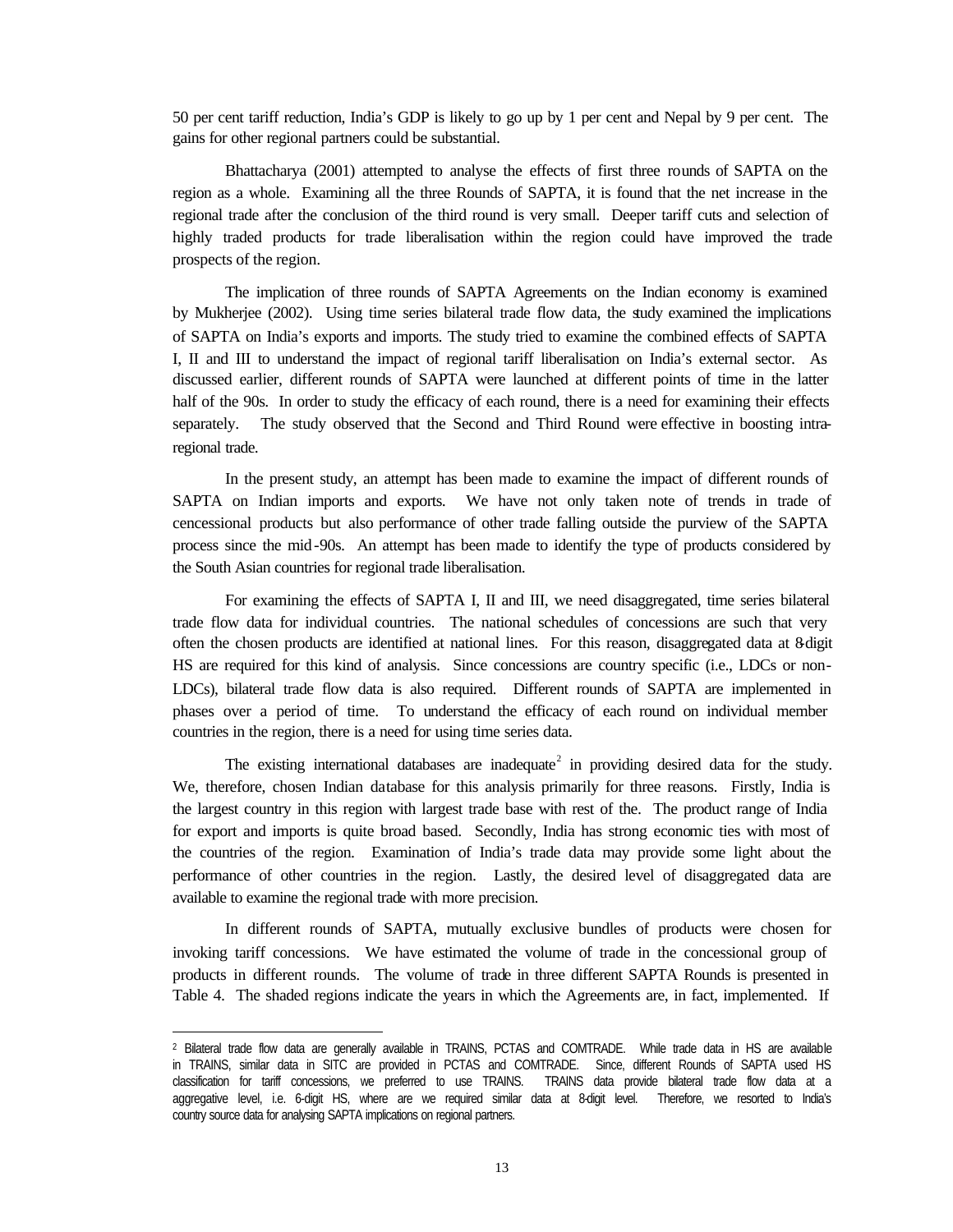50 per cent tariff reduction, India's GDP is likely to go up by 1 per cent and Nepal by 9 per cent. The gains for other regional partners could be substantial.

Bhattacharya (2001) attempted to analyse the effects of first three rounds of SAPTA on the region as a whole. Examining all the three Rounds of SAPTA, it is found that the net increase in the regional trade after the conclusion of the third round is very small. Deeper tariff cuts and selection of highly traded products for trade liberalisation within the region could have improved the trade prospects of the region.

The implication of three rounds of SAPTA Agreements on the Indian economy is examined by Mukherjee (2002). Using time series bilateral trade flow data, the study examined the implications of SAPTA on India's exports and imports. The study tried to examine the combined effects of SAPTA I, II and III to understand the impact of regional tariff liberalisation on India's external sector. As discussed earlier, different rounds of SAPTA were launched at different points of time in the latter half of the 90s. In order to study the efficacy of each round, there is a need for examining their effects separately. The study observed that the Second and Third Round were effective in boosting intraregional trade.

In the present study, an attempt has been made to examine the impact of different rounds of SAPTA on Indian imports and exports. We have not only taken note of trends in trade of cencessional products but also performance of other trade falling outside the purview of the SAPTA process since the mid-90s. An attempt has been made to identify the type of products considered by the South Asian countries for regional trade liberalisation.

For examining the effects of SAPTA I, II and III, we need disaggregated, time series bilateral trade flow data for individual countries. The national schedules of concessions are such that very often the chosen products are identified at national lines. For this reason, disaggregated data at 8-digit HS are required for this kind of analysis. Since concessions are country specific (i.e., LDCs or non-LDCs), bilateral trade flow data is also required. Different rounds of SAPTA are implemented in phases over a period of time. To understand the efficacy of each round on individual member countries in the region, there is a need for using time series data.

The existing international databases are inadequate<sup>2</sup> in providing desired data for the study. We, therefore, chosen Indian database for this analysis primarily for three reasons. Firstly, India is the largest country in this region with largest trade base with rest of the. The product range of India for export and imports is quite broad based. Secondly, India has strong economic ties with most of the countries of the region. Examination of India's trade data may provide some light about the performance of other countries in the region. Lastly, the desired level of disaggregated data are available to examine the regional trade with more precision.

In different rounds of SAPTA, mutually exclusive bundles of products were chosen for invoking tariff concessions. We have estimated the volume of trade in the concessional group of products in different rounds. The volume of trade in three different SAPTA Rounds is presented in Table 4. The shaded regions indicate the years in which the Agreements are, in fact, implemented. If

l

<sup>2</sup> Bilateral trade flow data are generally available in TRAINS, PCTAS and COMTRADE. While trade data in HS are available in TRAINS, similar data in SITC are provided in PCTAS and COMTRADE. Since, different Rounds of SAPTA used HS classification for tariff concessions, we preferred to use TRAINS. TRAINS data provide bilateral trade flow data at a aggregative level, i.e. 6-digit HS, where are we required similar data at 8-digit level. Therefore, we resorted to India's country source data for analysing SAPTA implications on regional partners.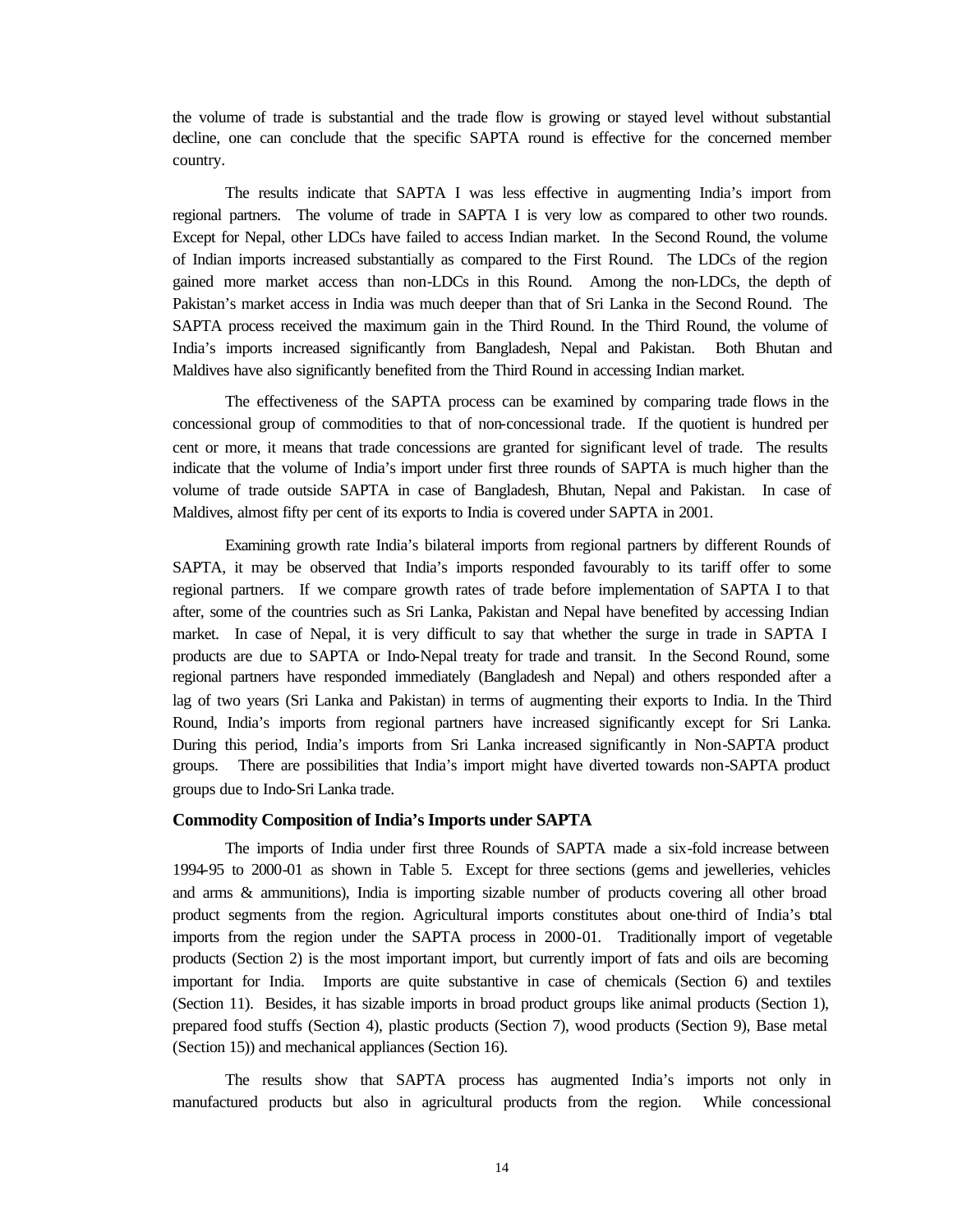the volume of trade is substantial and the trade flow is growing or stayed level without substantial decline, one can conclude that the specific SAPTA round is effective for the concerned member country.

The results indicate that SAPTA I was less effective in augmenting India's import from regional partners. The volume of trade in SAPTA I is very low as compared to other two rounds. Except for Nepal, other LDCs have failed to access Indian market. In the Second Round, the volume of Indian imports increased substantially as compared to the First Round. The LDCs of the region gained more market access than non-LDCs in this Round. Among the non-LDCs, the depth of Pakistan's market access in India was much deeper than that of Sri Lanka in the Second Round. The SAPTA process received the maximum gain in the Third Round. In the Third Round, the volume of India's imports increased significantly from Bangladesh, Nepal and Pakistan. Both Bhutan and Maldives have also significantly benefited from the Third Round in accessing Indian market.

The effectiveness of the SAPTA process can be examined by comparing trade flows in the concessional group of commodities to that of non-concessional trade. If the quotient is hundred per cent or more, it means that trade concessions are granted for significant level of trade. The results indicate that the volume of India's import under first three rounds of SAPTA is much higher than the volume of trade outside SAPTA in case of Bangladesh, Bhutan, Nepal and Pakistan. In case of Maldives, almost fifty per cent of its exports to India is covered under SAPTA in 2001.

Examining growth rate India's bilateral imports from regional partners by different Rounds of SAPTA, it may be observed that India's imports responded favourably to its tariff offer to some regional partners. If we compare growth rates of trade before implementation of SAPTA I to that after, some of the countries such as Sri Lanka, Pakistan and Nepal have benefited by accessing Indian market. In case of Nepal, it is very difficult to say that whether the surge in trade in SAPTA I products are due to SAPTA or Indo-Nepal treaty for trade and transit. In the Second Round, some regional partners have responded immediately (Bangladesh and Nepal) and others responded after a lag of two years (Sri Lanka and Pakistan) in terms of augmenting their exports to India. In the Third Round, India's imports from regional partners have increased significantly except for Sri Lanka. During this period, India's imports from Sri Lanka increased significantly in Non-SAPTA product groups. There are possibilities that India's import might have diverted towards non-SAPTA product groups due to Indo-Sri Lanka trade.

#### **Commodity Composition of India's Imports under SAPTA**

The imports of India under first three Rounds of SAPTA made a six-fold increase between 1994-95 to 2000-01 as shown in Table 5. Except for three sections (gems and jewelleries, vehicles and arms & ammunitions), India is importing sizable number of products covering all other broad product segments from the region. Agricultural imports constitutes about one-third of India's total imports from the region under the SAPTA process in 2000-01. Traditionally import of vegetable products (Section 2) is the most important import, but currently import of fats and oils are becoming important for India. Imports are quite substantive in case of chemicals (Section 6) and textiles (Section 11). Besides, it has sizable imports in broad product groups like animal products (Section 1), prepared food stuffs (Section 4), plastic products (Section 7), wood products (Section 9), Base metal (Section 15)) and mechanical appliances (Section 16).

The results show that SAPTA process has augmented India's imports not only in manufactured products but also in agricultural products from the region. While concessional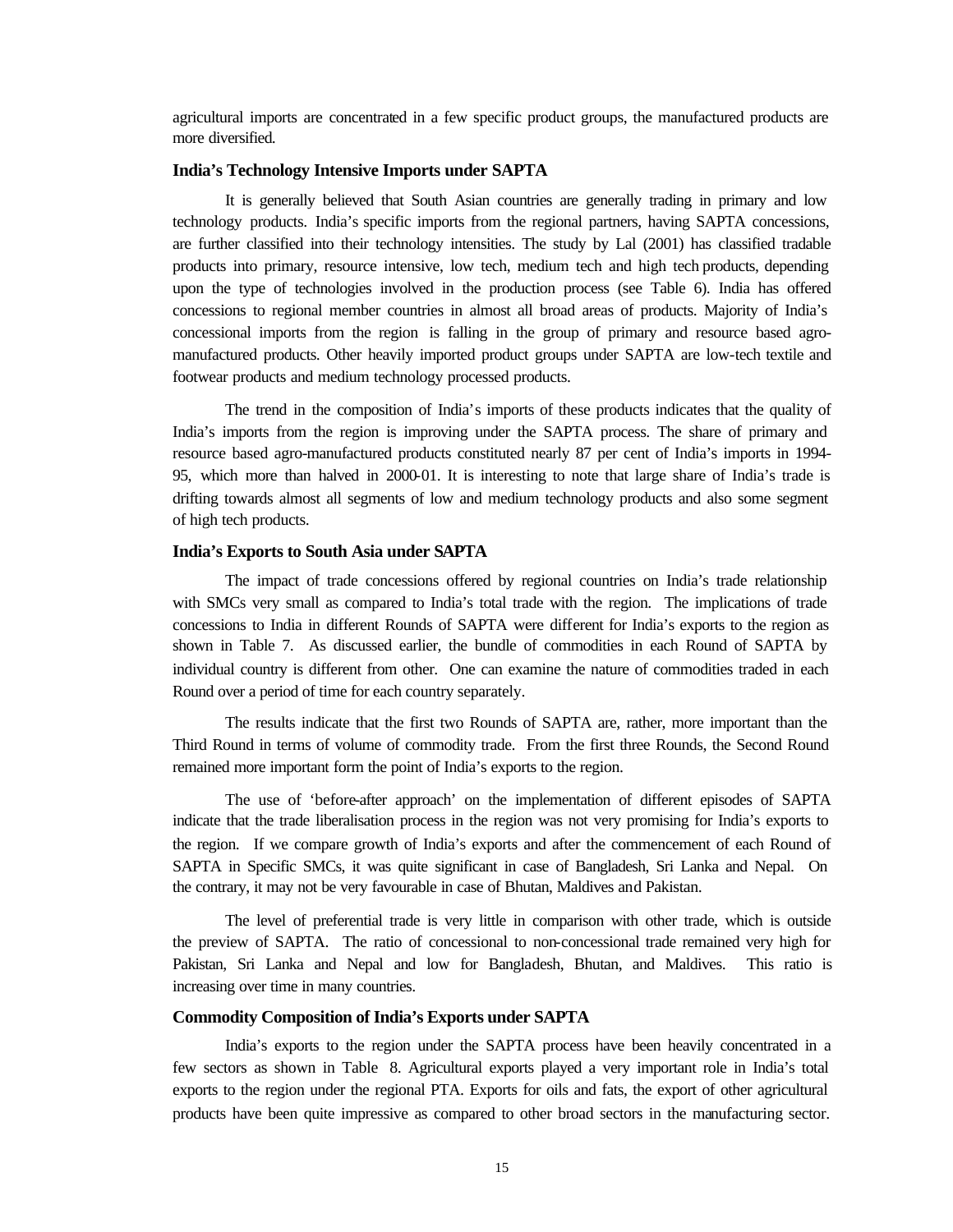agricultural imports are concentrated in a few specific product groups, the manufactured products are more diversified.

#### **India's Technology Intensive Imports under SAPTA**

It is generally believed that South Asian countries are generally trading in primary and low technology products. India's specific imports from the regional partners, having SAPTA concessions, are further classified into their technology intensities. The study by Lal (2001) has classified tradable products into primary, resource intensive, low tech, medium tech and high tech products, depending upon the type of technologies involved in the production process (see Table 6). India has offered concessions to regional member countries in almost all broad areas of products. Majority of India's concessional imports from the region is falling in the group of primary and resource based agromanufactured products. Other heavily imported product groups under SAPTA are low-tech textile and footwear products and medium technology processed products.

The trend in the composition of India's imports of these products indicates that the quality of India's imports from the region is improving under the SAPTA process. The share of primary and resource based agro-manufactured products constituted nearly 87 per cent of India's imports in 1994- 95, which more than halved in 2000-01. It is interesting to note that large share of India's trade is drifting towards almost all segments of low and medium technology products and also some segment of high tech products.

#### **India's Exports to South Asia under SAPTA**

The impact of trade concessions offered by regional countries on India's trade relationship with SMCs very small as compared to India's total trade with the region. The implications of trade concessions to India in different Rounds of SAPTA were different for India's exports to the region as shown in Table 7. As discussed earlier, the bundle of commodities in each Round of SAPTA by individual country is different from other. One can examine the nature of commodities traded in each Round over a period of time for each country separately.

The results indicate that the first two Rounds of SAPTA are, rather, more important than the Third Round in terms of volume of commodity trade. From the first three Rounds, the Second Round remained more important form the point of India's exports to the region.

The use of 'before-after approach' on the implementation of different episodes of SAPTA indicate that the trade liberalisation process in the region was not very promising for India's exports to the region. If we compare growth of India's exports and after the commencement of each Round of SAPTA in Specific SMCs, it was quite significant in case of Bangladesh, Sri Lanka and Nepal. On the contrary, it may not be very favourable in case of Bhutan, Maldives and Pakistan.

The level of preferential trade is very little in comparison with other trade, which is outside the preview of SAPTA. The ratio of concessional to non-concessional trade remained very high for Pakistan, Sri Lanka and Nepal and low for Bangladesh, Bhutan, and Maldives. This ratio is increasing over time in many countries.

#### **Commodity Composition of India's Exports under SAPTA**

India's exports to the region under the SAPTA process have been heavily concentrated in a few sectors as shown in Table 8. Agricultural exports played a very important role in India's total exports to the region under the regional PTA. Exports for oils and fats, the export of other agricultural products have been quite impressive as compared to other broad sectors in the manufacturing sector.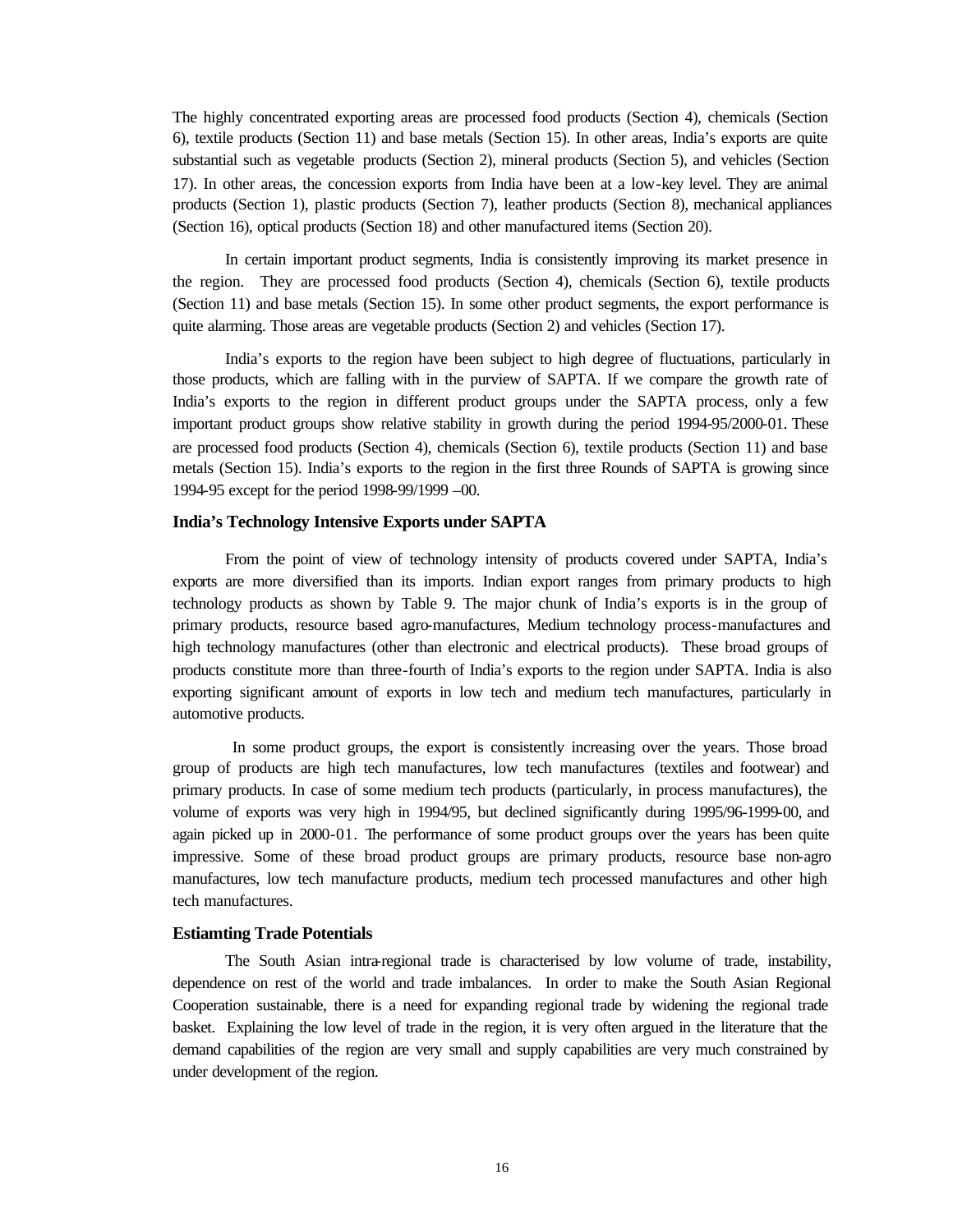The highly concentrated exporting areas are processed food products (Section 4), chemicals (Section 6), textile products (Section 11) and base metals (Section 15). In other areas, India's exports are quite substantial such as vegetable products (Section 2), mineral products (Section 5), and vehicles (Section 17). In other areas, the concession exports from India have been at a low-key level. They are animal products (Section 1), plastic products (Section 7), leather products (Section 8), mechanical appliances (Section 16), optical products (Section 18) and other manufactured items (Section 20).

In certain important product segments, India is consistently improving its market presence in the region. They are processed food products (Section 4), chemicals (Section 6), textile products (Section 11) and base metals (Section 15). In some other product segments, the export performance is quite alarming. Those areas are vegetable products (Section 2) and vehicles (Section 17).

India's exports to the region have been subject to high degree of fluctuations, particularly in those products, which are falling with in the purview of SAPTA. If we compare the growth rate of India's exports to the region in different product groups under the SAPTA process, only a few important product groups show relative stability in growth during the period 1994-95/2000-01. These are processed food products (Section 4), chemicals (Section 6), textile products (Section 11) and base metals (Section 15). India's exports to the region in the first three Rounds of SAPTA is growing since 1994-95 except for the period 1998-99/1999 –00.

#### **India's Technology Intensive Exports under SAPTA**

From the point of view of technology intensity of products covered under SAPTA, India's exports are more diversified than its imports. Indian export ranges from primary products to high technology products as shown by Table 9. The major chunk of India's exports is in the group of primary products, resource based agro-manufactures, Medium technology process-manufactures and high technology manufactures (other than electronic and electrical products). These broad groups of products constitute more than three-fourth of India's exports to the region under SAPTA. India is also exporting significant amount of exports in low tech and medium tech manufactures, particularly in automotive products.

 In some product groups, the export is consistently increasing over the years. Those broad group of products are high tech manufactures, low tech manufactures (textiles and footwear) and primary products. In case of some medium tech products (particularly, in process manufactures), the volume of exports was very high in 1994/95, but declined significantly during 1995/96-1999-00, and again picked up in 2000-01. The performance of some product groups over the years has been quite impressive. Some of these broad product groups are primary products, resource base non-agro manufactures, low tech manufacture products, medium tech processed manufactures and other high tech manufactures.

#### **Estiamting Trade Potentials**

The South Asian intra-regional trade is characterised by low volume of trade, instability, dependence on rest of the world and trade imbalances. In order to make the South Asian Regional Cooperation sustainable, there is a need for expanding regional trade by widening the regional trade basket. Explaining the low level of trade in the region, it is very often argued in the literature that the demand capabilities of the region are very small and supply capabilities are very much constrained by under development of the region.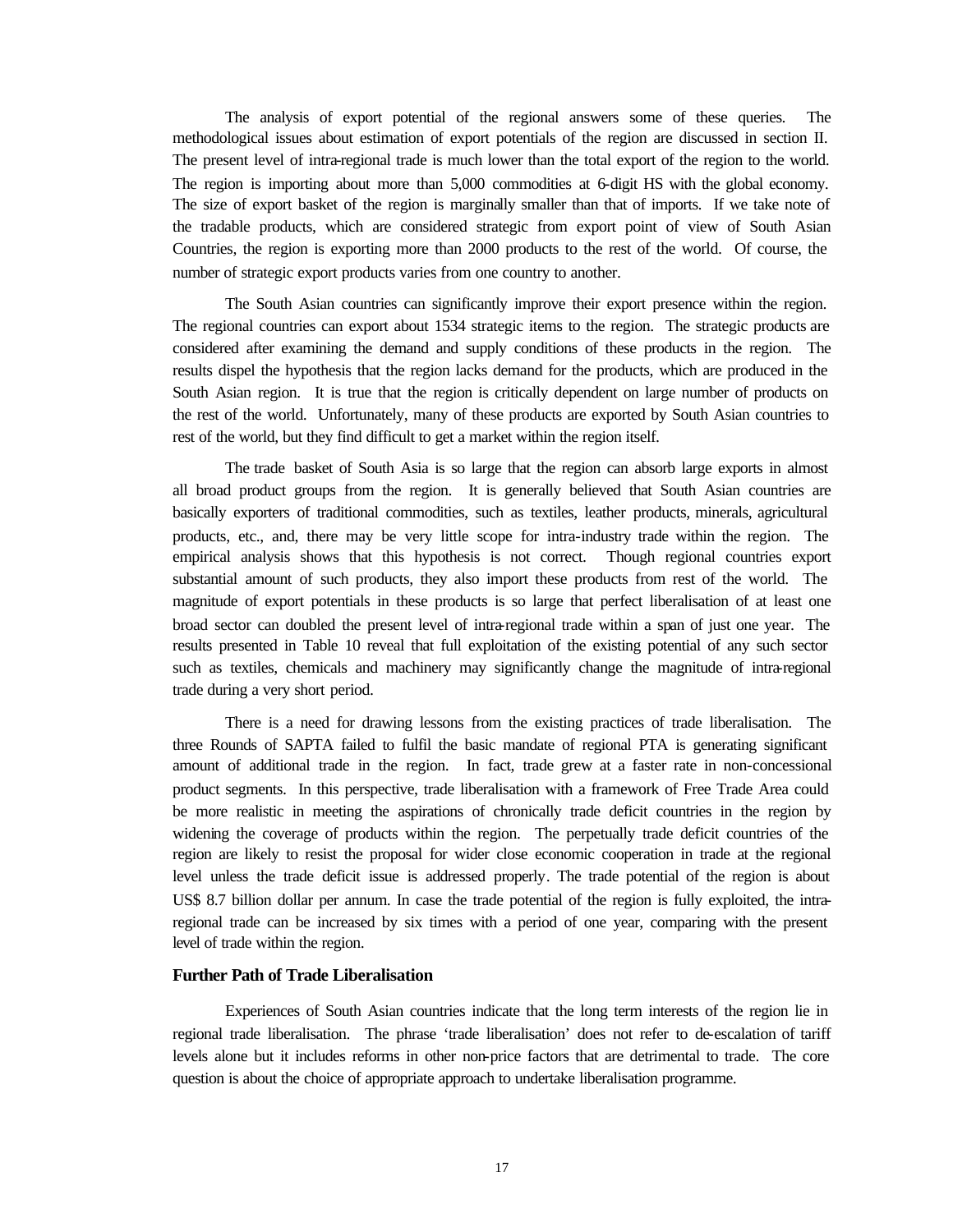The analysis of export potential of the regional answers some of these queries. The methodological issues about estimation of export potentials of the region are discussed in section II. The present level of intra-regional trade is much lower than the total export of the region to the world. The region is importing about more than 5,000 commodities at 6-digit HS with the global economy. The size of export basket of the region is marginally smaller than that of imports. If we take note of the tradable products, which are considered strategic from export point of view of South Asian Countries, the region is exporting more than 2000 products to the rest of the world. Of course, the number of strategic export products varies from one country to another.

The South Asian countries can significantly improve their export presence within the region. The regional countries can export about 1534 strategic items to the region. The strategic products are considered after examining the demand and supply conditions of these products in the region. The results dispel the hypothesis that the region lacks demand for the products, which are produced in the South Asian region. It is true that the region is critically dependent on large number of products on the rest of the world. Unfortunately, many of these products are exported by South Asian countries to rest of the world, but they find difficult to get a market within the region itself.

The trade basket of South Asia is so large that the region can absorb large exports in almost all broad product groups from the region. It is generally believed that South Asian countries are basically exporters of traditional commodities, such as textiles, leather products, minerals, agricultural products, etc., and, there may be very little scope for intra-industry trade within the region. The empirical analysis shows that this hypothesis is not correct. Though regional countries export substantial amount of such products, they also import these products from rest of the world. The magnitude of export potentials in these products is so large that perfect liberalisation of at least one broad sector can doubled the present level of intra-regional trade within a span of just one year. The results presented in Table 10 reveal that full exploitation of the existing potential of any such sector such as textiles, chemicals and machinery may significantly change the magnitude of intra-regional trade during a very short period.

There is a need for drawing lessons from the existing practices of trade liberalisation. The three Rounds of SAPTA failed to fulfil the basic mandate of regional PTA is generating significant amount of additional trade in the region. In fact, trade grew at a faster rate in non-concessional product segments. In this perspective, trade liberalisation with a framework of Free Trade Area could be more realistic in meeting the aspirations of chronically trade deficit countries in the region by widening the coverage of products within the region. The perpetually trade deficit countries of the region are likely to resist the proposal for wider close economic cooperation in trade at the regional level unless the trade deficit issue is addressed properly. The trade potential of the region is about US\$ 8.7 billion dollar per annum. In case the trade potential of the region is fully exploited, the intraregional trade can be increased by six times with a period of one year, comparing with the present level of trade within the region.

#### **Further Path of Trade Liberalisation**

Experiences of South Asian countries indicate that the long term interests of the region lie in regional trade liberalisation. The phrase 'trade liberalisation' does not refer to de-escalation of tariff levels alone but it includes reforms in other non-price factors that are detrimental to trade. The core question is about the choice of appropriate approach to undertake liberalisation programme.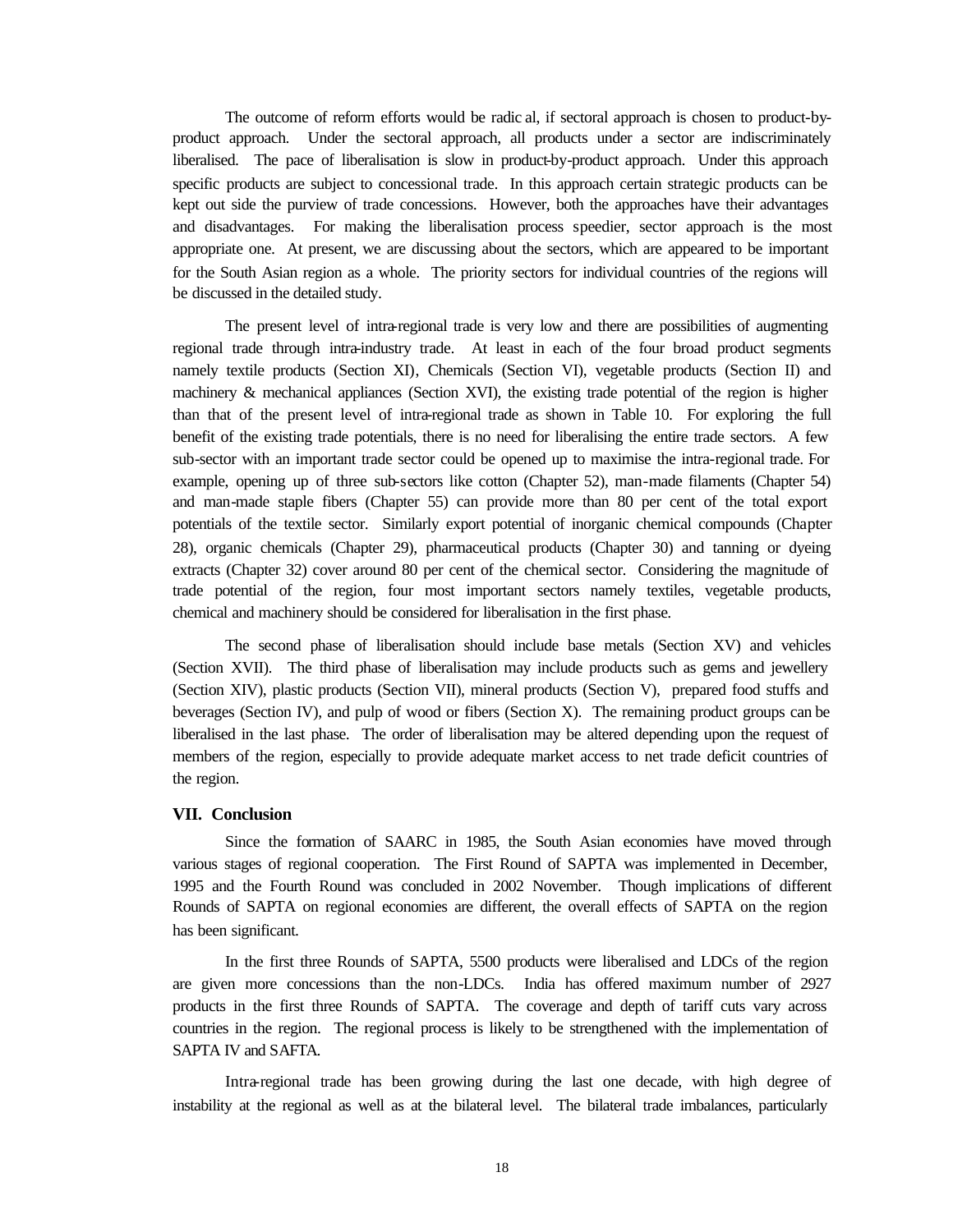The outcome of reform efforts would be radic al, if sectoral approach is chosen to product-byproduct approach. Under the sectoral approach, all products under a sector are indiscriminately liberalised. The pace of liberalisation is slow in product-by-product approach. Under this approach specific products are subject to concessional trade. In this approach certain strategic products can be kept out side the purview of trade concessions. However, both the approaches have their advantages and disadvantages. For making the liberalisation process speedier, sector approach is the most appropriate one. At present, we are discussing about the sectors, which are appeared to be important for the South Asian region as a whole. The priority sectors for individual countries of the regions will be discussed in the detailed study.

The present level of intra-regional trade is very low and there are possibilities of augmenting regional trade through intra-industry trade. At least in each of the four broad product segments namely textile products (Section XI), Chemicals (Section VI), vegetable products (Section II) and machinery  $\&$  mechanical appliances (Section XVI), the existing trade potential of the region is higher than that of the present level of intra-regional trade as shown in Table 10. For exploring the full benefit of the existing trade potentials, there is no need for liberalising the entire trade sectors. A few sub-sector with an important trade sector could be opened up to maximise the intra-regional trade. For example, opening up of three sub-sectors like cotton (Chapter 52), man-made filaments (Chapter 54) and man-made staple fibers (Chapter 55) can provide more than 80 per cent of the total export potentials of the textile sector. Similarly export potential of inorganic chemical compounds (Chapter 28), organic chemicals (Chapter 29), pharmaceutical products (Chapter 30) and tanning or dyeing extracts (Chapter 32) cover around 80 per cent of the chemical sector. Considering the magnitude of trade potential of the region, four most important sectors namely textiles, vegetable products, chemical and machinery should be considered for liberalisation in the first phase.

The second phase of liberalisation should include base metals (Section XV) and vehicles (Section XVII). The third phase of liberalisation may include products such as gems and jewellery (Section XIV), plastic products (Section VII), mineral products (Section V), prepared food stuffs and beverages (Section IV), and pulp of wood or fibers (Section X). The remaining product groups can be liberalised in the last phase. The order of liberalisation may be altered depending upon the request of members of the region, especially to provide adequate market access to net trade deficit countries of the region.

#### **VII. Conclusion**

Since the formation of SAARC in 1985, the South Asian economies have moved through various stages of regional cooperation. The First Round of SAPTA was implemented in December, 1995 and the Fourth Round was concluded in 2002 November. Though implications of different Rounds of SAPTA on regional economies are different, the overall effects of SAPTA on the region has been significant.

In the first three Rounds of SAPTA, 5500 products were liberalised and LDCs of the region are given more concessions than the non-LDCs. India has offered maximum number of 2927 products in the first three Rounds of SAPTA. The coverage and depth of tariff cuts vary across countries in the region. The regional process is likely to be strengthened with the implementation of SAPTA IV and SAFTA.

Intra-regional trade has been growing during the last one decade, with high degree of instability at the regional as well as at the bilateral level. The bilateral trade imbalances, particularly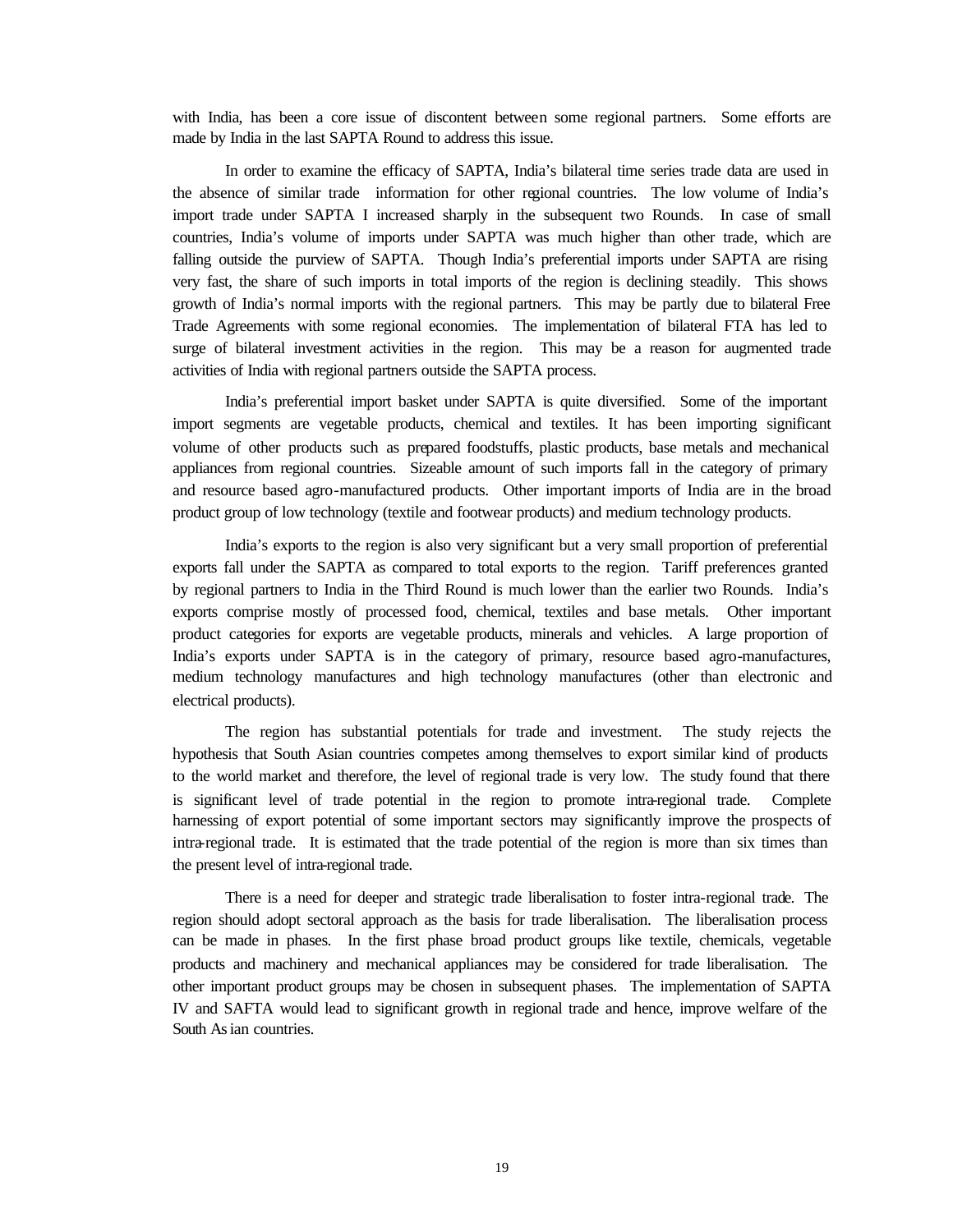with India, has been a core issue of discontent between some regional partners. Some efforts are made by India in the last SAPTA Round to address this issue.

In order to examine the efficacy of SAPTA, India's bilateral time series trade data are used in the absence of similar trade information for other regional countries. The low volume of India's import trade under SAPTA I increased sharply in the subsequent two Rounds. In case of small countries, India's volume of imports under SAPTA was much higher than other trade, which are falling outside the purview of SAPTA. Though India's preferential imports under SAPTA are rising very fast, the share of such imports in total imports of the region is declining steadily. This shows growth of India's normal imports with the regional partners. This may be partly due to bilateral Free Trade Agreements with some regional economies. The implementation of bilateral FTA has led to surge of bilateral investment activities in the region. This may be a reason for augmented trade activities of India with regional partners outside the SAPTA process.

India's preferential import basket under SAPTA is quite diversified. Some of the important import segments are vegetable products, chemical and textiles. It has been importing significant volume of other products such as prepared foodstuffs, plastic products, base metals and mechanical appliances from regional countries. Sizeable amount of such imports fall in the category of primary and resource based agro-manufactured products. Other important imports of India are in the broad product group of low technology (textile and footwear products) and medium technology products.

India's exports to the region is also very significant but a very small proportion of preferential exports fall under the SAPTA as compared to total exports to the region. Tariff preferences granted by regional partners to India in the Third Round is much lower than the earlier two Rounds. India's exports comprise mostly of processed food, chemical, textiles and base metals. Other important product categories for exports are vegetable products, minerals and vehicles. A large proportion of India's exports under SAPTA is in the category of primary, resource based agro-manufactures, medium technology manufactures and high technology manufactures (other than electronic and electrical products).

The region has substantial potentials for trade and investment. The study rejects the hypothesis that South Asian countries competes among themselves to export similar kind of products to the world market and therefore, the level of regional trade is very low. The study found that there is significant level of trade potential in the region to promote intra-regional trade. Complete harnessing of export potential of some important sectors may significantly improve the prospects of intra-regional trade. It is estimated that the trade potential of the region is more than six times than the present level of intra-regional trade.

There is a need for deeper and strategic trade liberalisation to foster intra-regional trade. The region should adopt sectoral approach as the basis for trade liberalisation. The liberalisation process can be made in phases. In the first phase broad product groups like textile, chemicals, vegetable products and machinery and mechanical appliances may be considered for trade liberalisation. The other important product groups may be chosen in subsequent phases. The implementation of SAPTA IV and SAFTA would lead to significant growth in regional trade and hence, improve welfare of the South As ian countries.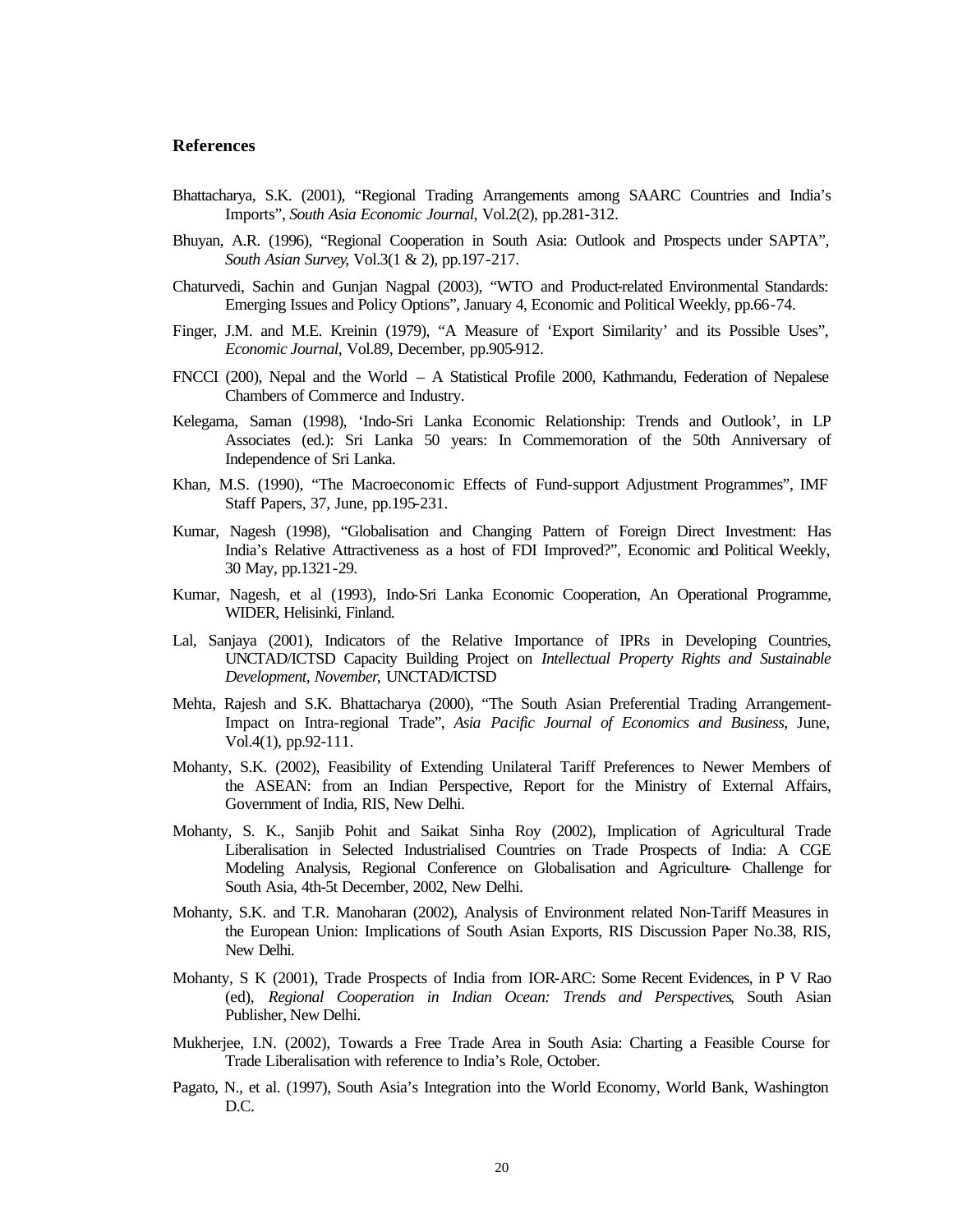#### **References**

- Bhattacharya, S.K. (2001), "Regional Trading Arrangements among SAARC Countries and India's Imports", *South Asia Economic Journal*, Vol.2(2), pp.281-312.
- Bhuyan, A.R. (1996), "Regional Cooperation in South Asia: Outlook and Prospects under SAPTA", *South Asian Survey*, Vol.3(1 & 2), pp.197-217.
- Chaturvedi, Sachin and Gunjan Nagpal (2003), "WTO and Product-related Environmental Standards: Emerging Issues and Policy Options", January 4, Economic and Political Weekly, pp.66-74.
- Finger, J.M. and M.E. Kreinin (1979), "A Measure of 'Export Similarity' and its Possible Uses", *Economic Journal*, Vol.89, December, pp.905-912.
- FNCCI (200), Nepal and the World A Statistical Profile 2000, Kathmandu, Federation of Nepalese Chambers of Commerce and Industry.
- Kelegama, Saman (1998), 'Indo-Sri Lanka Economic Relationship: Trends and Outlook', in LP Associates (ed.): Sri Lanka 50 years: In Commemoration of the 50th Anniversary of Independence of Sri Lanka.
- Khan, M.S. (1990), "The Macroeconomic Effects of Fund-support Adjustment Programmes", IMF Staff Papers, 37, June, pp.195-231.
- Kumar, Nagesh (1998), "Globalisation and Changing Pattern of Foreign Direct Investment: Has India's Relative Attractiveness as a host of FDI Improved?", Economic and Political Weekly, 30 May, pp.1321-29.
- Kumar, Nagesh, et al (1993), Indo-Sri Lanka Economic Cooperation, An Operational Programme, WIDER, Helisinki, Finland.
- Lal, Sanjaya (2001), Indicators of the Relative Importance of IPRs in Developing Countries, UNCTAD/ICTSD Capacity Building Project on *Intellectual Property Rights and Sustainable Development, November*, UNCTAD/ICTSD
- Mehta, Rajesh and S.K. Bhattacharya (2000), "The South Asian Preferential Trading Arrangement-Impact on Intra-regional Trade", *Asia Pacific Journal of Economics and Business,* June, Vol.4(1), pp.92-111.
- Mohanty, S.K. (2002), Feasibility of Extending Unilateral Tariff Preferences to Newer Members of the ASEAN: from an Indian Perspective, Report for the Ministry of External Affairs, Government of India, RIS, New Delhi.
- Mohanty, S. K., Sanjib Pohit and Saikat Sinha Roy (2002), Implication of Agricultural Trade Liberalisation in Selected Industrialised Countries on Trade Prospects of India: A CGE Modeling Analysis, Regional Conference on Globalisation and Agriculture- Challenge for South Asia, 4th-5t December, 2002, New Delhi.
- Mohanty, S.K. and T.R. Manoharan (2002), Analysis of Environment related Non-Tariff Measures in the European Union: Implications of South Asian Exports, RIS Discussion Paper No.38, RIS, New Delhi.
- Mohanty, S K (2001), Trade Prospects of India from IOR-ARC: Some Recent Evidences, in P V Rao (ed), *Regional Cooperation in Indian Ocean: Trends and Perspectives*, South Asian Publisher, New Delhi.
- Mukherjee, I.N. (2002), Towards a Free Trade Area in South Asia: Charting a Feasible Course for Trade Liberalisation with reference to India's Role, October.
- Pagato, N., et al. (1997), South Asia's Integration into the World Economy, World Bank, Washington D.C.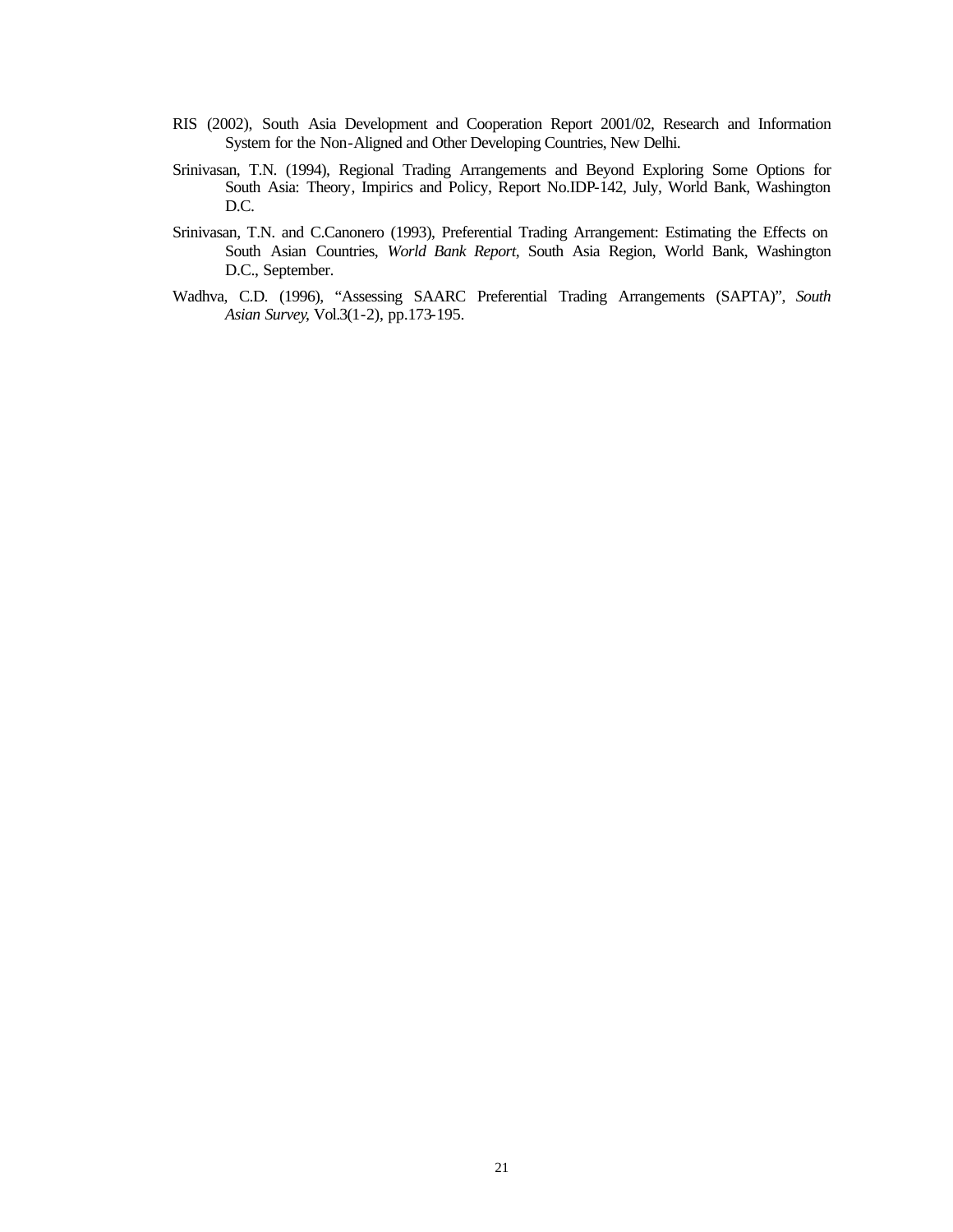- RIS (2002), South Asia Development and Cooperation Report 2001/02, Research and Information System for the Non-Aligned and Other Developing Countries, New Delhi.
- Srinivasan, T.N. (1994), Regional Trading Arrangements and Beyond Exploring Some Options for South Asia: Theory, Impirics and Policy, Report No.IDP-142, July, World Bank, Washington D.C.
- Srinivasan, T.N. and C.Canonero (1993), Preferential Trading Arrangement: Estimating the Effects on South Asian Countries, *World Bank Report*, South Asia Region, World Bank, Washington D.C., September.
- Wadhva, C.D. (1996), "Assessing SAARC Preferential Trading Arrangements (SAPTA)", *South Asian Survey*, Vol.3(1-2), pp.173-195.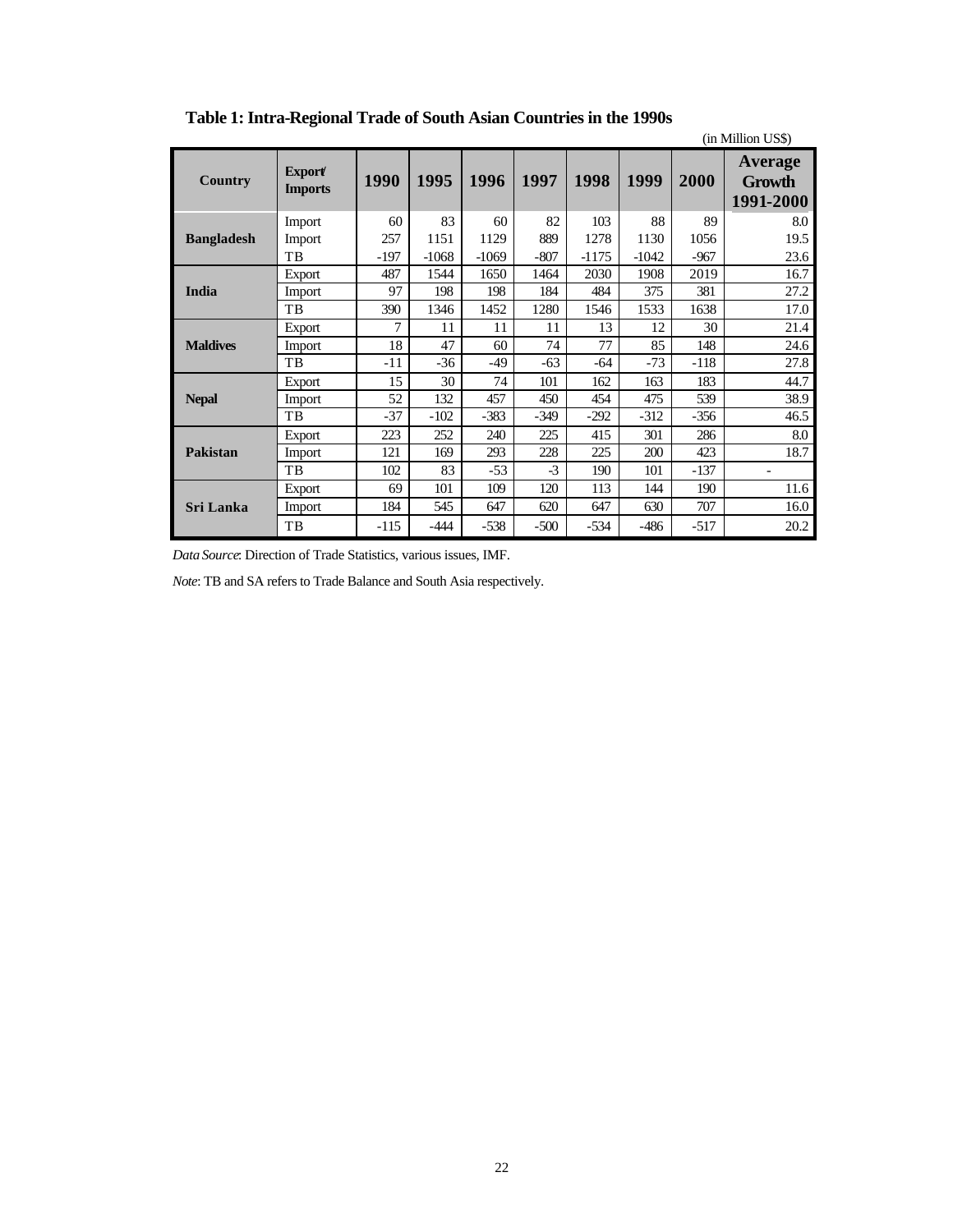|                   |                                 |        |         |         |        |         |         |        | (in Million US\$)                     |
|-------------------|---------------------------------|--------|---------|---------|--------|---------|---------|--------|---------------------------------------|
| Country           | <b>Export</b><br><b>Imports</b> | 1990   | 1995    | 1996    | 1997   | 1998    | 1999    | 2000   | Average<br><b>Growth</b><br>1991-2000 |
|                   | Import                          | 60     | 83      | 60      | 82     | 103     | 88      | 89     | 8.0                                   |
| <b>Bangladesh</b> | Import                          | 257    | 1151    | 1129    | 889    | 1278    | 1130    | 1056   | 19.5                                  |
|                   | TB                              | $-197$ | $-1068$ | $-1069$ | $-807$ | $-1175$ | $-1042$ | $-967$ | 23.6                                  |
|                   | Export                          | 487    | 1544    | 1650    | 1464   | 2030    | 1908    | 2019   | 16.7                                  |
| India             | Import                          | 97     | 198     | 198     | 184    | 484     | 375     | 381    | 27.2                                  |
|                   | TB                              | 390    | 1346    | 1452    | 1280   | 1546    | 1533    | 1638   | 17.0                                  |
|                   | Export                          | 7      | 11      | 11      | 11     | 13      | 12      | 30     | 21.4                                  |
| <b>Maldives</b>   | Import                          | 18     | 47      | 60      | 74     | 77      | 85      | 148    | 24.6                                  |
|                   | TB                              | $-11$  | $-36$   | -49     | $-63$  | -64     | -73     | $-118$ | 27.8                                  |
|                   | Export                          | 15     | 30      | 74      | 101    | 162     | 163     | 183    | 44.7                                  |
| <b>Nepal</b>      | Import                          | 52     | 132     | 457     | 450    | 454     | 475     | 539    | 38.9                                  |
|                   | TB                              | $-37$  | $-102$  | $-383$  | $-349$ | $-292$  | $-312$  | $-356$ | 46.5                                  |
|                   | Export                          | 223    | 252     | 240     | 225    | 415     | 301     | 286    | 8.0                                   |
| <b>Pakistan</b>   | Import                          | 121    | 169     | 293     | 228    | 225     | 200     | 423    | 18.7                                  |
|                   | TB                              | 102    | 83      | $-53$   | $-3$   | 190     | 101     | $-137$ |                                       |
|                   | Export                          | 69     | 101     | 109     | 120    | 113     | 144     | 190    | 11.6                                  |
| <b>Sri Lanka</b>  | Import                          | 184    | 545     | 647     | 620    | 647     | 630     | 707    | 16.0                                  |
|                   | TB                              | $-115$ | $-444$  | $-538$  | $-500$ | $-534$  | $-486$  | $-517$ | 20.2                                  |

**Table 1: Intra-Regional Trade of South Asian Countries in the 1990s**

*Data Source*: Direction of Trade Statistics, various issues, IMF.

*Note*: TB and SA refers to Trade Balance and South Asia respectively.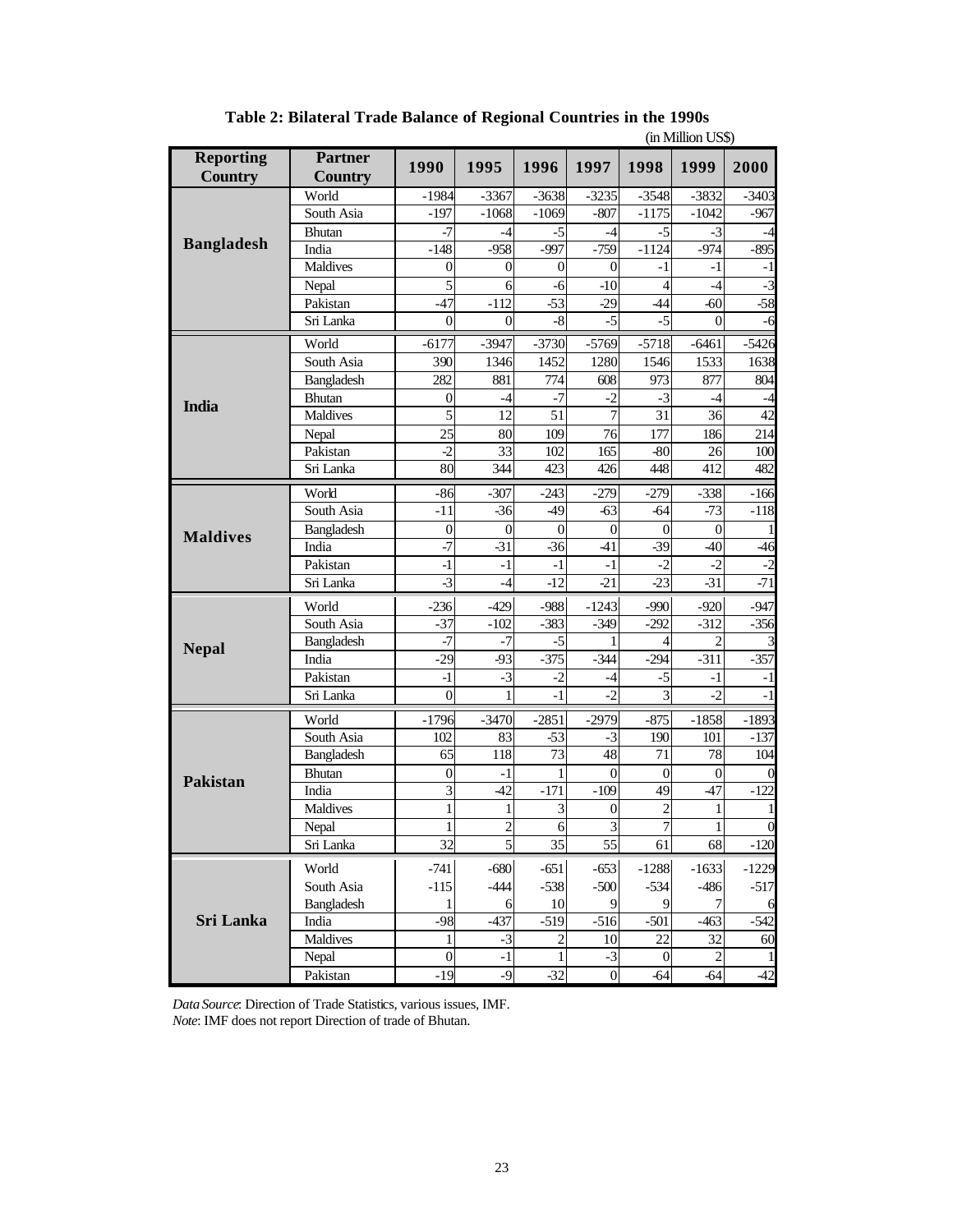|                                    |                                  |                  |                |                  |                  |                | un munon oov   |                  |
|------------------------------------|----------------------------------|------------------|----------------|------------------|------------------|----------------|----------------|------------------|
| <b>Reporting</b><br><b>Country</b> | <b>Partner</b><br><b>Country</b> | 1990             | 1995           | 1996             | 1997             | 1998           | 1999           | 2000             |
|                                    | World                            | $-1984$          | $-3367$        | $-3638$          | $-3235$          | $-3548$        | $-3832$        | $-3403$          |
|                                    | South Asia                       | $-197$           | $-1068$        | $-1069$          | $-807$           | $-1175$        | $-1042$        | $-967$           |
|                                    | <b>Bhutan</b>                    | $-7$             | -4             | $-5$             | -4               | $-5$           | $-3$           | -4               |
| <b>Bangladesh</b>                  | India                            | $-148$           | $-958$         | $-997$           | $-759$           | $-1124$        | $-974$         | $-895$           |
|                                    | Maldives                         | $\overline{0}$   | $\theta$       | $\overline{0}$   | $\overline{0}$   | $-1$           | $-1$           | $-1$             |
|                                    | Nepal                            | 5                | 6              | -6               | $-10$            | $\overline{4}$ | $-4$           | $-3$             |
|                                    | Pakistan                         | $-47$            | $-112$         | $-53$            | $-29$            | $-44$          | $-60$          | $-58$            |
|                                    | Sri Lanka                        | 0                | $\overline{0}$ | $\text{-}8$      | $-5$             | $-5$           | $\theta$       | -6               |
|                                    | World                            | $-6177$          | $-3947$        | $-3730$          | $-5769$          | $-5718$        | $-6461$        | $-5426$          |
|                                    | South Asia                       | 390              | 1346           | 1452             | 1280             | 1546           | 1533           | 1638             |
|                                    | Bangladesh                       | 282              | 881            | 774              | 608              | 973            | 877            | 804              |
|                                    | <b>Bhutan</b>                    | $\overline{0}$   | $-4$           | $-7$             | $-2$             | $-3$           | $-4$           | $-4$             |
| <b>India</b>                       | Maldives                         | 5                | 12             | 51               | 7                | 31             | 36             | 42               |
|                                    | Nepal                            | $\overline{25}$  | 80             | 109              | 76               | 177            | 186            | 214              |
|                                    | Pakistan                         | $-2$             | 33             | 102              | 165              | $-80$          | 26             | 100              |
|                                    | Sri Lanka                        | 80               | 344            | 423              | 426              | 448            | 412            | 482              |
|                                    | World                            | $-86$            | $-307$         | $-243$           | $-279$           | $-279$         | $-338$         | $-166$           |
|                                    | South Asia                       | $-11$            | $-36$          | -49              | $-63$            | $-64$          | $-73$          | $-118$           |
|                                    | Bangladesh                       | $\mathbf{0}$     | $\overline{0}$ | $\theta$         | $\boldsymbol{0}$ | $\Omega$       | $\overline{0}$ |                  |
| <b>Maldives</b>                    | India                            | $-7$             | $-31$          | $-36$            | $-41$            | $-39$          | $-40$          | $-46$            |
|                                    | Pakistan                         | $-1$             | $-1$           | $-1$             | $-1$             | $-2$           | $-2$           | $-2$             |
|                                    | Sri Lanka                        | $-3$             | -4             | $-12$            | $-21$            | $-23$          | $-31$          | $-71$            |
|                                    | World                            | $-236$           | $-429$         | $-988$           | $-1243$          | $-990$         | $-920$         | $-947$           |
|                                    | South Asia                       | $-37$            | $-102$         | $-383$           | $-349$           | $-292$         | $-312$         | $-356$           |
|                                    | Bangladesh                       | $-7$             | $-7$           | $-5$             |                  | 4              | $\overline{2}$ |                  |
| <b>Nepal</b>                       | India                            | $-29$            | $-93$          | $-375$           | $-344$           | $-294$         | $-311$         | $-357$           |
|                                    | Pakistan                         | $-1$             | $-3$           | $-2$             | -4               | $-5$           | -1             | $-1$             |
|                                    | Sri Lanka                        | $\boldsymbol{0}$ | 1              | $-1$             | $-2$             | $\overline{3}$ | $-2$           | $-1$             |
|                                    |                                  |                  |                |                  |                  |                |                |                  |
|                                    | World<br>South Asia              | $-1796$<br>102   | $-3470$<br>83  | $-2851$<br>$-53$ | $-2979$<br>$-3$  | $-875$<br>190  | $-1858$        | $-1893$          |
|                                    | Bangladesh                       | 65               | 118            | $\overline{73}$  | 48               | 71             | 101<br>78      | $-137$<br>104    |
|                                    | <b>Bhutan</b>                    | 0                | -1             | $\mathbf{1}$     | $\overline{0}$   | $\theta$       | $\overline{0}$ |                  |
| <b>Pakistan</b>                    | India                            | 3                | $-42$          | $-171$           | $-109$           | 49             | $-47$          | $-122$           |
|                                    | Maldives                         | $\mathbf{1}$     | 1              | 3                | $\overline{0}$   | $\overline{2}$ | 1              | 1                |
|                                    | Nepal                            | $\mathbf{1}$     | $\overline{c}$ | 6                | 3                | 7              | $\mathbf{1}$   | $\boldsymbol{0}$ |
|                                    | Sri Lanka                        | 32               | $\mathfrak{S}$ | 35               | 55               | 61             | 68             | $-120$           |
|                                    |                                  |                  |                |                  |                  |                |                |                  |
|                                    | World                            | $-741$           | $-680$         | $-651$           | $-653$           | $-1288$        | $-1633$        | $-1229$          |
|                                    | South Asia                       | $-115$           | $-444$         | $-538$           | $-500$           | $-534$         | $-486$         | $-517$           |
|                                    | Bangladesh                       | 1                | 6              | 10               | 9                | 9              | 7              | 6                |
| <b>Sri Lanka</b>                   | India                            | $-98$            | $-437$         | $-519$           | $-516$           | $-501$         | $-463$         | $-542$           |
|                                    | Maldives                         | 1                | $-3$           | $\overline{c}$   | 10               | 22             | 32             | 60               |
|                                    | Nepal                            | $\boldsymbol{0}$ | -1             | $\mathbf{1}$     | $-3$             | $\theta$       | $\overline{c}$ |                  |
|                                    | Pakistan                         | $-19$            | $-9$           | $-32$            | $\boldsymbol{0}$ | $-64$          | $-64$          | $-42$            |

**Table 2: Bilateral Trade Balance of Regional Countries in the 1990s** (in Million US\$)

*Data Source*: Direction of Trade Statistics, various issues, IMF. *Note*: IMF does not report Direction of trade of Bhutan.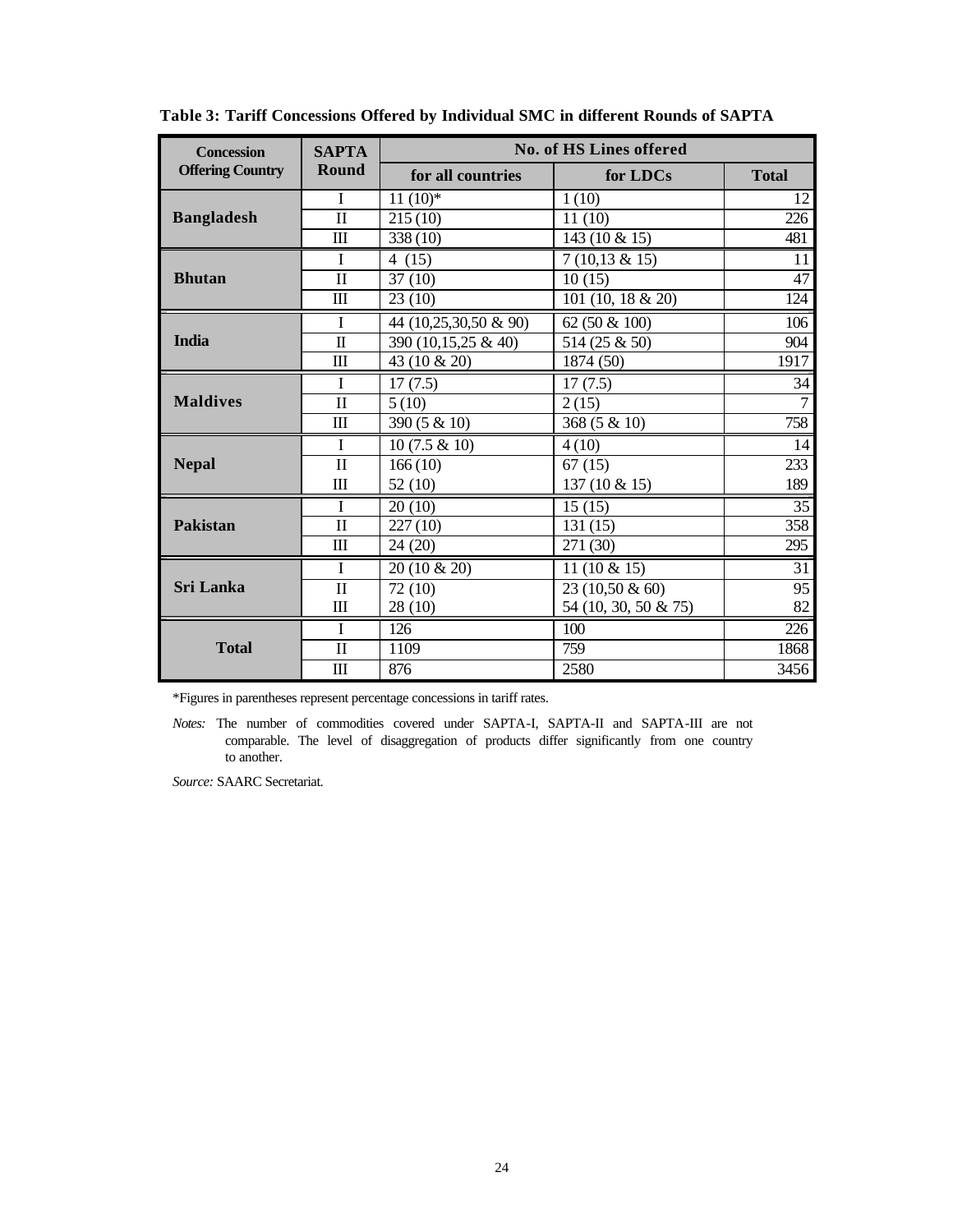| <b>Concession</b>       | <b>SAPTA</b> |                       | <b>No. of HS Lines offered</b> |                |  |  |  |  |
|-------------------------|--------------|-----------------------|--------------------------------|----------------|--|--|--|--|
| <b>Offering Country</b> | Round        | for all countries     | for LDCs                       | <b>Total</b>   |  |  |  |  |
|                         | $\mathbf I$  | $11(10)*$             | 1(10)                          | 12             |  |  |  |  |
| <b>Bangladesh</b>       | $\mathbf{I}$ | 215(10)               | 11(10)                         | 226            |  |  |  |  |
|                         | Ш            | 338 (10)              | 143 (10 $\&$ 15)               | 481            |  |  |  |  |
|                         | $\mathbf I$  | 4(15)                 | $7(10,13 \& 15)$               | 11             |  |  |  |  |
| <b>Bhutan</b>           | $\mathbf{I}$ | 37(10)                | 10(15)                         | 47             |  |  |  |  |
|                         | $\mathbf{m}$ | 23(10)                | 101 (10, 18 & 20)              | 124            |  |  |  |  |
|                         | I            | 44 (10,25,30,50 & 90) | 62 (50 & 100)                  | 106            |  |  |  |  |
| <b>India</b>            | $\mathbf{I}$ | 390 (10,15,25 & 40)   | 514 (25 & 50)                  | 904            |  |  |  |  |
|                         | III          | 43 (10 & 20)          | 1874 (50)                      | 1917           |  |  |  |  |
|                         | T            | 17(7.5)               | 17(7.5)                        | 34             |  |  |  |  |
| <b>Maldives</b>         | $\mathbf{I}$ | 5(10)                 | 2(15)                          | $\overline{7}$ |  |  |  |  |
|                         | $\mathbf{m}$ | 390 (5 & 10)          | 368 (5 & 10)                   | 758            |  |  |  |  |
|                         | I            | $10(7.5 \& 10)$       | 4(10)                          | 14             |  |  |  |  |
| <b>Nepal</b>            | $\mathbf{I}$ | 166(10)               | 67(15)                         | 233            |  |  |  |  |
|                         | $\mathbf{m}$ | 52(10)                | 137 (10 & 15)                  | 189            |  |  |  |  |
|                         | $\mathbf I$  | 20(10)                | 15(15)                         | 35             |  |  |  |  |
| Pakistan                | $\mathbf{I}$ | 227(10)               | 131(15)                        | 358            |  |  |  |  |
|                         | $\mathbf{m}$ | 24(20)                | 271 (30)                       | 295            |  |  |  |  |
|                         | T            | 20 (10 & 20)          | 11 $(10 \& 15)$                | 31             |  |  |  |  |
| <b>Sri Lanka</b>        | $\mathbf{I}$ | 72 (10)               | 23 (10,50 & 60)                | 95             |  |  |  |  |
|                         | $\mathbf{m}$ | 28(10)                | 54 (10, 30, 50 & 75)           | 82             |  |  |  |  |
|                         | L            | 126                   | 100                            | 226            |  |  |  |  |
| <b>Total</b>            | $\mathbf{I}$ | 1109                  | 759                            | 1868           |  |  |  |  |
|                         | $\mathbf{m}$ | 876                   | 2580                           | 3456           |  |  |  |  |

**Table 3: Tariff Concessions Offered by Individual SMC in different Rounds of SAPTA**

\*Figures in parentheses represent percentage concessions in tariff rates.

*Notes:* The number of commodities covered under SAPTA-I, SAPTA-II and SAPTA-III are not comparable. The level of disaggregation of products differ significantly from one country to another.

*Source:* SAARC Secretariat.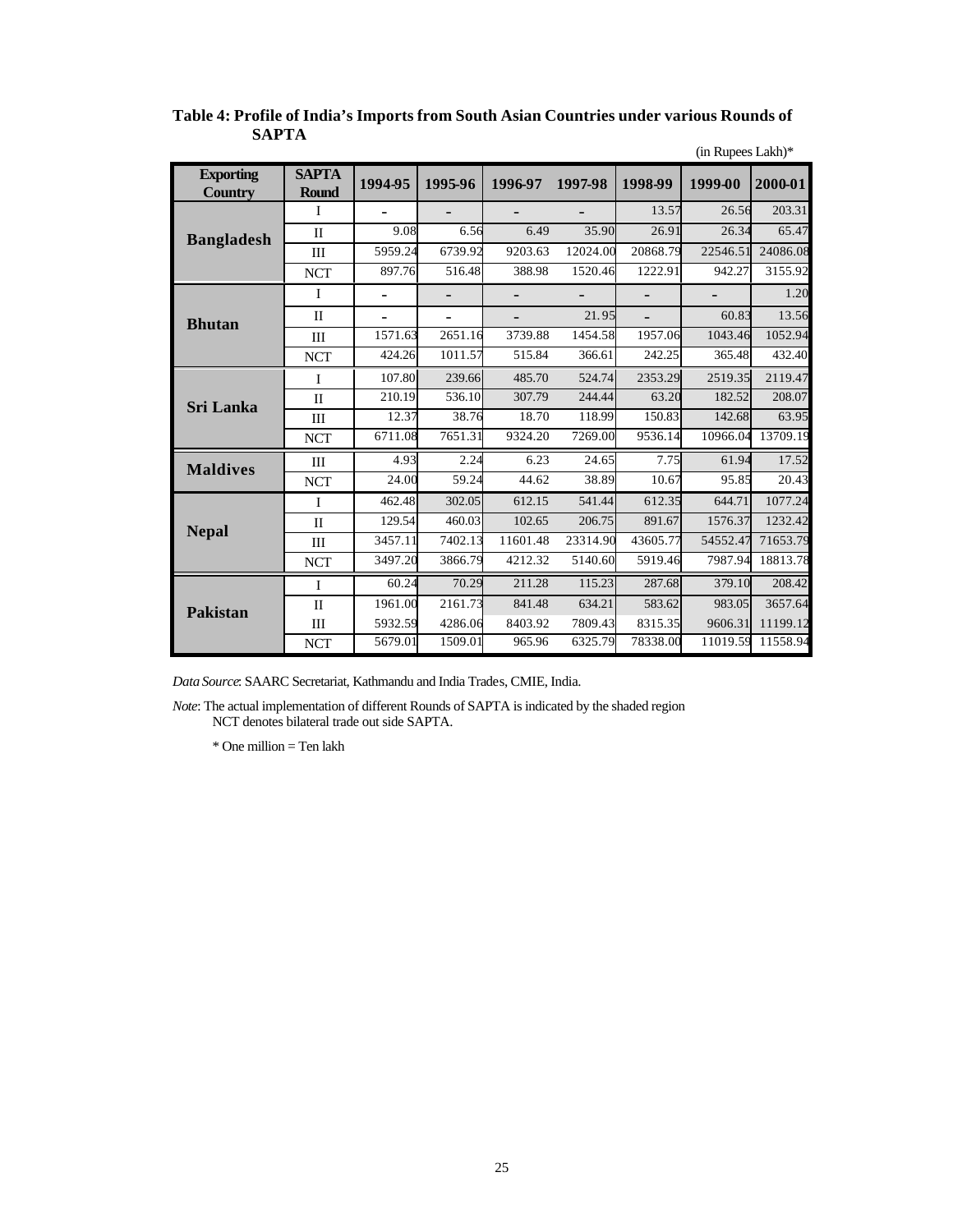|                                    |                              |                          |                          |          |          |          | (in Rupees Lakh)* |          |
|------------------------------------|------------------------------|--------------------------|--------------------------|----------|----------|----------|-------------------|----------|
| <b>Exporting</b><br><b>Country</b> | <b>SAPTA</b><br><b>Round</b> | 1994-95                  | 1995-96                  | 1996-97  | 1997-98  | 1998-99  | 1999-00           | 2000-01  |
|                                    | I                            |                          |                          |          |          | 13.57    | 26.56             | 203.31   |
| <b>Bangladesh</b>                  | $\mathbf{I}$                 | 9.08                     | 6.56                     | 6.49     | 35.90    | 26.91    | 26.34             | 65.47    |
|                                    | III                          | 5959.24                  | 6739.92                  | 9203.63  | 12024.00 | 20868.79 | 22546.51          | 24086.08 |
|                                    | <b>NCT</b>                   | 897.76                   | 516.48                   | 388.98   | 1520.46  | 1222.91  | 942.27            | 3155.92  |
|                                    | $\mathbf I$                  | $\overline{\phantom{0}}$ |                          |          |          |          |                   | 1.20     |
| <b>Bhutan</b>                      | $\mathbf{I}$                 | $\overline{\phantom{0}}$ | $\overline{\phantom{0}}$ |          | 21.95    |          | 60.83             | 13.56    |
|                                    | Ш                            | 1571.63                  | 2651.16                  | 3739.88  | 1454.58  | 1957.06  | 1043.46           | 1052.94  |
|                                    | <b>NCT</b>                   | 424.26                   | 1011.57                  | 515.84   | 366.61   | 242.25   | 365.48            | 432.40   |
|                                    | I                            | 107.80                   | 239.66                   | 485.70   | 524.74   | 2353.29  | 2519.35           | 2119.47  |
| <b>Sri Lanka</b>                   | $\mathbf{I}$                 | 210.19                   | 536.10                   | 307.79   | 244.44   | 63.20    | 182.52            | 208.07   |
|                                    | III                          | 12.37                    | 38.76                    | 18.70    | 118.99   | 150.83   | 142.68            | 63.95    |
|                                    | <b>NCT</b>                   | 6711.08                  | 7651.31                  | 9324.20  | 7269.00  | 9536.14  | 10966.04          | 13709.19 |
| <b>Maldives</b>                    | III                          | 4.93                     | 2.24                     | 6.23     | 24.65    | 7.75     | 61.94             | 17.52    |
|                                    | <b>NCT</b>                   | 24.00                    | 59.24                    | 44.62    | 38.89    | 10.67    | 95.85             | 20.43    |
|                                    | I                            | 462.48                   | 302.05                   | 612.15   | 541.44   | 612.35   | 644.71            | 1077.24  |
| <b>Nepal</b>                       | $\mathbf{I}$                 | 129.54                   | 460.03                   | 102.65   | 206.75   | 891.67   | 1576.37           | 1232.42  |
|                                    | III                          | 3457.11                  | 7402.13                  | 11601.48 | 23314.90 | 43605.77 | 54552.47          | 71653.79 |
|                                    | $\ensuremath{\text{NCT}}$    | 3497.20                  | 3866.79                  | 4212.32  | 5140.60  | 5919.46  | 7987.94           | 18813.78 |
|                                    | I                            | 60.24                    | 70.29                    | 211.28   | 115.23   | 287.68   | 379.10            | 208.42   |
| <b>Pakistan</b>                    | $\mathbf{I}$                 | 1961.00                  | 2161.73                  | 841.48   | 634.21   | 583.62   | 983.05            | 3657.64  |
|                                    | III                          | 5932.59                  | 4286.06                  | 8403.92  | 7809.43  | 8315.35  | 9606.31           | 11199.12 |
|                                    | <b>NCT</b>                   | 5679.01                  | 1509.01                  | 965.96   | 6325.79  | 78338.00 | 11019.59          | 11558.94 |

### **Table 4: Profile of India's Imports from South Asian Countries under various Rounds of SAPTA**

*Data Source*: SAARC Secretariat, Kathmandu and India Trades, CMIE, India.

*Note*: The actual implementation of different Rounds of SAPTA is indicated by the shaded region NCT denotes bilateral trade out side SAPTA.

\* One million = Ten lakh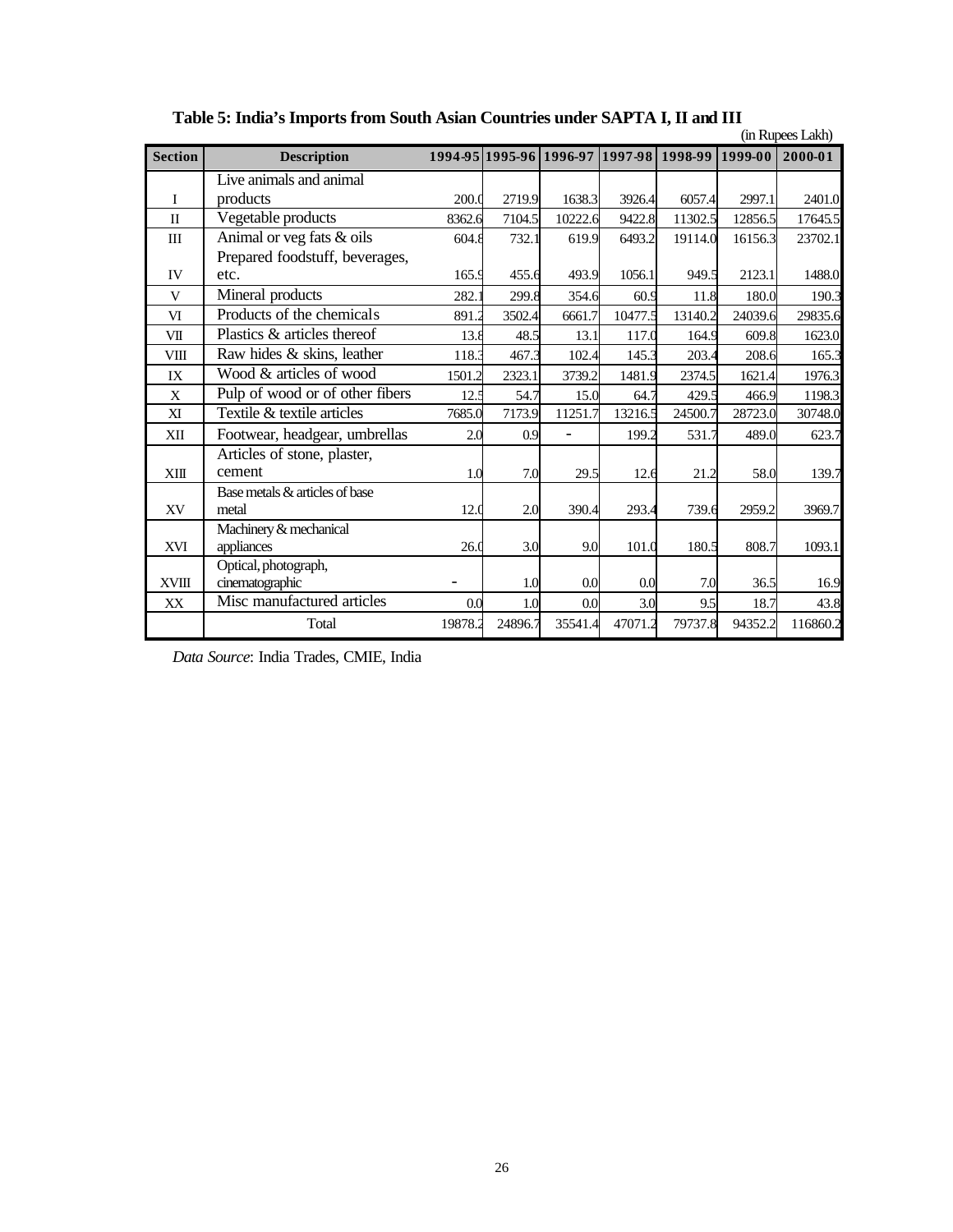|                | (in Rupees Lakh)                |         |         |                                         |         |         |         |          |
|----------------|---------------------------------|---------|---------|-----------------------------------------|---------|---------|---------|----------|
| <b>Section</b> | <b>Description</b>              |         |         | 1994-95 1995-96 1996-97 1997-98 1998-99 |         |         | 1999-00 | 2000-01  |
|                | Live animals and animal         |         |         |                                         |         |         |         |          |
| I              | products                        | 200.0   | 2719.9  | 1638.3                                  | 3926.4  | 6057.4  | 2997.1  | 2401.0   |
| $\mathbf{I}$   | Vegetable products              | 8362.6  | 7104.5  | 10222.6                                 | 9422.8  | 11302.5 | 12856.5 | 17645.5  |
| III            | Animal or veg fats & oils       | 604.8   | 732.1   | 619.9                                   | 6493.2  | 19114.0 | 16156.3 | 23702.1  |
|                | Prepared foodstuff, beverages,  |         |         |                                         |         |         |         |          |
| IV             | etc.                            | 165.9   | 455.6   | 493.9                                   | 1056.1  | 949.5   | 2123.1  | 1488.0   |
| V              | Mineral products                | 282.    | 299.8   | 354.6                                   | 60.9    | 11.8    | 180.0   | 190.3    |
| VI             | Products of the chemicals       | 891.2   | 3502.4  | 6661.7                                  | 10477.5 | 13140.2 | 24039.6 | 29835.6  |
| VII            | Plastics & articles thereof     | 13.8    | 48.5    | 13.1                                    | 117.0   | 164.9   | 609.8   | 1623.0   |
| VIII           | Raw hides & skins, leather      | 118.3   | 467.3   | 102.4                                   | 145.3   | 203.4   | 208.6   | 165.3    |
| IX             | Wood & articles of wood         | 1501.2  | 2323.1  | 3739.2                                  | 1481.9  | 2374.5  | 1621.4  | 1976.3   |
| X              | Pulp of wood or of other fibers | 12.5    | 54.7    | 15.0                                    | 64.7    | 429.5   | 466.9   | 1198.3   |
| XI             | Textile & textile articles      | 7685.0  | 7173.9  | 11251.7                                 | 13216.5 | 24500.7 | 28723.0 | 30748.0  |
| XII            | Footwear, headgear, umbrellas   | 2.0     | 0.9     |                                         | 199.2   | 531.7   | 489.0   | 623.7    |
|                | Articles of stone, plaster,     |         |         |                                         |         |         |         |          |
| XIII           | cement                          | 1.0     | 7.0     | 29.5                                    | 12.6    | 21.2    | 58.0    | 139.7    |
|                | Base metals & articles of base  |         |         |                                         |         |         |         |          |
| XV             | metal                           | 12.0    | 2.0     | 390.4                                   | 293.4   | 739.6   | 2959.2  | 3969.7   |
|                | Machinery & mechanical          |         |         |                                         |         |         |         |          |
| <b>XVI</b>     | appliances                      | 26.0    | 3.0     | 9.0                                     | 101.0   | 180.5   | 808.7   | 1093.1   |
|                | Optical, photograph,            |         |         |                                         |         |         |         |          |
| <b>XVIII</b>   | cinematographic                 |         | 1.0     | 0.0                                     | 0.0     | 7.0     | 36.5    | 16.9     |
| XX             | Misc manufactured articles      | 0.0     | 1.0     | 0.0                                     | 3.0     | 9.5     | 18.7    | 43.8     |
|                | Total                           | 19878.2 | 24896.7 | 35541.4                                 | 47071.2 | 79737.8 | 94352.2 | 116860.2 |

**Table 5: India's Imports from South Asian Countries under SAPTA I, II and III**

*Data Source*: India Trades, CMIE, India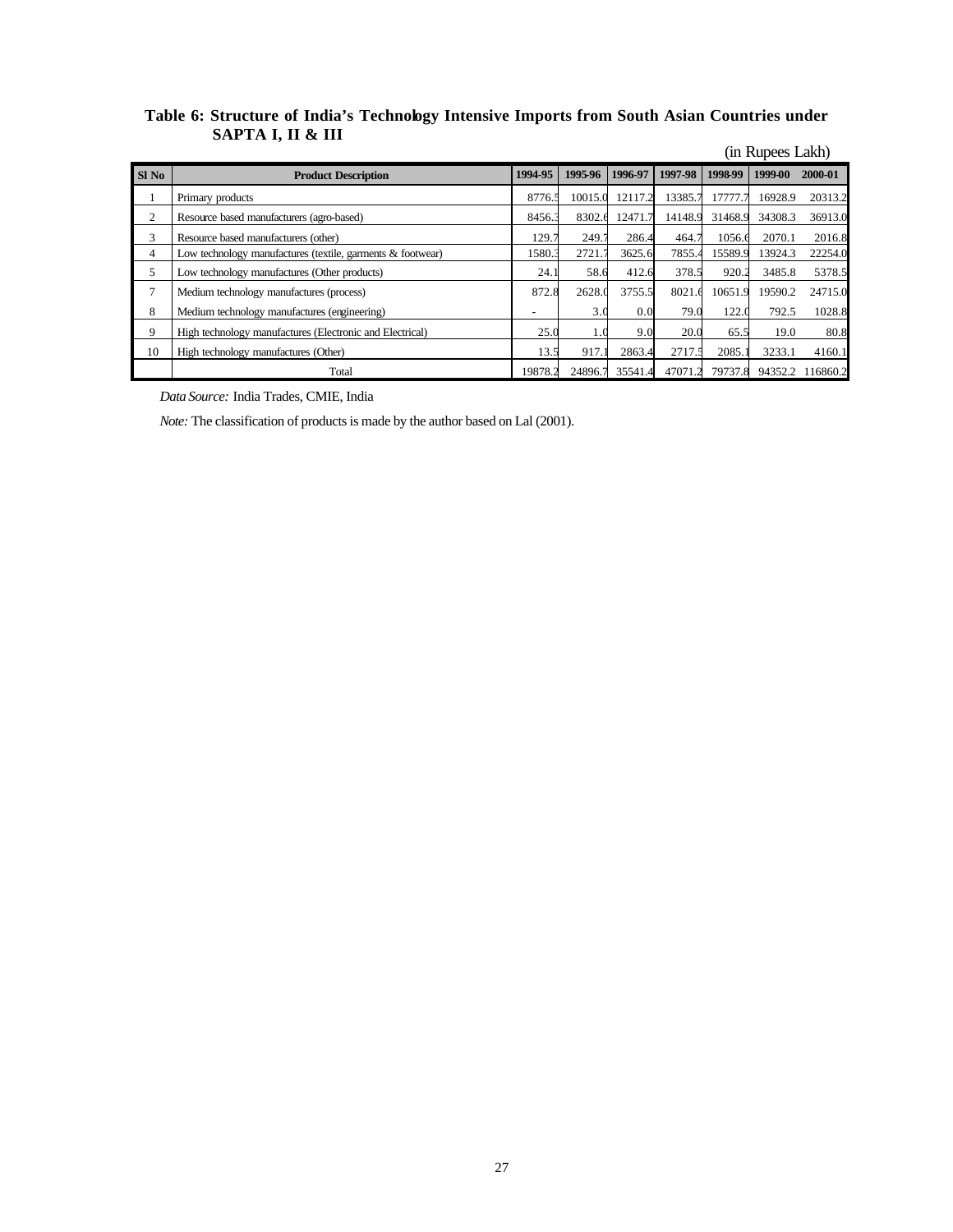## **Table 6: Structure of India's Technology Intensive Imports from South Asian Countries under SAPTA I, II & III**

|       |                                                            |         |         |         |         |         | (in Rupees Lakh) |          |
|-------|------------------------------------------------------------|---------|---------|---------|---------|---------|------------------|----------|
| Sl No | <b>Product Description</b>                                 | 1994-95 | 1995-96 | 1996-97 | 1997-98 | 1998-99 | 1999-00          | 2000-01  |
|       | Primary products                                           | 8776.5  | 10015.0 | 12117.2 | 13385.7 | 17777.7 | 16928.9          | 20313.2  |
| 2     | Resource based manufacturers (agro-based)                  | 8456.3  | 8302.6  | 12471.7 | 14148.9 | 31468.9 | 34308.3          | 36913.0  |
| 3     | Resource based manufacturers (other)                       | 129.7   | 249.    | 286.4   | 464.7   | 1056.6  | 2070.1           | 2016.8   |
| 4     | Low technology manufactures (textile, garments & footwear) | 1580.3  | 2721    | 3625.6  | 7855.4  | 15589.9 | 13924.3          | 22254.0  |
| 5     | Low technology manufactures (Other products)               | 24.1    | 58.6    | 412.6   | 378.5   | 920.2   | 3485.8           | 5378.5   |
| 7     | Medium technology manufactures (process)                   | 872.8   | 2628.0  | 3755.5  | 8021.6  | 10651.9 | 19590.2          | 24715.0  |
| 8     | Medium technology manufactures (engineering)               | -       | 3.0     | 0.0     | 79.0    | 122.0   | 792.5            | 1028.8   |
| 9     | High technology manufactures (Electronic and Electrical)   | 25.0    | 1.0     | 9.0     | 20.0    | 65.5    | 19.0             | 80.8     |
| 10    | High technology manufactures (Other)                       | 13.5    | 917.1   | 2863.4  | 2717.5  | 2085.   | 3233.1           | 4160.1   |
|       | Total                                                      | 19878.2 | 24896.7 | 35541.4 | 47071.2 | 79737.8 | 94352.2          | 116860.2 |

*Data Source:* India Trades, CMIE, India

*Note:* The classification of products is made by the author based on Lal (2001).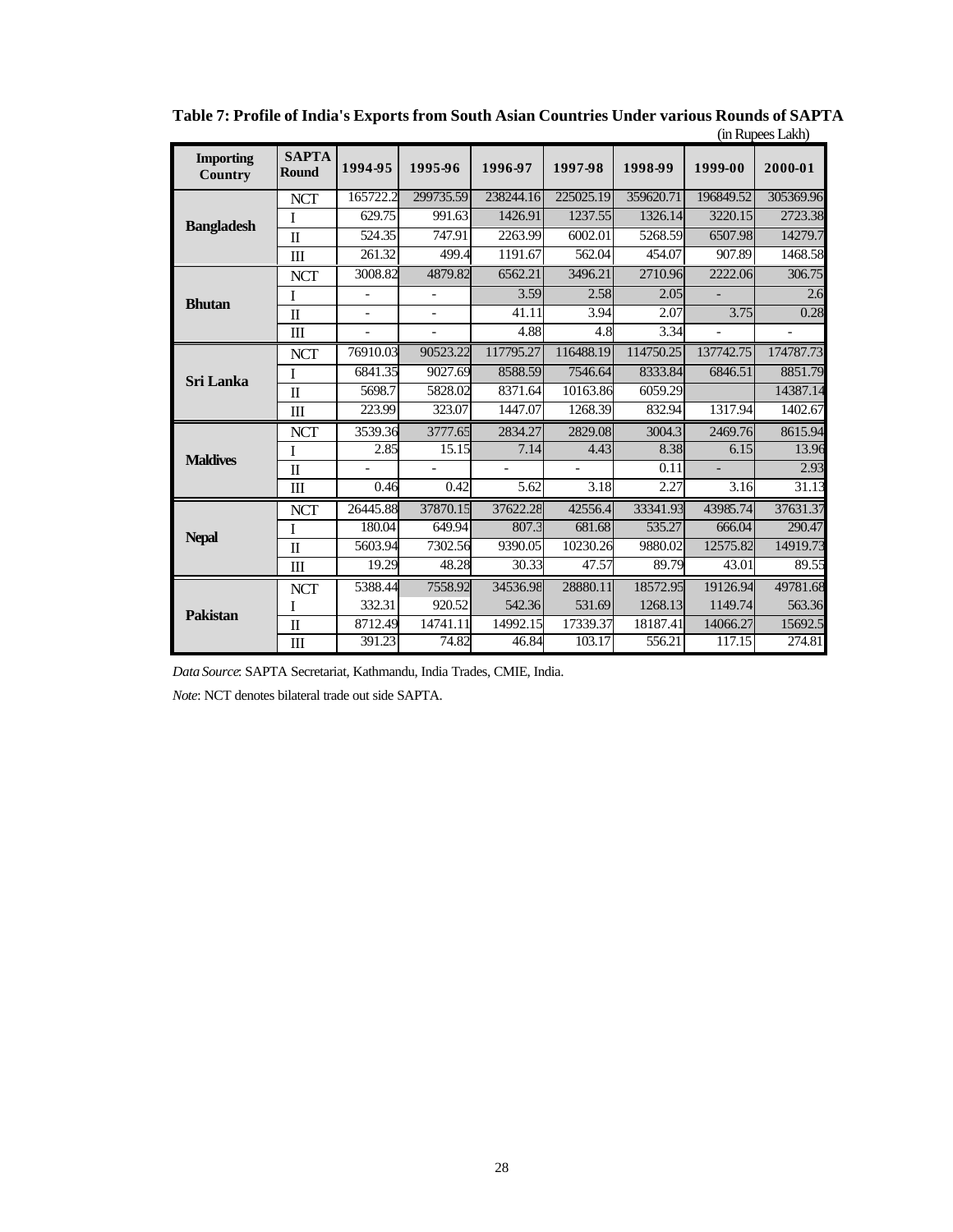|                             |                                  |                          |                          |           |           |           |                | THE INIFICATE LAND |
|-----------------------------|----------------------------------|--------------------------|--------------------------|-----------|-----------|-----------|----------------|--------------------|
| <b>Importing</b><br>Country | <b>SAPTA</b><br><b>Round</b>     | 1994-95                  | 1995-96                  | 1996-97   | 1997-98   | 1998-99   | 1999-00        | 2000-01            |
|                             | <b>NCT</b>                       | 165722.2                 | 299735.59                | 238244.16 | 225025.19 | 359620.71 | 196849.52      | 305369.96          |
| <b>Bangladesh</b>           | I                                | 629.75                   | 991.63                   | 1426.91   | 1237.55   | 1326.14   | 3220.15        | 2723.38            |
|                             | $\Pi$                            | 524.35                   | 747.91                   | 2263.99   | 6002.01   | 5268.59   | 6507.98        | 14279.7            |
|                             | $\mathbf{I}$                     | 261.32                   | 499.4                    | 1191.67   | 562.04    | 454.07    | 907.89         | 1468.58            |
|                             | <b>NCT</b>                       | 3008.82                  | 4879.82                  | 6562.21   | 3496.21   | 2710.96   | 2222.06        | 306.75             |
| <b>Bhutan</b>               | I                                | $\overline{a}$           | $\overline{\phantom{0}}$ | 3.59      | 2.58      | 2.05      |                | 2.6                |
|                             | $\Pi$                            | $\overline{\phantom{a}}$ | $\overline{\phantom{0}}$ | 41.11     | 3.94      | 2.07      | 3.75           | 0.28               |
|                             | $\mathbf{I}$                     | $\overline{a}$           | $\overline{a}$           | 4.88      | 4.8       | 3.34      | $\overline{a}$ |                    |
|                             | <b>NCT</b>                       | 76910.03                 | 90523.22                 | 117795.27 | 116488.19 | 114750.25 | 137742.75      | 174787.73          |
| <b>Sri Lanka</b>            | I                                | 6841.35                  | 9027.69                  | 8588.59   | 7546.64   | 8333.84   | 6846.51        | 8851.79            |
|                             | $\mathbf I$                      | 5698.7                   | 5828.02                  | 8371.64   | 10163.86  | 6059.29   |                | 14387.14           |
|                             | $\mathbf{I}$                     | 223.99                   | 323.07                   | 1447.07   | 1268.39   | 832.94    | 1317.94        | 1402.67            |
|                             | <b>NCT</b>                       | 3539.36                  | 3777.65                  | 2834.27   | 2829.08   | 3004.3    | 2469.76        | 8615.94            |
| <b>Maldives</b>             | I                                | 2.85                     | 15.15                    | 7.14      | 4.43      | 8.38      | 6.15           | 13.96              |
|                             | $\overline{\mathbf{u}}$          |                          |                          |           |           | 0.11      | $\overline{a}$ | 2.93               |
|                             | $\mathop{\mathrm{III}}\nolimits$ | 0.46                     | 0.42                     | 5.62      | 3.18      | 2.27      | 3.16           | 31.13              |
|                             | <b>NCT</b>                       | 26445.88                 | 37870.15                 | 37622.28  | 42556.4   | 33341.93  | 43985.74       | 37631.37           |
|                             | I                                | 180.04                   | 649.94                   | 807.3     | 681.68    | 535.27    | 666.04         | 290.47             |
| <b>Nepal</b>                | $\Pi$                            | 5603.94                  | 7302.56                  | 9390.05   | 10230.26  | 9880.02   | 12575.82       | 14919.73           |
|                             | $\mathop{\mathrm{III}}\nolimits$ | 19.29                    | 48.28                    | 30.33     | 47.57     | 89.79     | 43.01          | 89.55              |
|                             | <b>NCT</b>                       | 5388.44                  | 7558.92                  | 34536.98  | 28880.11  | 18572.95  | 19126.94       | 49781.68           |
| <b>Pakistan</b>             | I                                | 332.31                   | 920.52                   | 542.36    | 531.69    | 1268.13   | 1149.74        | 563.36             |
|                             | $\rm II$                         | 8712.49                  | 14741.11                 | 14992.15  | 17339.37  | 18187.41  | 14066.27       | 15692.5            |
|                             | $\mathbf{m}$                     | 391.23                   | 74.82                    | 46.84     | 103.17    | 556.21    | 117.15         | 274.81             |

**Table 7: Profile of India's Exports from South Asian Countries Under various Rounds of SAPTA** (in Rupees Lakh)

*Data Source*: SAPTA Secretariat, Kathmandu, India Trades, CMIE, India.

*Note*: NCT denotes bilateral trade out side SAPTA.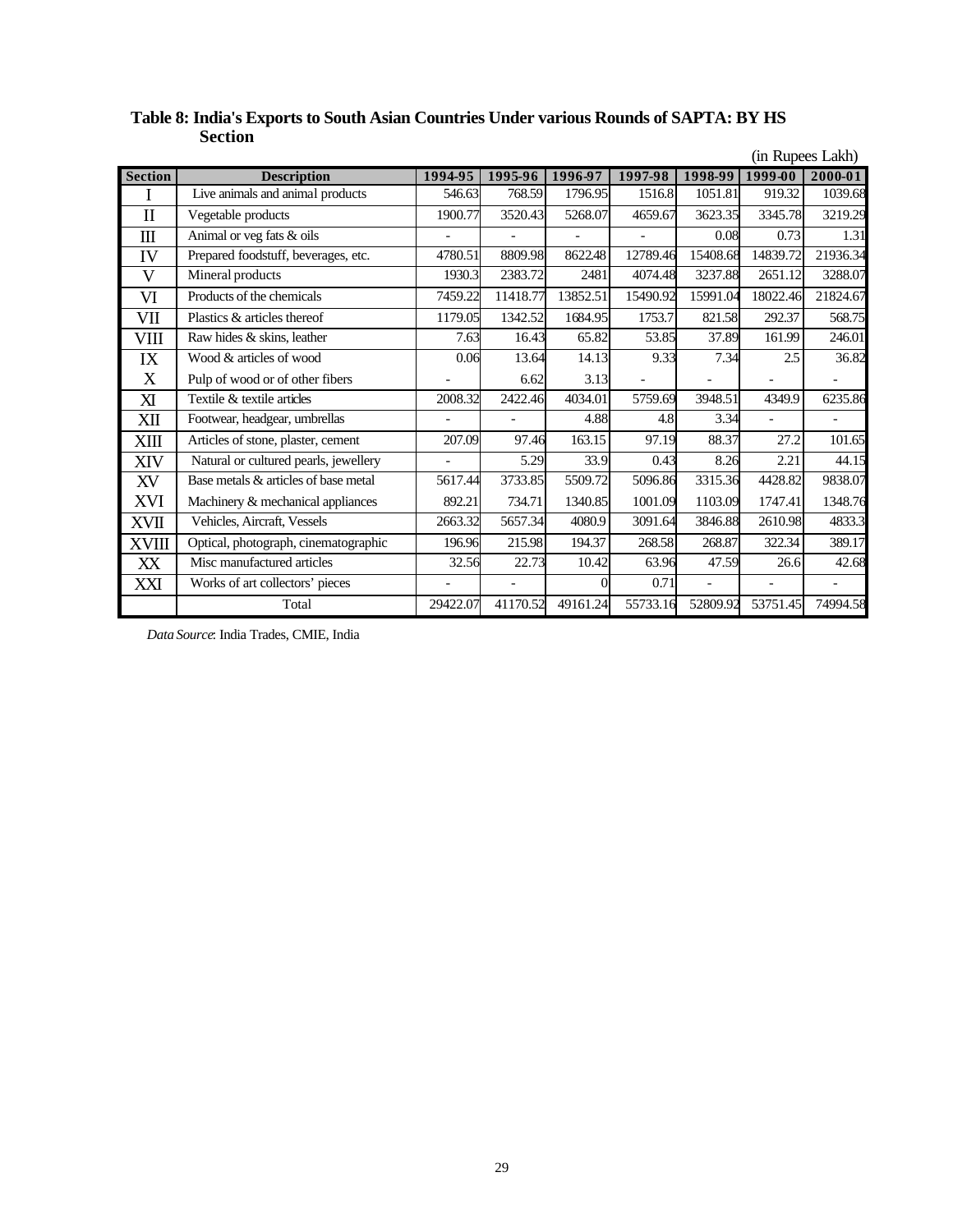|                |                                       |          |                |          |          |                |                          | (in Rupees Lakh)         |
|----------------|---------------------------------------|----------|----------------|----------|----------|----------------|--------------------------|--------------------------|
| <b>Section</b> | <b>Description</b>                    | 1994-95  | 1995-96        | 1996-97  | 1997-98  | 1998-99        | 1999-00                  | 2000-01                  |
| 1              | Live animals and animal products      | 546.63   | 768.59         | 1796.95  | 1516.8   | 1051.81        | 919.32                   | 1039.68                  |
| $\mathbf{I}$   | Vegetable products                    | 1900.77  | 3520.43        | 5268.07  | 4659.67  | 3623.35        | 3345.78                  | 3219.29                  |
| $\mathbf{m}$   | Animal or veg fats & oils             |          |                |          |          | 0.08           | 0.73                     | 1.31                     |
| IV             | Prepared foodstuff, beverages, etc.   | 4780.51  | 8809.98        | 8622.48  | 12789.46 | 15408.68       | 14839.72                 | 21936.34                 |
| V              | Mineral products                      | 1930.3   | 2383.72        | 2481     | 4074.48  | 3237.88        | 2651.12                  | 3288.07                  |
| VI             | Products of the chemicals             | 7459.22  | 11418.77       | 13852.51 | 15490.92 | 15991.04       | 18022.46                 | 21824.67                 |
| VII            | Plastics & articles thereof           | 1179.05  | 1342.52        | 1684.95  | 1753.7   | 821.58         | 292.37                   | 568.75                   |
| VIII           | Raw hides & skins, leather            | 7.63     | 16.43          | 65.82    | 53.85    | 37.89          | 161.99                   | 246.01                   |
| IX             | Wood & articles of wood               | 0.06     | 13.64          | 14.13    | 9.33     | 7.34           | 2.5                      | 36.82                    |
| X              | Pulp of wood or of other fibers       |          | 6.62           | 3.13     |          |                |                          |                          |
| XI             | Textile & textile articles            | 2008.32  | 2422.46        | 4034.01  | 5759.69  | 3948.51        | 4349.9                   | 6235.86                  |
| XII            | Footwear, headgear, umbrellas         |          | $\blacksquare$ | 4.88     | 4.8      | 3.34           | $\overline{\phantom{a}}$ | $\overline{\phantom{a}}$ |
| XIII           | Articles of stone, plaster, cement    | 207.09   | 97.46          | 163.15   | 97.19    | 88.37          | 27.2                     | 101.65                   |
| XIV            | Natural or cultured pearls, jewellery |          | 5.29           | 33.9     | 0.43     | 8.26           | 2.21                     | 44.15                    |
| XV             | Base metals & articles of base metal  | 5617.44  | 3733.85        | 5509.72  | 5096.86  | 3315.36        | 4428.82                  | 9838.07                  |
| XVI            | Machinery & mechanical appliances     | 892.21   | 734.71         | 1340.85  | 1001.09  | 1103.09        | 1747.41                  | 1348.76                  |
| XVII           | Vehicles, Aircraft, Vessels           | 2663.32  | 5657.34        | 4080.9   | 3091.64  | 3846.88        | 2610.98                  | 4833.3                   |
| <b>XVIII</b>   | Optical, photograph, cinematographic  | 196.96   | 215.98         | 194.37   | 268.58   | 268.87         | 322.34                   | 389.17                   |
| XX             | Misc manufactured articles            | 32.56    | 22.73          | 10.42    | 63.96    | 47.59          | 26.6                     | 42.68                    |
| XXI            | Works of art collectors' pieces       |          | $\overline{a}$ | $\Omega$ | 0.71     | $\overline{a}$ |                          |                          |
|                | Total                                 | 29422.07 | 41170.52       | 49161.24 | 55733.16 | 52809.92       | 53751.45                 | 74994.58                 |

## **Table 8: India's Exports to South Asian Countries Under various Rounds of SAPTA: BY HS Section**

*Data Source*: India Trades, CMIE, India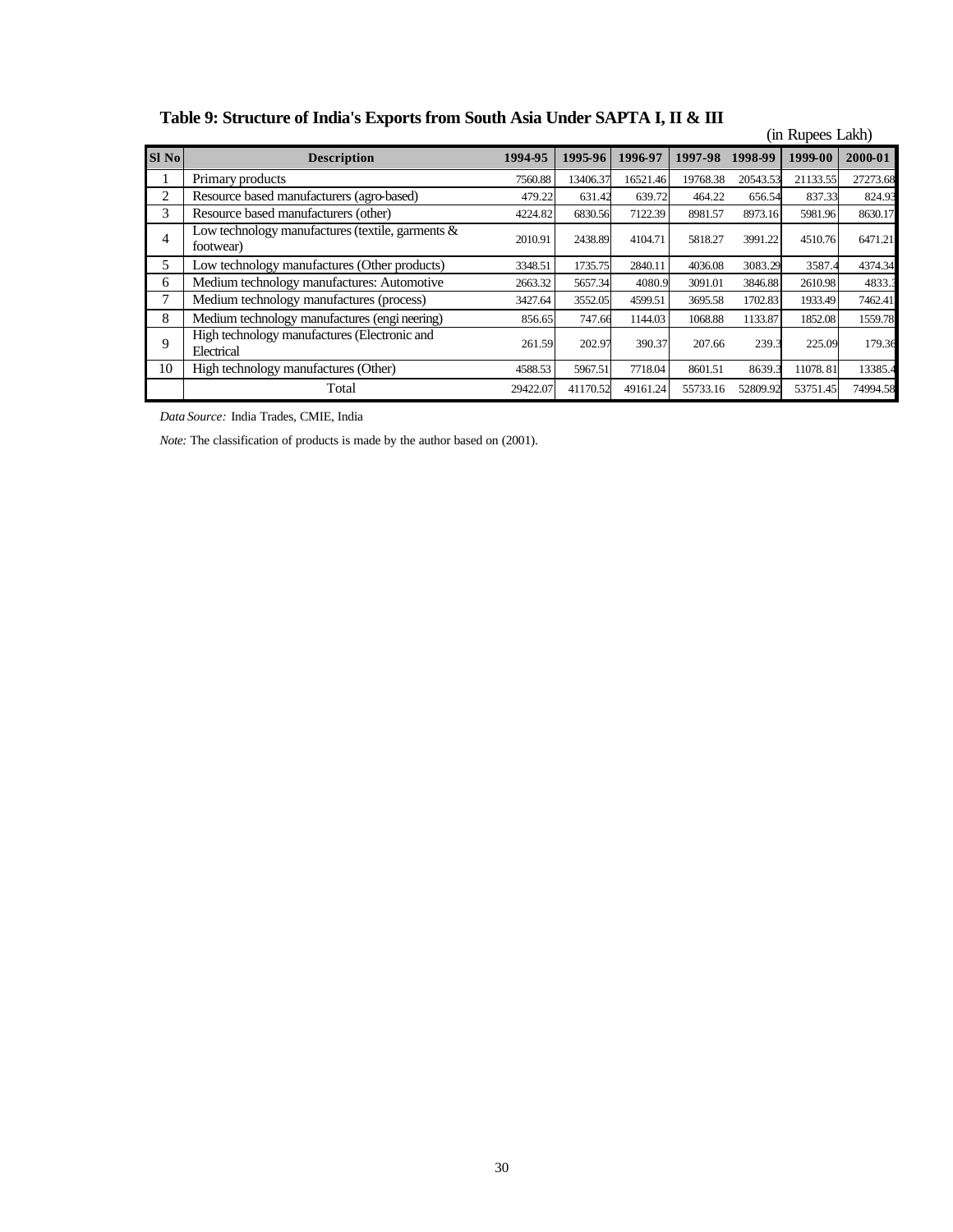**Table 9: Structure of India's Exports from South Asia Under SAPTA I, II & III**

|       | $\frac{1}{2}$                                                           |          |          |          |          |          | (in Rupees Lakh) |          |
|-------|-------------------------------------------------------------------------|----------|----------|----------|----------|----------|------------------|----------|
| Sl No | <b>Description</b>                                                      | 1994-95  | 1995-96  | 1996-97  | 1997-98  | 1998-99  | 1999-00          | 2000-01  |
|       | Primary products                                                        | 7560.88  | 13406.37 | 16521.46 | 19768.38 | 20543.53 | 21133.55         | 27273.68 |
| 2     | Resource based manufacturers (agro-based)<br>639.72<br>631.42<br>479.22 |          |          |          | 464.22   | 656.54   | 837.33           | 824.93   |
| 3     | Resource based manufacturers (other)                                    | 4224.82  | 6830.56  | 7122.39  | 8981.57  | 8973.16  | 5981.96          | 8630.17  |
| 4     | Low technology manufactures (textile, garments $\&$<br>footwear)        | 2010.91  | 2438.89  | 4104.71  | 5818.27  | 3991.22  | 4510.76          | 6471.21  |
| 5     | Low technology manufactures (Other products)                            | 3348.51  | 1735.75  | 2840.11  | 4036.08  | 3083.29  | 3587.4           | 4374.34  |
| 6     | Medium technology manufactures: Automotive                              | 2663.32  | 5657.34  | 4080.9   | 3091.01  | 3846.88  | 2610.98          | 4833.3   |
| 7     | Medium technology manufactures (process)                                | 3427.64  | 3552.05  | 4599.51  | 3695.58  | 1702.83  | 1933.49          | 7462.41  |
| 8     | Medium technology manufactures (engineering)                            | 856.65   | 747.66   | 1144.03  | 1068.88  | 1133.87  | 1852.08          | 1559.78  |
| 9     | High technology manufactures (Electronic and<br>Electrical              | 261.59   | 202.97   | 390.37   | 207.66   | 239.3    | 225.09           | 179.36   |
| 10    | High technology manufactures (Other)                                    | 4588.53  | 5967.51  | 7718.04  | 8601.51  | 8639.3   | 11078.81         | 13385.4  |
|       | Total                                                                   | 29422.07 | 41170.52 | 49161.24 | 55733.16 | 52809.92 | 53751.45         | 74994.58 |

*Data Source:* India Trades, CMIE, India

*Note:* The classification of products is made by the author based on (2001).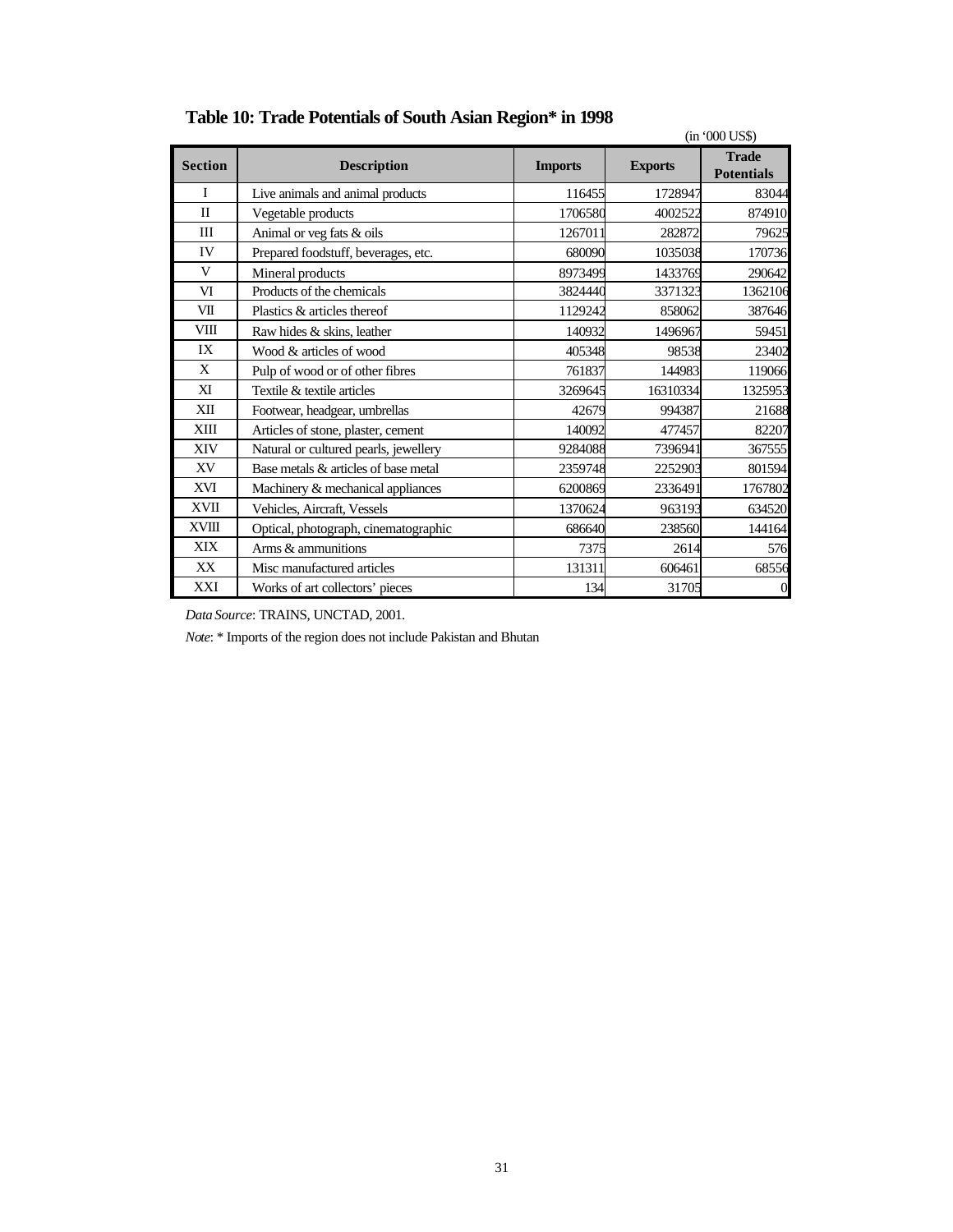|                |                                       |                |                | $(in 000 \text{ US})$             |
|----------------|---------------------------------------|----------------|----------------|-----------------------------------|
| <b>Section</b> | <b>Description</b>                    | <b>Imports</b> | <b>Exports</b> | <b>Trade</b><br><b>Potentials</b> |
| Ι              | Live animals and animal products      | 116455         | 1728947        | 83044                             |
| $\mathbf{I}$   | Vegetable products                    | 1706580        | 4002522        | 874910                            |
| III            | Animal or veg fats & oils             | 1267011        | 282872         | 79625                             |
| IV             | Prepared foodstuff, beverages, etc.   | 680090         | 1035038        | 170736                            |
| V              | Mineral products                      | 8973499        | 1433769        | 290642                            |
| VI             | Products of the chemicals             | 3824440        | 3371323        | 1362106                           |
| VШ             | Plastics & articles thereof           | 1129242        | 858062         | 387646                            |
| VIII           | Raw hides & skins, leather            | 140932         | 1496967        | 59451                             |
| IX             | Wood & articles of wood               | 405348         | 98538          | 23402                             |
| X              | Pulp of wood or of other fibres       | 761837         | 144983         | 119066                            |
| XI             | Textile & textile articles            | 3269645        | 16310334       | 1325953                           |
| XII            | Footwear, headgear, umbrellas         | 42679          | 994387         | 21688                             |
| XIII           | Articles of stone, plaster, cement    | 140092         | 477457         | 82207                             |
| XIV            | Natural or cultured pearls, jewellery | 9284088        | 7396941        | 367555                            |
| XV             | Base metals & articles of base metal  | 2359748        | 2252903        | 801594                            |
| XVI            | Machinery & mechanical appliances     | 6200869        | 2336491        | 1767802                           |
| <b>XVII</b>    | Vehicles, Aircraft, Vessels           | 1370624        | 963193         | 634520                            |
| <b>XVIII</b>   | Optical, photograph, cinematographic  | 686640         | 238560         | 144164                            |
| XIX            | Arms & ammunitions                    | 7375           | 2614           | 576                               |
| XX             | Misc manufactured articles            | 131311         | 606461         | 68556                             |
| XXI            | Works of art collectors' pieces       | 134            | 31705          | $\overline{0}$                    |

# **Table 10: Trade Potentials of South Asian Region\* in 1998**

*Data Source*: TRAINS, UNCTAD, 2001.

*Note*: \* Imports of the region does not include Pakistan and Bhutan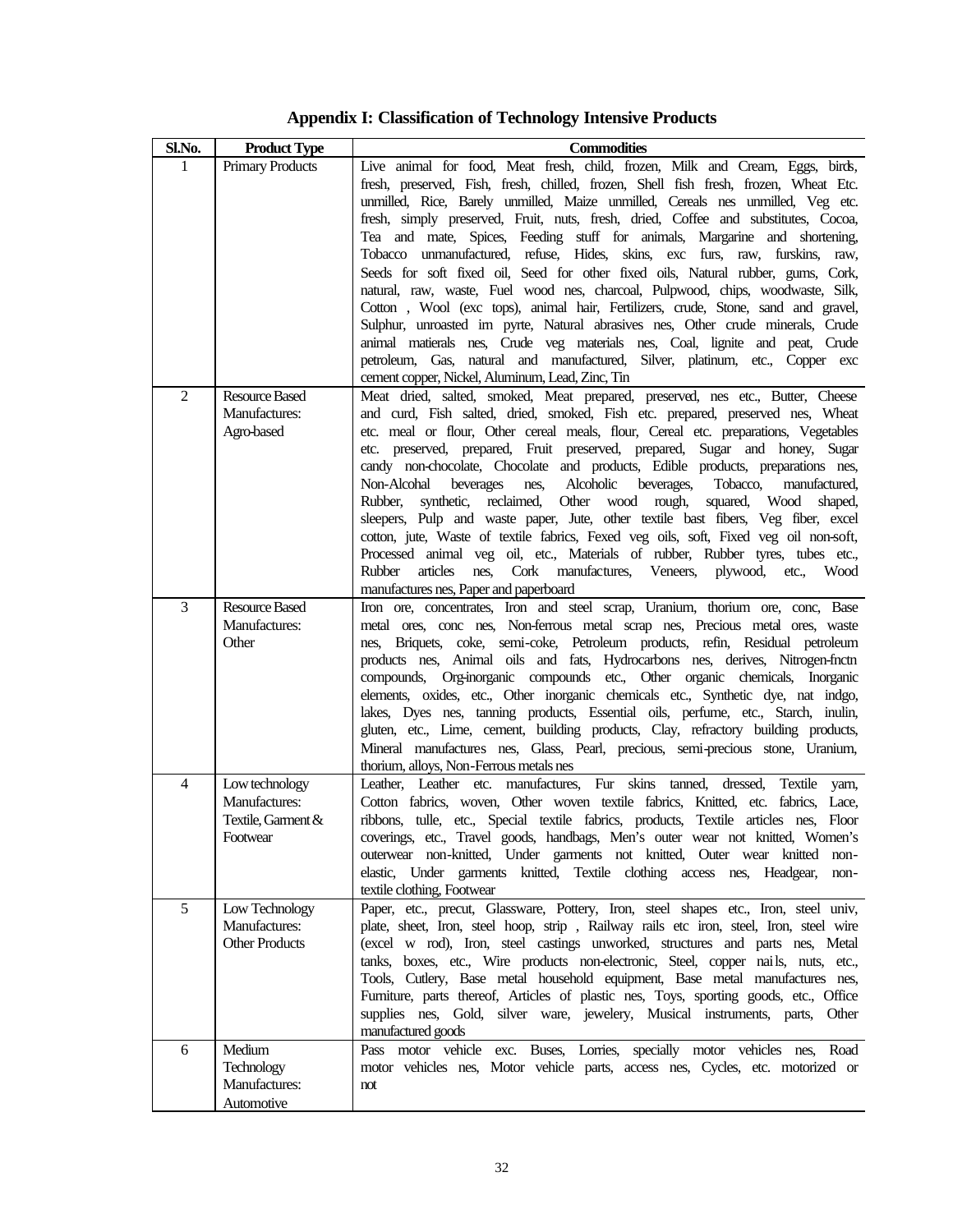**Appendix I: Classification of Technology Intensive Products**

| Sl.No.         | <b>Product Type</b>                                               | <b>Commodities</b>                                                                                                                                                                                                                                                                                                                                                                                                                                                                                                                                                                                                                                                                                                                                                                                                                                                                                                                                                                                                                                                              |
|----------------|-------------------------------------------------------------------|---------------------------------------------------------------------------------------------------------------------------------------------------------------------------------------------------------------------------------------------------------------------------------------------------------------------------------------------------------------------------------------------------------------------------------------------------------------------------------------------------------------------------------------------------------------------------------------------------------------------------------------------------------------------------------------------------------------------------------------------------------------------------------------------------------------------------------------------------------------------------------------------------------------------------------------------------------------------------------------------------------------------------------------------------------------------------------|
| 1              | <b>Primary Products</b>                                           | Live animal for food, Meat fresh, child, frozen, Milk and Cream, Eggs, birds,<br>fresh, preserved, Fish, fresh, chilled, frozen, Shell fish fresh, frozen, Wheat Etc.<br>unmilled, Rice, Barely unmilled, Maize unmilled, Cereals nes unmilled, Veg etc.<br>fresh, simply preserved, Fruit, nuts, fresh, dried, Coffee and substitutes, Cocoa,<br>Tea and mate, Spices, Feeding stuff for animals, Margarine and shortening,<br>Tobacco unmanufactured, refuse, Hides, skins, exc furs, raw, furskins, raw,<br>Seeds for soft fixed oil, Seed for other fixed oils, Natural rubber, gums, Cork,<br>natural, raw, waste, Fuel wood nes, charcoal, Pulpwood, chips, woodwaste, Silk,<br>Cotton , Wool (exc tops), animal hair, Fertilizers, crude, Stone, sand and gravel,<br>Sulphur, unroasted im pyrte, Natural abrasives nes, Other crude minerals, Crude<br>animal matierals nes, Crude veg materials nes, Coal, lignite and peat, Crude<br>petroleum, Gas, natural and manufactured, Silver, platinum, etc., Copper exc<br>cement copper, Nickel, Aluminum, Lead, Zinc, Tin |
| $\overline{2}$ | <b>Resource Based</b><br>Manufactures:<br>Agro-based              | Meat dried, salted, smoked, Meat prepared, preserved, nes etc., Butter, Cheese<br>and curd, Fish salted, dried, smoked, Fish etc. prepared, preserved nes, Wheat<br>etc. meal or flour, Other cereal meals, flour, Cereal etc. preparations, Vegetables<br>etc. preserved, prepared, Fruit preserved, prepared, Sugar and honey, Sugar<br>candy non-chocolate, Chocolate and products, Edible products, preparations nes,<br>Alcoholic<br>Non-Alcohal<br>beverages<br>nes,<br>beverages,<br>Tobacco,<br>manufactured,<br>synthetic, reclaimed,<br>Other<br>wood rough,<br>Rubber,<br>squared, Wood<br>shaped,<br>sleepers, Pulp and waste paper, Jute, other textile bast fibers, Veg fiber, excel<br>cotton, jute, Waste of textile fabrics, Fexed veg oils, soft, Fixed veg oil non-soft,<br>Processed animal veg oil, etc., Materials of rubber, Rubber tyres, tubes etc.,<br>Rubber<br>articles<br>Cork manufactures, Veneers,<br>nes.<br>plywood,<br>etc.,<br>Wood<br>manufactures nes, Paper and paperboard                                                               |
| 3              | <b>Resource Based</b><br>Manufactures:<br>Other                   | Iron ore, concentrates, Iron and steel scrap, Uranium, thorium ore, conc, Base<br>metal ores, conc nes, Non-ferrous metal scrap nes, Precious metal ores, waste<br>nes, Briquets, coke, semi-coke, Petroleum products, refin, Residual petroleum<br>products nes, Animal oils and fats, Hydrocarbons nes, derives, Nitrogen-fnctn<br>compounds, Org-inorganic compounds etc., Other organic chemicals, Inorganic<br>elements, oxides, etc., Other inorganic chemicals etc., Synthetic dye, nat indgo,<br>lakes, Dyes nes, tanning products, Essential oils, perfume, etc., Starch, inulin,<br>gluten, etc., Lime, cement, building products, Clay, refractory building products,<br>Mineral manufactures nes, Glass, Pearl, precious, semi-precious stone, Uranium,<br>thorium, alloys, Non-Ferrous metals nes                                                                                                                                                                                                                                                                  |
| 4              | Low technology<br>Manufactures:<br>Textile, Garment &<br>Footwear | Leather etc. manufactures, Fur skins<br>tanned,<br>dressed,<br>Textile yarn,<br>Leather,<br>Cotton fabrics, woven, Other woven textile fabrics, Knitted, etc. fabrics, Lace,<br>ribbons, tulle, etc., Special textile fabrics, products, Textile articles nes, Floor<br>coverings, etc., Travel goods, handbags, Men's outer wear not knitted, Women's<br>outerwear non-knitted, Under garments not knitted, Outer wear knitted non-<br>elastic, Under garments knitted, Textile clothing access nes, Headgear,<br>non-<br>textile clothing, Footwear                                                                                                                                                                                                                                                                                                                                                                                                                                                                                                                           |
| 5              | Low Technology<br>Manufactures:<br><b>Other Products</b>          | Paper, etc., precut, Glassware, Pottery, Iron, steel shapes etc., Iron, steel univ,<br>plate, sheet, Iron, steel hoop, strip, Railway rails etc iron, steel, Iron, steel wire<br>(excel w rod), Iron, steel castings unworked, structures and parts nes, Metal<br>tanks, boxes, etc., Wire products non-electronic, Steel, copper nails, nuts, etc.,<br>Tools, Cutlery, Base metal household equipment, Base metal manufactures nes,<br>Furniture, parts thereof, Articles of plastic nes, Toys, sporting goods, etc., Office<br>supplies nes, Gold, silver ware, jewelery, Musical instruments, parts, Other<br>manufactured goods                                                                                                                                                                                                                                                                                                                                                                                                                                             |
| 6              | Medium<br>Technology<br>Manufactures:<br>Automotive               | Pass motor vehicle exc. Buses, Lorries, specially motor vehicles nes, Road<br>motor vehicles nes, Motor vehicle parts, access nes, Cycles, etc. motorized or<br>not                                                                                                                                                                                                                                                                                                                                                                                                                                                                                                                                                                                                                                                                                                                                                                                                                                                                                                             |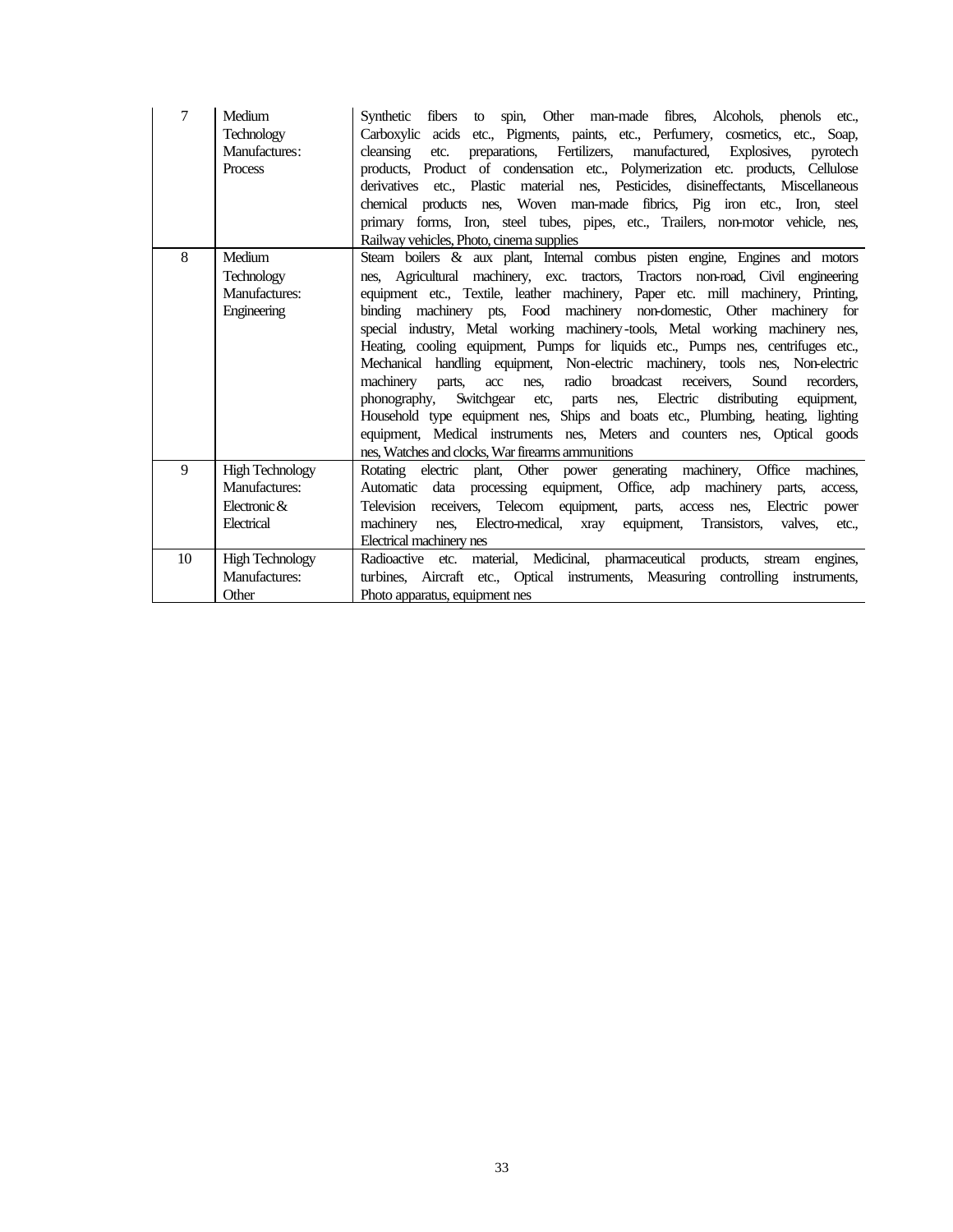| 7  | Medium<br><b>Technology</b><br>Manufactures:<br><b>Process</b> | Synthetic fibers to spin, Other man-made fibres, Alcohols, phenols etc.,<br>Carboxylic acids etc., Pigments, paints, etc., Perfumery, cosmetics, etc., Soap,<br>preparations, Fertilizers, manufactured, Explosives,<br>cleansing<br>pyrotech<br>etc.<br>products, Product of condensation etc., Polymerization etc. products, Cellulose<br>derivatives etc., Plastic material nes, Pesticides, disineffectants, Miscellaneous<br>chemical products nes, Woven man-made fibrics, Pig iron etc., Iron, steel<br>primary forms, Iron, steel tubes, pipes, etc., Trailers, non-motor vehicle, nes,<br>Railway vehicles, Photo, cinema supplies                                                                                                                                                                                                                                                                                                                                                              |
|----|----------------------------------------------------------------|----------------------------------------------------------------------------------------------------------------------------------------------------------------------------------------------------------------------------------------------------------------------------------------------------------------------------------------------------------------------------------------------------------------------------------------------------------------------------------------------------------------------------------------------------------------------------------------------------------------------------------------------------------------------------------------------------------------------------------------------------------------------------------------------------------------------------------------------------------------------------------------------------------------------------------------------------------------------------------------------------------|
| 8  | Medium<br><b>Technology</b><br>Manufactures:<br>Engineering    | Steam boilers & aux plant, Internal combus pisten engine, Engines and motors<br>nes, Agricultural machinery, exc. tractors, Tractors non-road, Civil engineering<br>equipment etc., Textile, leather machinery, Paper etc. mill machinery, Printing,<br>binding machinery pts, Food machinery non-domestic, Other machinery for<br>special industry, Metal working machinery-tools, Metal working machinery nes,<br>Heating, cooling equipment, Pumps for liquids etc., Pumps nes, centrifuges etc.,<br>Mechanical handling equipment, Non-electric machinery, tools nes, Non-electric<br>radio<br>broadcast receivers,<br>machinery<br>Sound<br>acc<br>recorders.<br>parts,<br>nes.<br>nes, Electric<br>Switchgear<br>distributing<br>equipment.<br>phonography,<br>etc,<br>parts<br>Household type equipment nes, Ships and boats etc., Plumbing, heating, lighting<br>equipment, Medical instruments nes, Meters and counters nes, Optical goods<br>nes. Watches and clocks. War firearms ammunitions |
| 9  | <b>High Technology</b><br>Manufactures:                        | Rotating electric plant, Other power generating machinery, Office machines,<br>Automatic data processing equipment, Office, adp machinery parts,<br>access.                                                                                                                                                                                                                                                                                                                                                                                                                                                                                                                                                                                                                                                                                                                                                                                                                                              |
|    | Electronic $\&$                                                | Television receivers, Telecom equipment, parts, access nes, Electric<br>power                                                                                                                                                                                                                                                                                                                                                                                                                                                                                                                                                                                                                                                                                                                                                                                                                                                                                                                            |
|    | Electrical                                                     | nes, Electro-medical, xray equipment,<br>Transistors, valves,<br>machinery<br>etc.                                                                                                                                                                                                                                                                                                                                                                                                                                                                                                                                                                                                                                                                                                                                                                                                                                                                                                                       |
|    |                                                                | Electrical machinery nes                                                                                                                                                                                                                                                                                                                                                                                                                                                                                                                                                                                                                                                                                                                                                                                                                                                                                                                                                                                 |
| 10 | <b>High Technology</b>                                         | Radioactive etc. material, Medicinal, pharmaceutical products, stream engines,                                                                                                                                                                                                                                                                                                                                                                                                                                                                                                                                                                                                                                                                                                                                                                                                                                                                                                                           |
|    | Manufactures:                                                  | turbines, Aircraft etc., Optical instruments, Measuring controlling instruments,                                                                                                                                                                                                                                                                                                                                                                                                                                                                                                                                                                                                                                                                                                                                                                                                                                                                                                                         |
|    | Other                                                          | Photo apparatus, equipment nes                                                                                                                                                                                                                                                                                                                                                                                                                                                                                                                                                                                                                                                                                                                                                                                                                                                                                                                                                                           |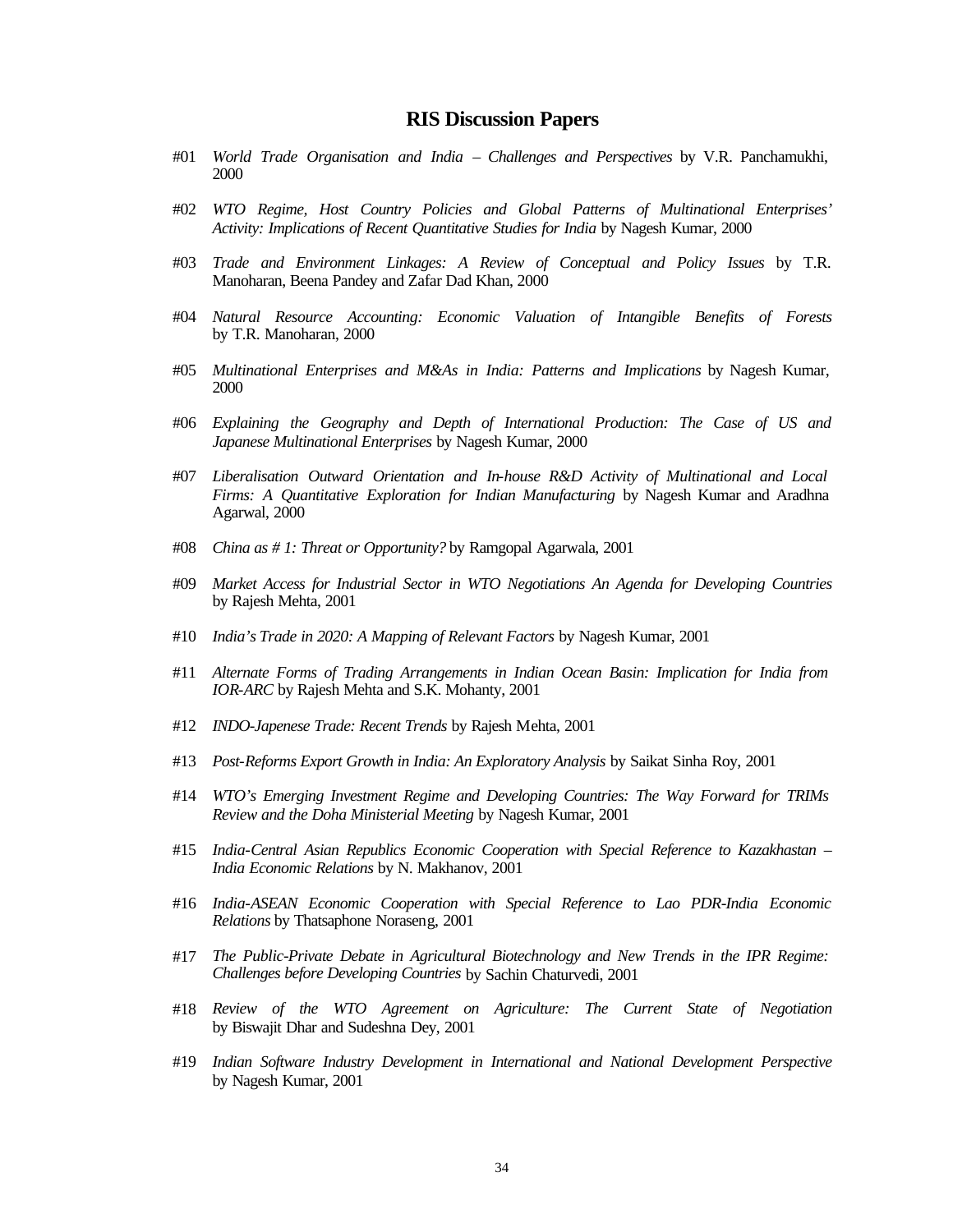## **RIS Discussion Papers**

- #01 *World Trade Organisation and India Challenges and Perspectives* by V.R. Panchamukhi, 2000
- #02 *WTO Regime, Host Country Policies and Global Patterns of Multinational Enterprises' Activity: Implications of Recent Quantitative Studies for India* by Nagesh Kumar, 2000
- #03 *Trade and Environment Linkages: A Review of Conceptual and Policy Issues* by T.R. Manoharan, Beena Pandey and Zafar Dad Khan, 2000
- #04 *Natural Resource Accounting: Economic Valuation of Intangible Benefits of Forests* by T.R. Manoharan, 2000
- #05 *Multinational Enterprises and M&As in India: Patterns and Implications* by Nagesh Kumar, 2000
- #06 *Explaining the Geography and Depth of International Production: The Case of US and Japanese Multinational Enterprises* by Nagesh Kumar, 2000
- #07 *Liberalisation Outward Orientation and In-house R&D Activity of Multinational and Local Firms: A Quantitative Exploration for Indian Manufacturing* by Nagesh Kumar and Aradhna Agarwal, 2000
- #08 *China as # 1: Threat or Opportunity?* by Ramgopal Agarwala, 2001
- #09 *Market Access for Industrial Sector in WTO Negotiations An Agenda for Developing Countries* by Rajesh Mehta, 2001
- #10 *India's Trade in 2020: A Mapping of Relevant Factors* by Nagesh Kumar, 2001
- #11 *Alternate Forms of Trading Arrangements in Indian Ocean Basin: Implication for India from IOR-ARC* by Rajesh Mehta and S.K. Mohanty, 2001
- #12 *INDO-Japenese Trade: Recent Trends* by Rajesh Mehta, 2001
- #13 *Post-Reforms Export Growth in India: An Exploratory Analysis* by Saikat Sinha Roy, 2001
- #14 *WTO's Emerging Investment Regime and Developing Countries: The Way Forward for TRIMs Review and the Doha Ministerial Meeting* by Nagesh Kumar, 2001
- #15 *India-Central Asian Republics Economic Cooperation with Special Reference to Kazakhastan – India Economic Relations* by N. Makhanov, 2001
- #16 *India-ASEAN Economic Cooperation with Special Reference to Lao PDR-India Economic Relations* by Thatsaphone Noraseng, 2001
- #17 *The Public-Private Debate in Agricultural Biotechnology and New Trends in the IPR Regime: Challenges before Developing Countries* by Sachin Chaturvedi, 2001
- #18 *Review of the WTO Agreement on Agriculture: The Current State of Negotiation* by Biswajit Dhar and Sudeshna Dey, 2001
- #19 *Indian Software Industry Development in International and National Development Perspective* by Nagesh Kumar, 2001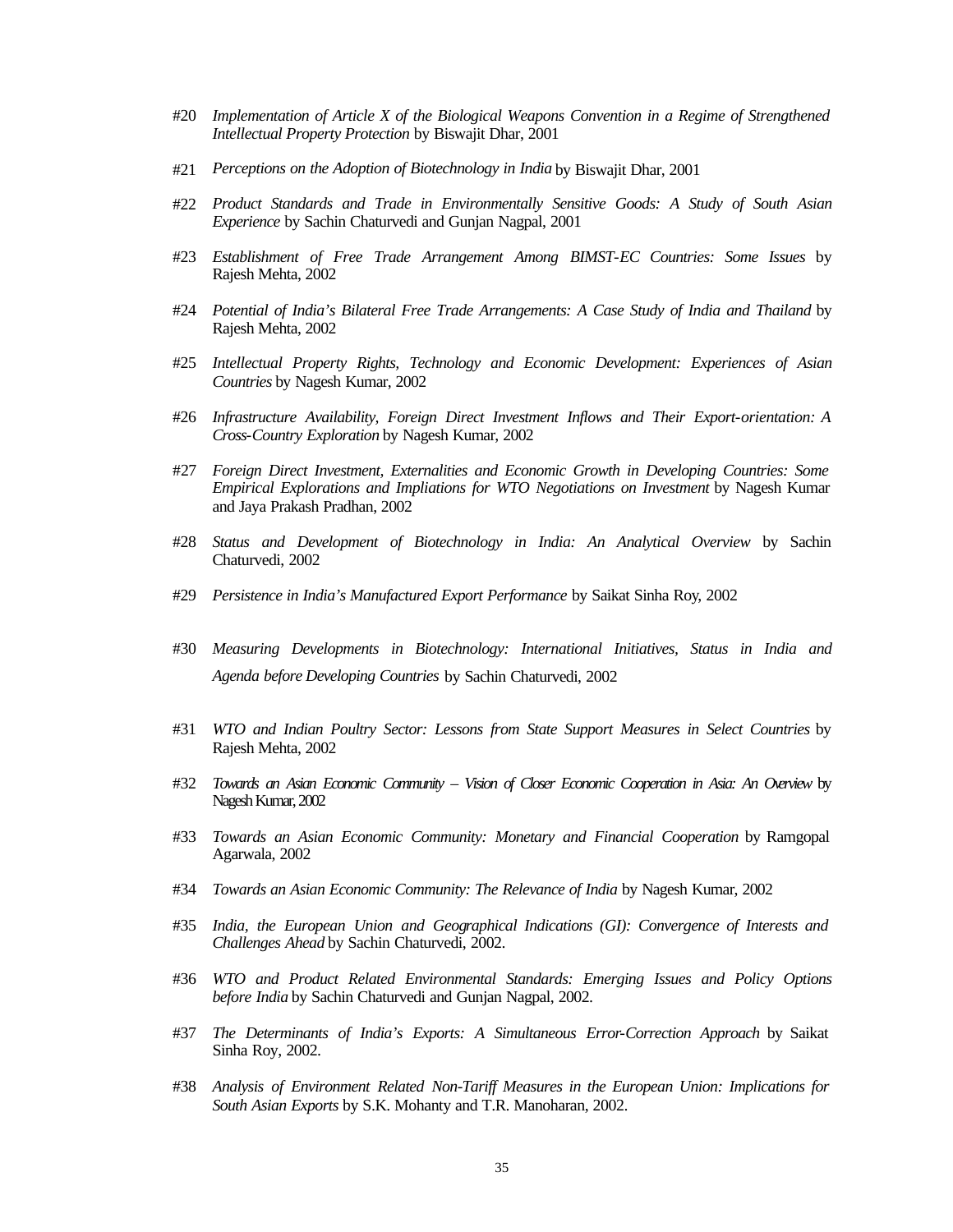- #20 *Implementation of Article X of the Biological Weapons Convention in a Regime of Strengthened Intellectual Property Protection* by Biswajit Dhar, 2001
- #21 *Perceptions on the Adoption of Biotechnology in India* by Biswajit Dhar, 2001
- #22 *Product Standards and Trade in Environmentally Sensitive Goods: A Study of South Asian Experience* by Sachin Chaturvedi and Gunjan Nagpal, 2001
- #23 *Establishment of Free Trade Arrangement Among BIMST-EC Countries: Some Issues* by Rajesh Mehta, 2002
- #24 *Potential of India's Bilateral Free Trade Arrangements: A Case Study of India and Thailand* by Rajesh Mehta, 2002
- #25 *Intellectual Property Rights, Technology and Economic Development: Experiences of Asian Countries* by Nagesh Kumar, 2002
- #26 *Infrastructure Availability, Foreign Direct Investment Inflows and Their Export-orientation: A Cross-Country Exploration* by Nagesh Kumar, 2002
- #27 *Foreign Direct Investment, Externalities and Economic Growth in Developing Countries: Some Empirical Explorations and Impliations for WTO Negotiations on Investment* by Nagesh Kumar and Jaya Prakash Pradhan, 2002
- #28 *Status and Development of Biotechnology in India: An Analytical Overview* by Sachin Chaturvedi, 2002
- #29 *Persistence in India's Manufactured Export Performance* by Saikat Sinha Roy, 2002
- #30 *Measuring Developments in Biotechnology: International Initiatives, Status in India and Agenda before Developing Countries* by Sachin Chaturvedi, 2002
- #31 *WTO and Indian Poultry Sector: Lessons from State Support Measures in Select Countries* by Rajesh Mehta, 2002
- #32 *Towards an Asian Economic Community Vision of Closer Economic Cooperation in Asia: An Overview* by Nagesh Kumar, 2002
- #33 *Towards an Asian Economic Community: Monetary and Financial Cooperation* by Ramgopal Agarwala, 2002
- #34 *Towards an Asian Economic Community: The Relevance of India* by Nagesh Kumar, 2002
- #35 *India, the European Union and Geographical Indications (GI): Convergence of Interests and Challenges Ahead* by Sachin Chaturvedi, 2002.
- #36 *WTO and Product Related Environmental Standards: Emerging Issues and Policy Options before India* by Sachin Chaturvedi and Gunjan Nagpal, 2002.
- #37 *The Determinants of India's Exports: A Simultaneous Error-Correction Approach* by Saikat Sinha Roy, 2002.
- #38 *Analysis of Environment Related Non-Tariff Measures in the European Union: Implications for South Asian Exports* by S.K. Mohanty and T.R. Manoharan, 2002.